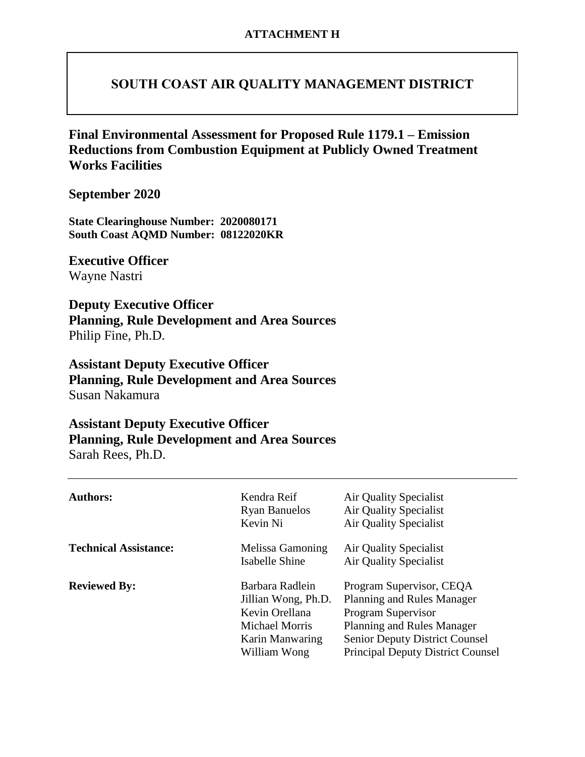### **SOUTH COAST AIR QUALITY MANAGEMENT DISTRICT**

**Final Environmental Assessment for Proposed Rule 1179.1 – Emission Reductions from Combustion Equipment at Publicly Owned Treatment Works Facilities**

**September 2020**

**State Clearinghouse Number: 2020080171 South Coast AQMD Number: 08122020KR**

**Executive Officer** Wayne Nastri

**Deputy Executive Officer Planning, Rule Development and Area Sources** Philip Fine, Ph.D.

**Assistant Deputy Executive Officer Planning, Rule Development and Area Sources** Susan Nakamura

### **Assistant Deputy Executive Officer Planning, Rule Development and Area Sources** Sarah Rees, Ph.D.

| <b>Authors:</b>              | Kendra Reif<br><b>Ryan Banuelos</b><br>Kevin Ni                                                                      | Air Quality Specialist<br>Air Quality Specialist<br><b>Air Quality Specialist</b>                                                                                                               |
|------------------------------|----------------------------------------------------------------------------------------------------------------------|-------------------------------------------------------------------------------------------------------------------------------------------------------------------------------------------------|
| <b>Technical Assistance:</b> | Melissa Gamoning<br>Isabelle Shine                                                                                   | Air Quality Specialist<br><b>Air Quality Specialist</b>                                                                                                                                         |
| <b>Reviewed By:</b>          | Barbara Radlein<br>Jillian Wong, Ph.D.<br>Kevin Orellana<br><b>Michael Morris</b><br>Karin Manwaring<br>William Wong | Program Supervisor, CEQA<br>Planning and Rules Manager<br>Program Supervisor<br>Planning and Rules Manager<br><b>Senior Deputy District Counsel</b><br><b>Principal Deputy District Counsel</b> |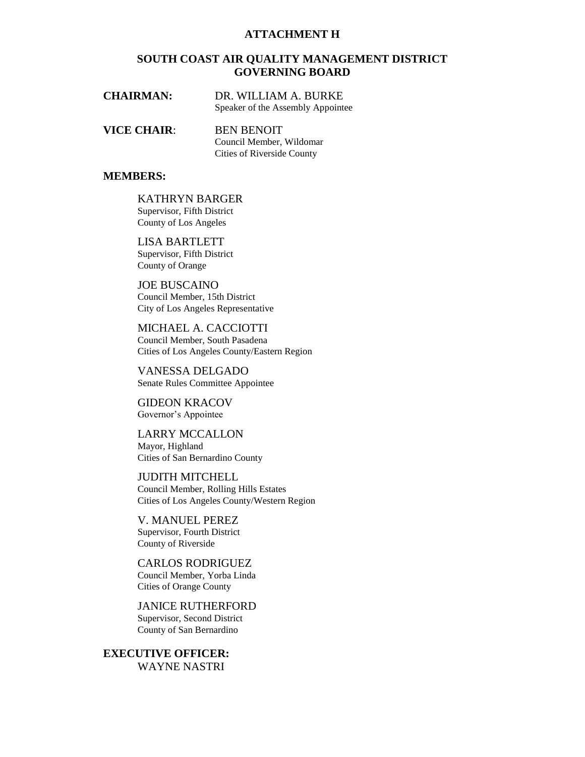#### **ATTACHMENT H**

#### **SOUTH COAST AIR QUALITY MANAGEMENT DISTRICT GOVERNING BOARD**

| <b>CHAIRMAN:</b> | DR. WILLIAM A. BURKE              |
|------------------|-----------------------------------|
|                  | Speaker of the Assembly Appointee |

**VICE CHAIR**: BEN BENOIT Council Member, Wildomar Cities of Riverside County

#### **MEMBERS:**

KATHRYN BARGER Supervisor, Fifth District County of Los Angeles

LISA BARTLETT Supervisor, Fifth District County of Orange

JOE BUSCAINO Council Member, 15th District City of Los Angeles Representative

MICHAEL A. CACCIOTTI Council Member, South Pasadena Cities of Los Angeles County/Eastern Region

VANESSA DELGADO Senate Rules Committee Appointee

GIDEON KRACOV Governor's Appointee

LARRY MCCALLON Mayor, Highland Cities of San Bernardino County

JUDITH MITCHELL Council Member, Rolling Hills Estates Cities of Los Angeles County/Western Region

V. MANUEL PEREZ Supervisor, Fourth District County of Riverside

CARLOS RODRIGUEZ Council Member, Yorba Linda Cities of Orange County

JANICE RUTHERFORD Supervisor, Second District County of San Bernardino

**EXECUTIVE OFFICER:** WAYNE NASTRI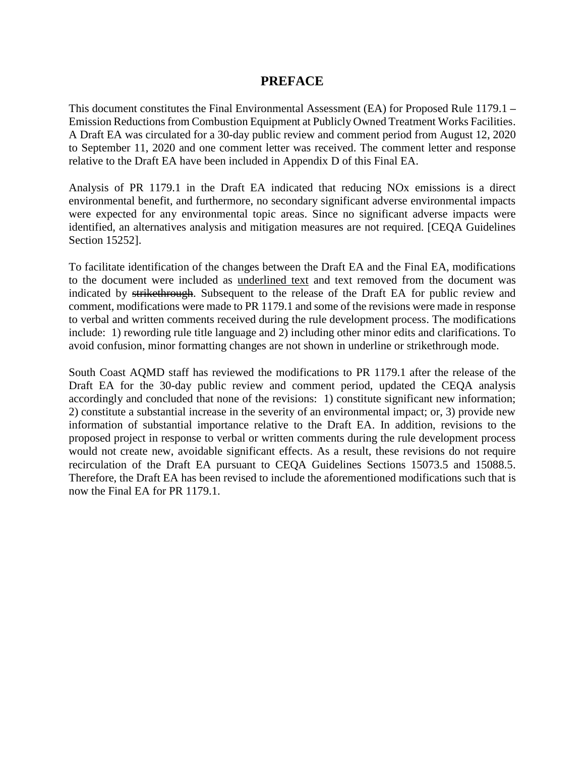### **PREFACE**

This document constitutes the Final Environmental Assessment (EA) for Proposed Rule 1179.1 **–** Emission Reductions from Combustion Equipment at Publicly Owned Treatment Works Facilities. A Draft EA was circulated for a 30-day public review and comment period from August 12, 2020 to September 11, 2020 and one comment letter was received. The comment letter and response relative to the Draft EA have been included in Appendix D of this Final EA.

Analysis of PR 1179.1 in the Draft EA indicated that reducing NOx emissions is a direct environmental benefit, and furthermore, no secondary significant adverse environmental impacts were expected for any environmental topic areas. Since no significant adverse impacts were identified, an alternatives analysis and mitigation measures are not required. [CEQA Guidelines Section 15252].

To facilitate identification of the changes between the Draft EA and the Final EA, modifications to the document were included as underlined text and text removed from the document was indicated by strikethrough. Subsequent to the release of the Draft EA for public review and comment, modifications were made to PR 1179.1 and some of the revisions were made in response to verbal and written comments received during the rule development process. The modifications include: 1) rewording rule title language and 2) including other minor edits and clarifications. To avoid confusion, minor formatting changes are not shown in underline or strikethrough mode.

South Coast AQMD staff has reviewed the modifications to PR 1179.1 after the release of the Draft EA for the 30-day public review and comment period, updated the CEQA analysis accordingly and concluded that none of the revisions: 1) constitute significant new information; 2) constitute a substantial increase in the severity of an environmental impact; or, 3) provide new information of substantial importance relative to the Draft EA. In addition, revisions to the proposed project in response to verbal or written comments during the rule development process would not create new, avoidable significant effects. As a result, these revisions do not require recirculation of the Draft EA pursuant to CEQA Guidelines Sections 15073.5 and 15088.5. Therefore, the Draft EA has been revised to include the aforementioned modifications such that is now the Final EA for PR 1179.1.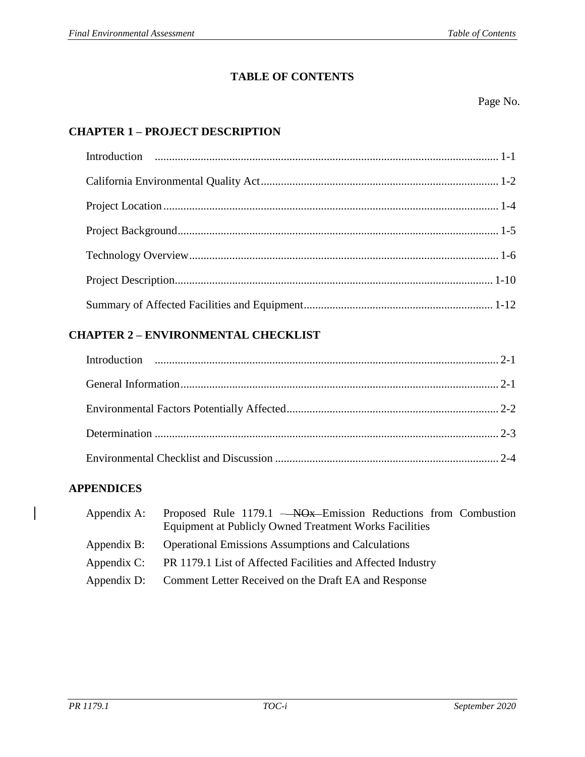### **TABLE OF CONTENTS**

Page No.

## **CHAPTER 1 – PROJECT DESCRIPTION**

### **CHAPTER 2 – ENVIRONMENTAL CHECKLIST**

### **APPENDICES**

| Appendix A: Proposed Rule 1179.1 - NO <sub>x</sub> Emission Reductions from Combustion |
|----------------------------------------------------------------------------------------|
| <b>Equipment at Publicly Owned Treatment Works Facilities</b>                          |
| Appendix B: Operational Emissions Assumptions and Calculations                         |
| Appendix C: PR 1179.1 List of Affected Facilities and Affected Industry                |
| Appendix D: Comment Letter Received on the Draft EA and Response                       |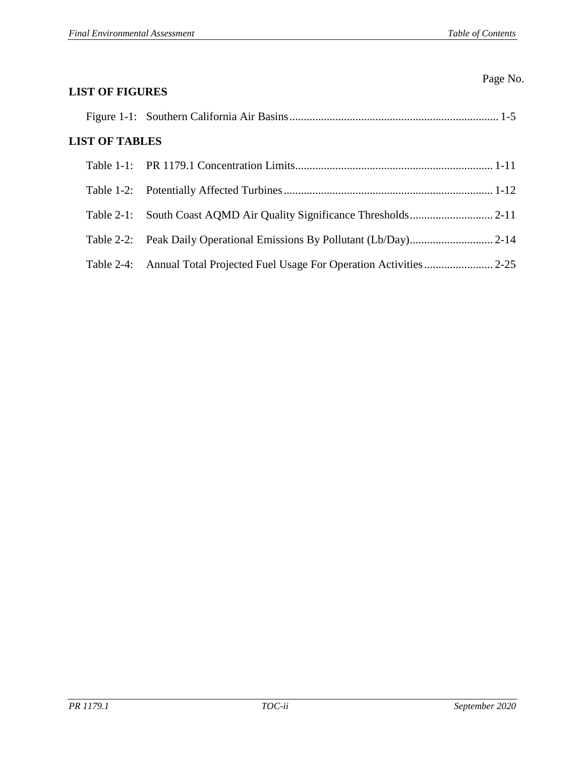| <b>LIST OF FIGURES</b> | Page No. |
|------------------------|----------|
|                        |          |
| <b>LIST OF TABLES</b>  |          |
|                        |          |
|                        |          |
|                        |          |
|                        |          |
| Table $2-4$ :          |          |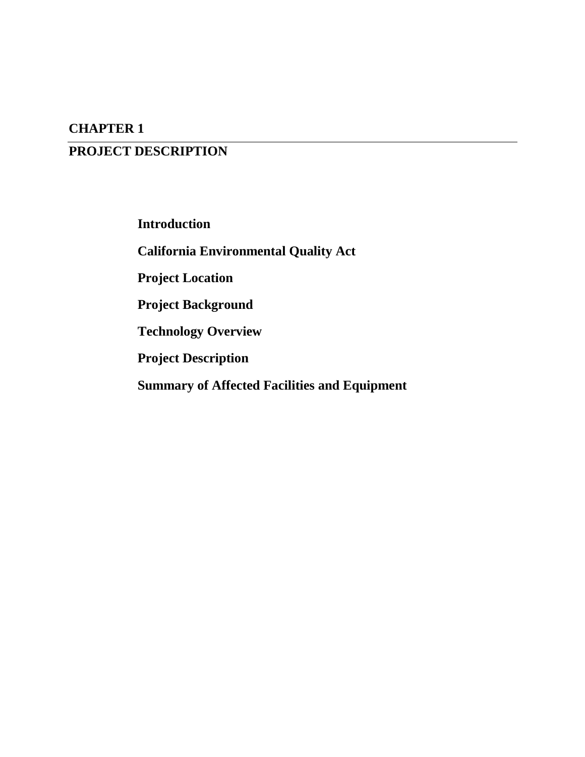## **CHAPTER 1**

# **PROJECT DESCRIPTION**

**Introduction**

**California Environmental Quality Act**

**Project Location**

**Project Background**

**Technology Overview**

**Project Description**

**Summary of Affected Facilities and Equipment**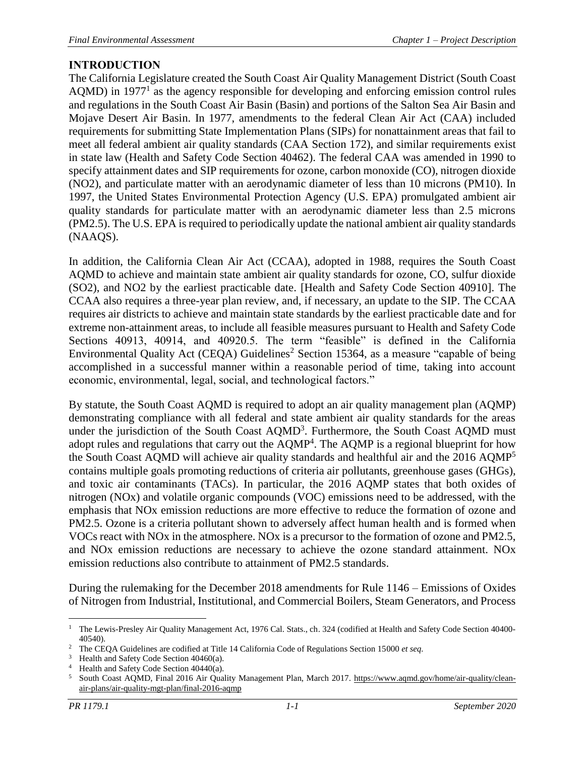## <span id="page-6-0"></span>**INTRODUCTION**

The California Legislature created the South Coast Air Quality Management District (South Coast  $AQMD$ ) in 1977<sup>1</sup> as the agency responsible for developing and enforcing emission control rules and regulations in the South Coast Air Basin (Basin) and portions of the Salton Sea Air Basin and Mojave Desert Air Basin. In 1977, amendments to the federal Clean Air Act (CAA) included requirements for submitting State Implementation Plans (SIPs) for nonattainment areas that fail to meet all federal ambient air quality standards (CAA Section 172), and similar requirements exist in state law (Health and Safety Code Section 40462). The federal CAA was amended in 1990 to specify attainment dates and SIP requirements for ozone, carbon monoxide (CO), nitrogen dioxide (NO2), and particulate matter with an aerodynamic diameter of less than 10 microns (PM10). In 1997, the United States Environmental Protection Agency (U.S. EPA) promulgated ambient air quality standards for particulate matter with an aerodynamic diameter less than 2.5 microns (PM2.5). The U.S. EPA is required to periodically update the national ambient air quality standards (NAAQS).

In addition, the California Clean Air Act (CCAA), adopted in 1988, requires the South Coast AQMD to achieve and maintain state ambient air quality standards for ozone, CO, sulfur dioxide (SO2), and NO2 by the earliest practicable date. [Health and Safety Code Section 40910]. The CCAA also requires a three-year plan review, and, if necessary, an update to the SIP. The CCAA requires air districts to achieve and maintain state standards by the earliest practicable date and for extreme non-attainment areas, to include all feasible measures pursuant to Health and Safety Code Sections 40913, 40914, and 40920.5. The term "feasible" is defined in the California Environmental Quality Act (CEQA) Guidelines<sup>2</sup> Section 15364, as a measure "capable of being accomplished in a successful manner within a reasonable period of time, taking into account economic, environmental, legal, social, and technological factors."

By statute, the South Coast AQMD is required to adopt an air quality management plan (AQMP) demonstrating compliance with all federal and state ambient air quality standards for the areas under the jurisdiction of the South Coast AQMD<sup>3</sup>. Furthermore, the South Coast AQMD must adopt rules and regulations that carry out the  $AQMP<sup>4</sup>$ . The  $AQMP$  is a regional blueprint for how the South Coast AQMD will achieve air quality standards and healthful air and the 2016 AQMP<sup>5</sup> contains multiple goals promoting reductions of criteria air pollutants, greenhouse gases (GHGs), and toxic air contaminants (TACs). In particular, the 2016 AQMP states that both oxides of nitrogen (NOx) and volatile organic compounds (VOC) emissions need to be addressed, with the emphasis that NOx emission reductions are more effective to reduce the formation of ozone and PM2.5. Ozone is a criteria pollutant shown to adversely affect human health and is formed when VOCs react with NOx in the atmosphere. NOx is a precursor to the formation of ozone and PM2.5, and NOx emission reductions are necessary to achieve the ozone standard attainment. NOx emission reductions also contribute to attainment of PM2.5 standards.

During the rulemaking for the December 2018 amendments for Rule 1146 – Emissions of Oxides of Nitrogen from Industrial, Institutional, and Commercial Boilers, Steam Generators, and Process

 $\overline{a}$ <sup>1</sup> The Lewis-Presley Air Quality Management Act, 1976 Cal. Stats., ch. 324 (codified at Health and Safety Code Section 40400-40540).

<sup>2</sup> The CEQA Guidelines are codified at Title 14 California Code of Regulations Section 15000 *et seq.*

Health and Safety Code Section 40460(a).

Health and Safety Code Section 40440(a).

<sup>5</sup> South Coast AQMD, Final 2016 Air Quality Management Plan, March 2017. [https://www.aqmd.gov/home/air-quality/clean](https://www.aqmd.gov/home/air-quality/clean-air-plans/air-quality-mgt-plan/final-2016-aqmp)[air-plans/air-quality-mgt-plan/final-2016-aqmp](https://www.aqmd.gov/home/air-quality/clean-air-plans/air-quality-mgt-plan/final-2016-aqmp)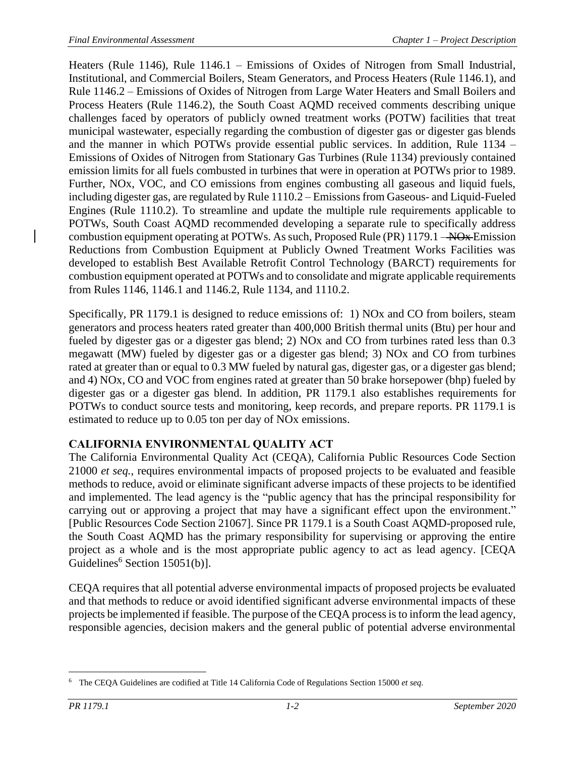Heaters (Rule 1146), Rule 1146.1 – Emissions of Oxides of Nitrogen from Small Industrial, Institutional, and Commercial Boilers, Steam Generators, and Process Heaters (Rule 1146.1), and Rule 1146.2 – Emissions of Oxides of Nitrogen from Large Water Heaters and Small Boilers and Process Heaters (Rule 1146.2), the South Coast AQMD received comments describing unique challenges faced by operators of publicly owned treatment works (POTW) facilities that treat municipal wastewater, especially regarding the combustion of digester gas or digester gas blends and the manner in which POTWs provide essential public services. In addition, Rule 1134 – Emissions of Oxides of Nitrogen from Stationary Gas Turbines (Rule 1134) previously contained emission limits for all fuels combusted in turbines that were in operation at POTWs prior to 1989. Further, NOx, VOC, and CO emissions from engines combusting all gaseous and liquid fuels, including digester gas, are regulated by Rule 1110.2 – Emissions from Gaseous- and Liquid-Fueled Engines (Rule 1110.2). To streamline and update the multiple rule requirements applicable to POTWs, South Coast AQMD recommended developing a separate rule to specifically address combustion equipment operating at POTWs. As such, Proposed Rule (PR) 1179.1 – NOx Emission Reductions from Combustion Equipment at Publicly Owned Treatment Works Facilities was developed to establish Best Available Retrofit Control Technology (BARCT) requirements for combustion equipment operated at POTWs and to consolidate and migrate applicable requirements from Rules 1146, 1146.1 and 1146.2, Rule 1134, and 1110.2.

Specifically, PR 1179.1 is designed to reduce emissions of: 1) NOx and CO from boilers, steam generators and process heaters rated greater than 400,000 British thermal units (Btu) per hour and fueled by digester gas or a digester gas blend; 2) NOx and CO from turbines rated less than 0.3 megawatt (MW) fueled by digester gas or a digester gas blend; 3) NOx and CO from turbines rated at greater than or equal to 0.3 MW fueled by natural gas, digester gas, or a digester gas blend; and 4) NOx, CO and VOC from engines rated at greater than 50 brake horsepower (bhp) fueled by digester gas or a digester gas blend. In addition, PR 1179.1 also establishes requirements for POTWs to conduct source tests and monitoring, keep records, and prepare reports. PR 1179.1 is estimated to reduce up to 0.05 ton per day of NOx emissions.

## <span id="page-7-0"></span>**CALIFORNIA ENVIRONMENTAL QUALITY ACT**

The California Environmental Quality Act (CEQA), California Public Resources Code Section 21000 *et seq.*, requires environmental impacts of proposed projects to be evaluated and feasible methods to reduce, avoid or eliminate significant adverse impacts of these projects to be identified and implemented. The lead agency is the "public agency that has the principal responsibility for carrying out or approving a project that may have a significant effect upon the environment." [Public Resources Code Section 21067]. Since PR 1179.1 is a South Coast AQMD-proposed rule, the South Coast AQMD has the primary responsibility for supervising or approving the entire project as a whole and is the most appropriate public agency to act as lead agency. [CEQA Guidelines<sup>6</sup> Section  $15051(b)$ ].

CEQA requires that all potential adverse environmental impacts of proposed projects be evaluated and that methods to reduce or avoid identified significant adverse environmental impacts of these projects be implemented if feasible. The purpose of the CEQA process is to inform the lead agency, responsible agencies, decision makers and the general public of potential adverse environmental

 $\overline{a}$ <sup>6</sup> The CEQA Guidelines are codified at Title 14 California Code of Regulations Section 15000 *et seq.*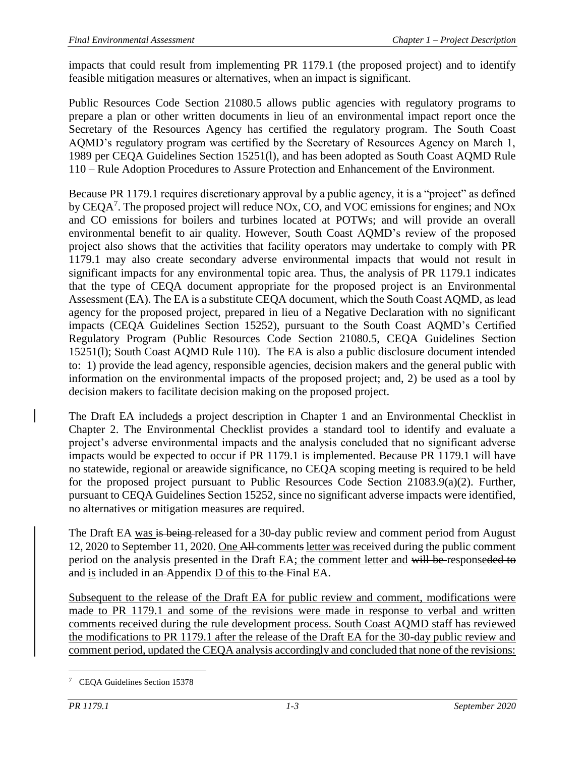impacts that could result from implementing PR 1179.1 (the proposed project) and to identify feasible mitigation measures or alternatives, when an impact is significant.

Public Resources Code Section 21080.5 allows public agencies with regulatory programs to prepare a plan or other written documents in lieu of an environmental impact report once the Secretary of the Resources Agency has certified the regulatory program. The South Coast AQMD's regulatory program was certified by the Secretary of Resources Agency on March 1, 1989 per CEQA Guidelines Section 15251(l), and has been adopted as South Coast AQMD Rule 110 – Rule Adoption Procedures to Assure Protection and Enhancement of the Environment.

Because PR 1179.1 requires discretionary approval by a public agency, it is a "project" as defined by CEQA<sup>7</sup>. The proposed project will reduce NOx, CO, and VOC emissions for engines; and NOx and CO emissions for boilers and turbines located at POTWs; and will provide an overall environmental benefit to air quality. However, South Coast AQMD's review of the proposed project also shows that the activities that facility operators may undertake to comply with PR 1179.1 may also create secondary adverse environmental impacts that would not result in significant impacts for any environmental topic area. Thus, the analysis of PR 1179.1 indicates that the type of CEQA document appropriate for the proposed project is an Environmental Assessment (EA). The EA is a substitute CEQA document, which the South Coast AQMD, as lead agency for the proposed project, prepared in lieu of a Negative Declaration with no significant impacts (CEQA Guidelines Section 15252), pursuant to the South Coast AQMD's Certified Regulatory Program (Public Resources Code Section 21080.5, CEQA Guidelines Section 15251(l); South Coast AQMD Rule 110). The EA is also a public disclosure document intended to: 1) provide the lead agency, responsible agencies, decision makers and the general public with information on the environmental impacts of the proposed project; and, 2) be used as a tool by decision makers to facilitate decision making on the proposed project.

The Draft EA includeds a project description in Chapter 1 and an Environmental Checklist in Chapter 2. The Environmental Checklist provides a standard tool to identify and evaluate a project's adverse environmental impacts and the analysis concluded that no significant adverse impacts would be expected to occur if PR 1179.1 is implemented. Because PR 1179.1 will have no statewide, regional or areawide significance, no CEQA scoping meeting is required to be held for the proposed project pursuant to Public Resources Code Section 21083.9(a)(2). Further, pursuant to CEQA Guidelines Section 15252, since no significant adverse impacts were identified, no alternatives or mitigation measures are required.

The Draft EA was is being-released for a 30-day public review and comment period from August 12, 2020 to September 11, 2020. One All comments letter was received during the public comment period on the analysis presented in the Draft EA; the comment letter and will be responseded to and is included in an-Appendix D of this to the Final EA.

Subsequent to the release of the Draft EA for public review and comment, modifications were made to PR 1179.1 and some of the revisions were made in response to verbal and written comments received during the rule development process. South Coast AQMD staff has reviewed the modifications to PR 1179.1 after the release of the Draft EA for the 30-day public review and comment period, updated the CEQA analysis accordingly and concluded that none of the revisions:

 $\overline{a}$ <sup>7</sup> CEQA Guidelines Section 15378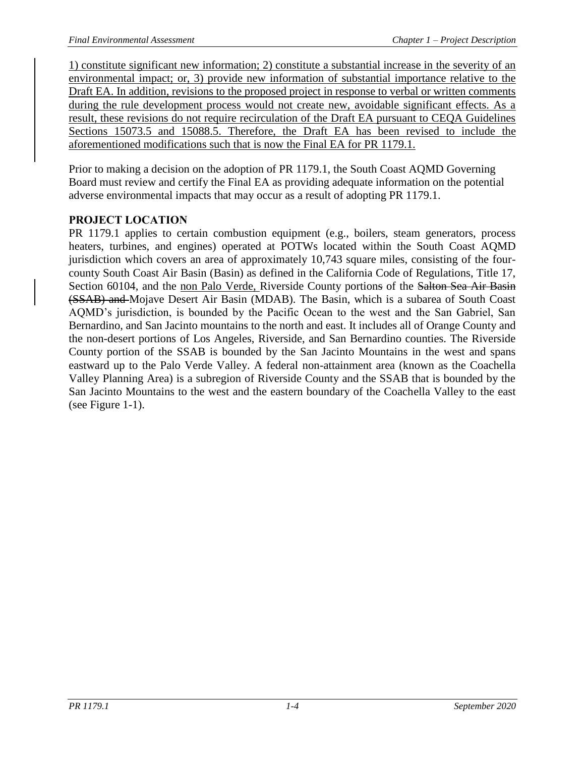1) constitute significant new information; 2) constitute a substantial increase in the severity of an environmental impact; or, 3) provide new information of substantial importance relative to the Draft EA. In addition, revisions to the proposed project in response to verbal or written comments during the rule development process would not create new, avoidable significant effects. As a result, these revisions do not require recirculation of the Draft EA pursuant to CEQA Guidelines Sections 15073.5 and 15088.5. Therefore, the Draft EA has been revised to include the aforementioned modifications such that is now the Final EA for PR 1179.1.

Prior to making a decision on the adoption of PR 1179.1, the South Coast AQMD Governing Board must review and certify the Final EA as providing adequate information on the potential adverse environmental impacts that may occur as a result of adopting PR 1179.1.

### <span id="page-9-0"></span>**PROJECT LOCATION**

PR 1179.1 applies to certain combustion equipment (e.g., boilers, steam generators, process heaters, turbines, and engines) operated at POTWs located within the South Coast AQMD jurisdiction which covers an area of approximately 10,743 square miles, consisting of the fourcounty South Coast Air Basin (Basin) as defined in the California Code of Regulations, Title 17, Section 60104, and the non Palo Verde, Riverside County portions of the Salton Sea Air Basin (SSAB) and Mojave Desert Air Basin (MDAB). The Basin, which is a subarea of South Coast AQMD's jurisdiction, is bounded by the Pacific Ocean to the west and the San Gabriel, San Bernardino, and San Jacinto mountains to the north and east. It includes all of Orange County and the non-desert portions of Los Angeles, Riverside, and San Bernardino counties. The Riverside County portion of the SSAB is bounded by the San Jacinto Mountains in the west and spans eastward up to the Palo Verde Valley. A federal non-attainment area (known as the Coachella Valley Planning Area) is a subregion of Riverside County and the SSAB that is bounded by the San Jacinto Mountains to the west and the eastern boundary of the Coachella Valley to the east (see Figure 1-1).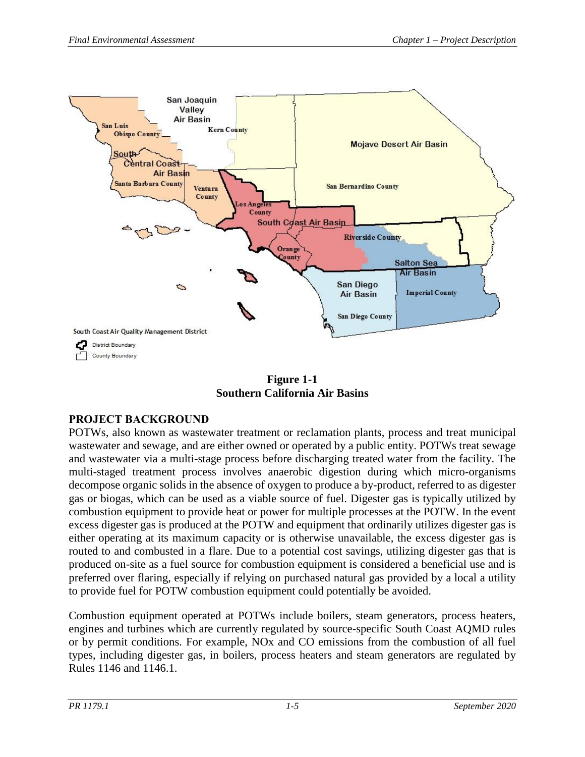

**Figure 1-1 Southern California Air Basins**

### <span id="page-10-1"></span><span id="page-10-0"></span>**PROJECT BACKGROUND**

POTWs, also known as wastewater treatment or reclamation plants, process and treat municipal wastewater and sewage, and are either owned or operated by a public entity. POTWs treat sewage and wastewater via a multi-stage process before discharging treated water from the facility. The multi-staged treatment process involves anaerobic digestion during which micro-organisms decompose organic solids in the absence of oxygen to produce a by-product, referred to as digester gas or biogas, which can be used as a viable source of fuel. Digester gas is typically utilized by combustion equipment to provide heat or power for multiple processes at the POTW. In the event excess digester gas is produced at the POTW and equipment that ordinarily utilizes digester gas is either operating at its maximum capacity or is otherwise unavailable, the excess digester gas is routed to and combusted in a flare. Due to a potential cost savings, utilizing digester gas that is produced on-site as a fuel source for combustion equipment is considered a beneficial use and is preferred over flaring, especially if relying on purchased natural gas provided by a local a utility to provide fuel for POTW combustion equipment could potentially be avoided.

Combustion equipment operated at POTWs include boilers, steam generators, process heaters, engines and turbines which are currently regulated by source-specific South Coast AQMD rules or by permit conditions. For example, NOx and CO emissions from the combustion of all fuel types, including digester gas, in boilers, process heaters and steam generators are regulated by Rules 1146 and 1146.1.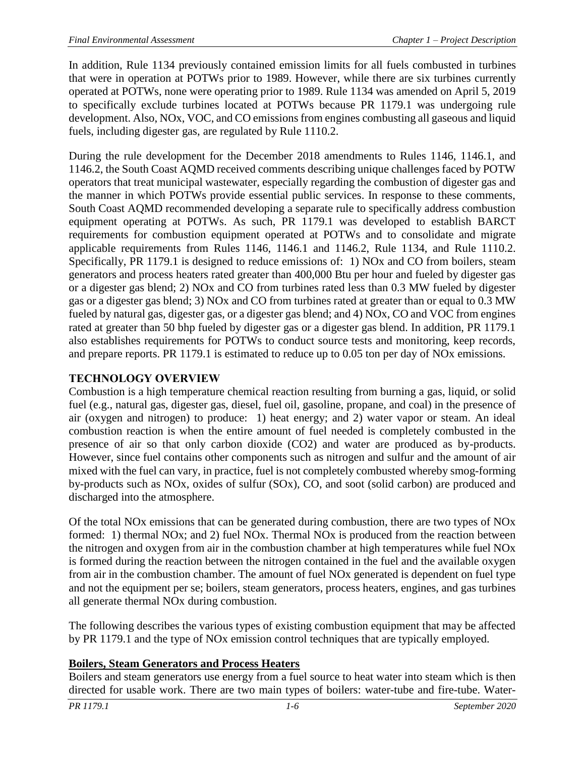In addition, Rule 1134 previously contained emission limits for all fuels combusted in turbines that were in operation at POTWs prior to 1989. However, while there are six turbines currently operated at POTWs, none were operating prior to 1989. Rule 1134 was amended on April 5, 2019 to specifically exclude turbines located at POTWs because PR 1179.1 was undergoing rule development. Also, NOx, VOC, and CO emissions from engines combusting all gaseous and liquid fuels, including digester gas, are regulated by Rule 1110.2.

During the rule development for the December 2018 amendments to Rules 1146, 1146.1, and 1146.2, the South Coast AQMD received comments describing unique challenges faced by POTW operators that treat municipal wastewater, especially regarding the combustion of digester gas and the manner in which POTWs provide essential public services. In response to these comments, South Coast AQMD recommended developing a separate rule to specifically address combustion equipment operating at POTWs. As such, PR 1179.1 was developed to establish BARCT requirements for combustion equipment operated at POTWs and to consolidate and migrate applicable requirements from Rules 1146, 1146.1 and 1146.2, Rule 1134, and Rule 1110.2. Specifically, PR 1179.1 is designed to reduce emissions of: 1) NOx and CO from boilers, steam generators and process heaters rated greater than 400,000 Btu per hour and fueled by digester gas or a digester gas blend; 2) NOx and CO from turbines rated less than 0.3 MW fueled by digester gas or a digester gas blend; 3) NOx and CO from turbines rated at greater than or equal to 0.3 MW fueled by natural gas, digester gas, or a digester gas blend; and 4) NOx, CO and VOC from engines rated at greater than 50 bhp fueled by digester gas or a digester gas blend. In addition, PR 1179.1 also establishes requirements for POTWs to conduct source tests and monitoring, keep records, and prepare reports. PR 1179.1 is estimated to reduce up to 0.05 ton per day of NOx emissions.

### <span id="page-11-0"></span>**TECHNOLOGY OVERVIEW**

Combustion is a high temperature chemical reaction resulting from burning a gas, liquid, or solid fuel (e.g., natural gas, digester gas, diesel, fuel oil, gasoline, propane, and coal) in the presence of air (oxygen and nitrogen) to produce: 1) heat energy; and 2) water vapor or steam. An ideal combustion reaction is when the entire amount of fuel needed is completely combusted in the presence of air so that only carbon dioxide (CO2) and water are produced as by-products. However, since fuel contains other components such as nitrogen and sulfur and the amount of air mixed with the fuel can vary, in practice, fuel is not completely combusted whereby smog-forming by-products such as NOx, oxides of sulfur (SOx), CO, and soot (solid carbon) are produced and discharged into the atmosphere.

Of the total NOx emissions that can be generated during combustion, there are two types of NOx formed: 1) thermal NOx; and 2) fuel NOx. Thermal NOx is produced from the reaction between the nitrogen and oxygen from air in the combustion chamber at high temperatures while fuel NOx is formed during the reaction between the nitrogen contained in the fuel and the available oxygen from air in the combustion chamber. The amount of fuel NOx generated is dependent on fuel type and not the equipment per se; boilers, steam generators, process heaters, engines, and gas turbines all generate thermal NOx during combustion.

The following describes the various types of existing combustion equipment that may be affected by PR 1179.1 and the type of NOx emission control techniques that are typically employed.

### **Boilers, Steam Generators and Process Heaters**

Boilers and steam generators use energy from a fuel source to heat water into steam which is then directed for usable work. There are two main types of boilers: water-tube and fire-tube. Water-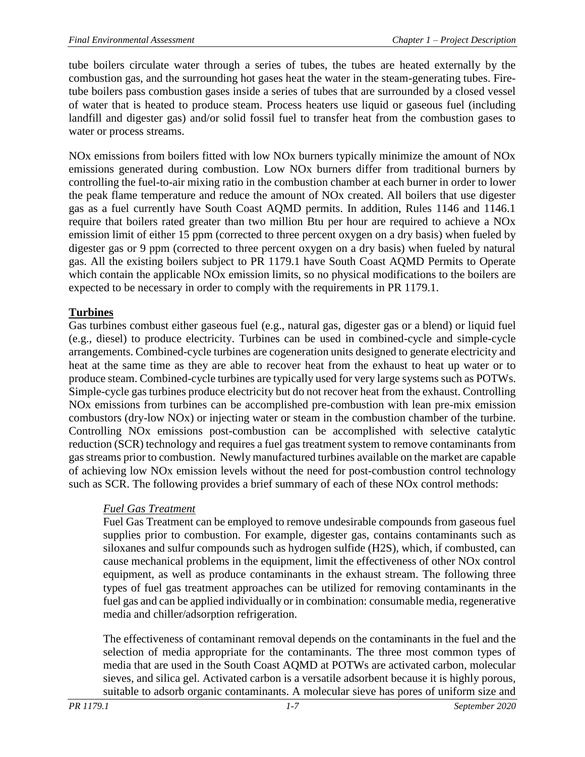tube boilers circulate water through a series of tubes, the tubes are heated externally by the combustion gas, and the surrounding hot gases heat the water in the steam-generating tubes. Firetube boilers pass combustion gases inside a series of tubes that are surrounded by a closed vessel of water that is heated to produce steam. Process heaters use liquid or gaseous fuel (including landfill and digester gas) and/or solid fossil fuel to transfer heat from the combustion gases to water or process streams.

NOx emissions from boilers fitted with low NOx burners typically minimize the amount of NOx emissions generated during combustion. Low NOx burners differ from traditional burners by controlling the fuel-to-air mixing ratio in the combustion chamber at each burner in order to lower the peak flame temperature and reduce the amount of NOx created. All boilers that use digester gas as a fuel currently have South Coast AQMD permits. In addition, Rules 1146 and 1146.1 require that boilers rated greater than two million Btu per hour are required to achieve a NOx emission limit of either 15 ppm (corrected to three percent oxygen on a dry basis) when fueled by digester gas or 9 ppm (corrected to three percent oxygen on a dry basis) when fueled by natural gas. All the existing boilers subject to PR 1179.1 have South Coast AQMD Permits to Operate which contain the applicable NO<sub>x</sub> emission limits, so no physical modifications to the boilers are expected to be necessary in order to comply with the requirements in PR 1179.1.

### **Turbines**

Gas turbines combust either gaseous fuel (e.g., natural gas, digester gas or a blend) or liquid fuel (e.g., diesel) to produce electricity. Turbines can be used in combined-cycle and simple-cycle arrangements. Combined-cycle turbines are cogeneration units designed to generate electricity and heat at the same time as they are able to recover heat from the exhaust to heat up water or to produce steam. Combined-cycle turbines are typically used for very large systems such as POTWs. Simple-cycle gas turbines produce electricity but do not recover heat from the exhaust. Controlling NOx emissions from turbines can be accomplished pre-combustion with lean pre-mix emission combustors (dry-low NOx) or injecting water or steam in the combustion chamber of the turbine. Controlling NOx emissions post-combustion can be accomplished with selective catalytic reduction (SCR) technology and requires a fuel gas treatment system to remove contaminants from gas streams prior to combustion. Newly manufactured turbines available on the market are capable of achieving low NOx emission levels without the need for post-combustion control technology such as SCR. The following provides a brief summary of each of these NOx control methods:

### *Fuel Gas Treatment*

Fuel Gas Treatment can be employed to remove undesirable compounds from gaseous fuel supplies prior to combustion. For example, digester gas, contains contaminants such as siloxanes and sulfur compounds such as hydrogen sulfide (H2S), which, if combusted, can cause mechanical problems in the equipment, limit the effectiveness of other NOx control equipment, as well as produce contaminants in the exhaust stream. The following three types of fuel gas treatment approaches can be utilized for removing contaminants in the fuel gas and can be applied individually or in combination: consumable media, regenerative media and chiller/adsorption refrigeration.

The effectiveness of contaminant removal depends on the contaminants in the fuel and the selection of media appropriate for the contaminants. The three most common types of media that are used in the South Coast AQMD at POTWs are activated carbon, molecular sieves, and silica gel. Activated carbon is a versatile adsorbent because it is highly porous, suitable to adsorb organic contaminants. A molecular sieve has pores of uniform size and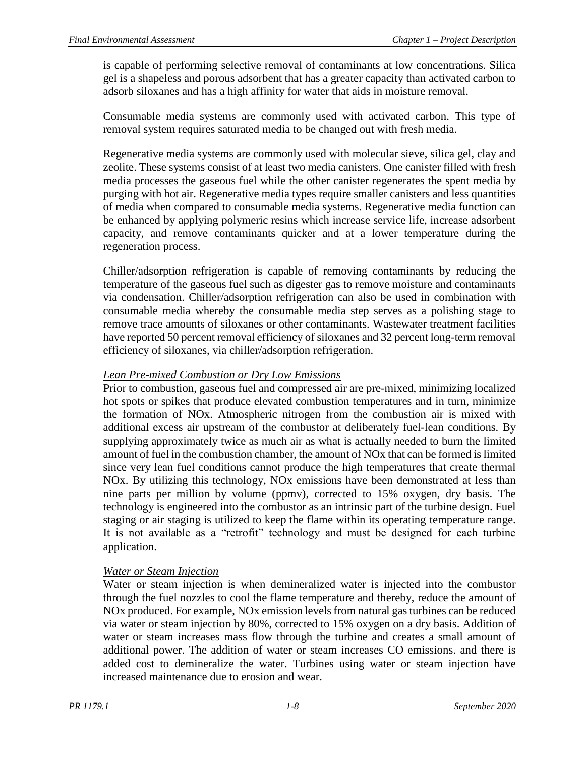is capable of performing selective removal of contaminants at low concentrations. Silica gel is a shapeless and porous adsorbent that has a greater capacity than activated carbon to adsorb siloxanes and has a high affinity for water that aids in moisture removal.

Consumable media systems are commonly used with activated carbon. This type of removal system requires saturated media to be changed out with fresh media.

Regenerative media systems are commonly used with molecular sieve, silica gel, clay and zeolite. These systems consist of at least two media canisters. One canister filled with fresh media processes the gaseous fuel while the other canister regenerates the spent media by purging with hot air. Regenerative media types require smaller canisters and less quantities of media when compared to consumable media systems. Regenerative media function can be enhanced by applying polymeric resins which increase service life, increase adsorbent capacity, and remove contaminants quicker and at a lower temperature during the regeneration process.

Chiller/adsorption refrigeration is capable of removing contaminants by reducing the temperature of the gaseous fuel such as digester gas to remove moisture and contaminants via condensation. Chiller/adsorption refrigeration can also be used in combination with consumable media whereby the consumable media step serves as a polishing stage to remove trace amounts of siloxanes or other contaminants. Wastewater treatment facilities have reported 50 percent removal efficiency of siloxanes and 32 percent long-term removal efficiency of siloxanes, via chiller/adsorption refrigeration.

### *Lean Pre-mixed Combustion or Dry Low Emissions*

Prior to combustion, gaseous fuel and compressed air are pre-mixed, minimizing localized hot spots or spikes that produce elevated combustion temperatures and in turn, minimize the formation of NOx. Atmospheric nitrogen from the combustion air is mixed with additional excess air upstream of the combustor at deliberately fuel-lean conditions. By supplying approximately twice as much air as what is actually needed to burn the limited amount of fuel in the combustion chamber, the amount of NOx that can be formed is limited since very lean fuel conditions cannot produce the high temperatures that create thermal NOx. By utilizing this technology, NOx emissions have been demonstrated at less than nine parts per million by volume (ppmv), corrected to 15% oxygen, dry basis. The technology is engineered into the combustor as an intrinsic part of the turbine design. Fuel staging or air staging is utilized to keep the flame within its operating temperature range. It is not available as a "retrofit" technology and must be designed for each turbine application.

### *Water or Steam Injection*

Water or steam injection is when demineralized water is injected into the combustor through the fuel nozzles to cool the flame temperature and thereby, reduce the amount of NOx produced. For example, NOx emission levels from natural gas turbines can be reduced via water or steam injection by 80%, corrected to 15% oxygen on a dry basis. Addition of water or steam increases mass flow through the turbine and creates a small amount of additional power. The addition of water or steam increases CO emissions. and there is added cost to demineralize the water. Turbines using water or steam injection have increased maintenance due to erosion and wear.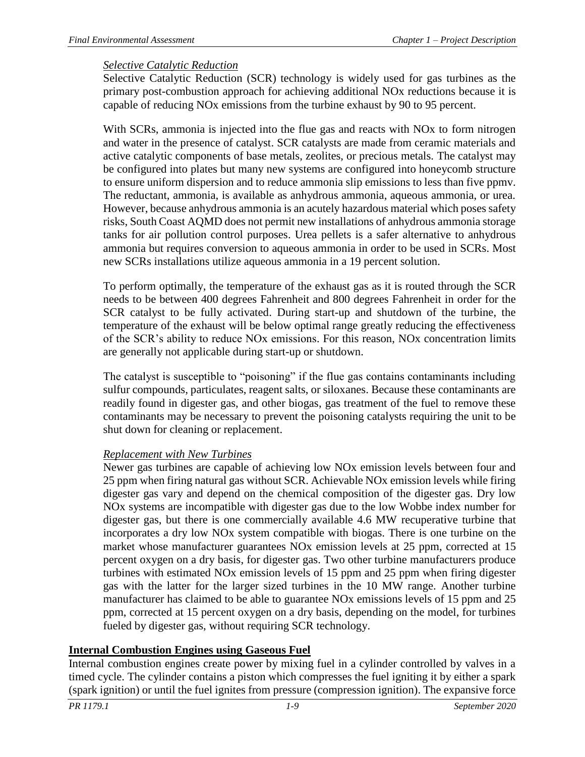#### *Selective Catalytic Reduction*

Selective Catalytic Reduction (SCR) technology is widely used for gas turbines as the primary post-combustion approach for achieving additional NOx reductions because it is capable of reducing NOx emissions from the turbine exhaust by 90 to 95 percent.

With SCRs, ammonia is injected into the flue gas and reacts with NOx to form nitrogen and water in the presence of catalyst. SCR catalysts are made from ceramic materials and active catalytic components of base metals, zeolites, or precious metals. The catalyst may be configured into plates but many new systems are configured into honeycomb structure to ensure uniform dispersion and to reduce ammonia slip emissions to less than five ppmv. The reductant, ammonia, is available as anhydrous ammonia, aqueous ammonia, or urea. However, because anhydrous ammonia is an acutely hazardous material which poses safety risks, South Coast AQMD does not permit new installations of anhydrous ammonia storage tanks for air pollution control purposes. Urea pellets is a safer alternative to anhydrous ammonia but requires conversion to aqueous ammonia in order to be used in SCRs. Most new SCRs installations utilize aqueous ammonia in a 19 percent solution.

To perform optimally, the temperature of the exhaust gas as it is routed through the SCR needs to be between 400 degrees Fahrenheit and 800 degrees Fahrenheit in order for the SCR catalyst to be fully activated. During start-up and shutdown of the turbine, the temperature of the exhaust will be below optimal range greatly reducing the effectiveness of the SCR's ability to reduce NOx emissions. For this reason, NOx concentration limits are generally not applicable during start-up or shutdown.

The catalyst is susceptible to "poisoning" if the flue gas contains contaminants including sulfur compounds, particulates, reagent salts, or siloxanes. Because these contaminants are readily found in digester gas, and other biogas, gas treatment of the fuel to remove these contaminants may be necessary to prevent the poisoning catalysts requiring the unit to be shut down for cleaning or replacement.

### *Replacement with New Turbines*

Newer gas turbines are capable of achieving low NOx emission levels between four and 25 ppm when firing natural gas without SCR. Achievable NOx emission levels while firing digester gas vary and depend on the chemical composition of the digester gas. Dry low NOx systems are incompatible with digester gas due to the low Wobbe index number for digester gas, but there is one commercially available 4.6 MW recuperative turbine that incorporates a dry low NOx system compatible with biogas. There is one turbine on the market whose manufacturer guarantees NOx emission levels at 25 ppm, corrected at 15 percent oxygen on a dry basis, for digester gas. Two other turbine manufacturers produce turbines with estimated NOx emission levels of 15 ppm and 25 ppm when firing digester gas with the latter for the larger sized turbines in the 10 MW range. Another turbine manufacturer has claimed to be able to guarantee NOx emissions levels of 15 ppm and 25 ppm, corrected at 15 percent oxygen on a dry basis, depending on the model, for turbines fueled by digester gas, without requiring SCR technology.

### **Internal Combustion Engines using Gaseous Fuel**

Internal combustion engines create power by mixing fuel in a cylinder controlled by valves in a timed cycle. The cylinder contains a piston which compresses the fuel igniting it by either a spark (spark ignition) or until the fuel ignites from pressure (compression ignition). The expansive force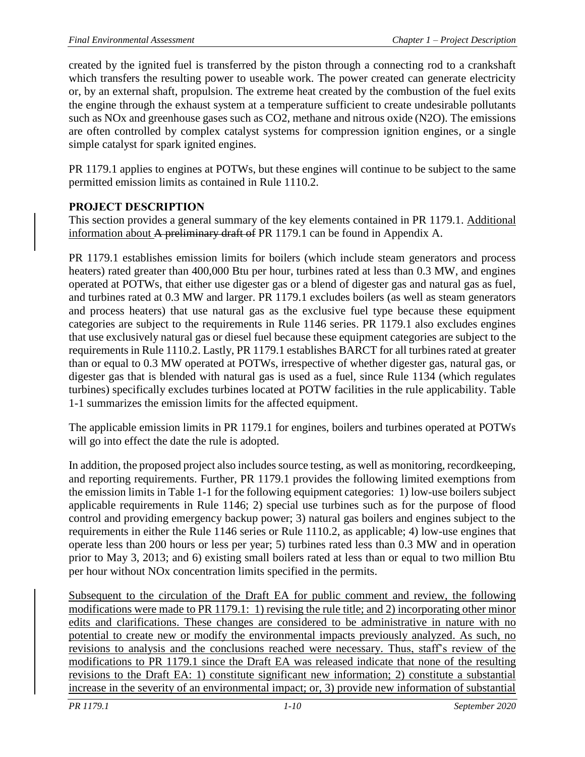created by the ignited fuel is transferred by the piston through a connecting rod to a crankshaft which transfers the resulting power to useable work. The power created can generate electricity or, by an external shaft, propulsion. The extreme heat created by the combustion of the fuel exits the engine through the exhaust system at a temperature sufficient to create undesirable pollutants such as NOx and greenhouse gases such as CO2, methane and nitrous oxide (N2O). The emissions are often controlled by complex catalyst systems for compression ignition engines, or a single simple catalyst for spark ignited engines.

PR 1179.1 applies to engines at POTWs, but these engines will continue to be subject to the same permitted emission limits as contained in Rule 1110.2.

### <span id="page-15-0"></span>**PROJECT DESCRIPTION**

This section provides a general summary of the key elements contained in PR 1179.1. Additional information about A preliminary draft of PR 1179.1 can be found in Appendix A.

PR 1179.1 establishes emission limits for boilers (which include steam generators and process heaters) rated greater than 400,000 Btu per hour, turbines rated at less than 0.3 MW, and engines operated at POTWs, that either use digester gas or a blend of digester gas and natural gas as fuel, and turbines rated at 0.3 MW and larger. PR 1179.1 excludes boilers (as well as steam generators and process heaters) that use natural gas as the exclusive fuel type because these equipment categories are subject to the requirements in Rule 1146 series. PR 1179.1 also excludes engines that use exclusively natural gas or diesel fuel because these equipment categories are subject to the requirements in Rule 1110.2. Lastly, PR 1179.1 establishes BARCT for all turbines rated at greater than or equal to 0.3 MW operated at POTWs, irrespective of whether digester gas, natural gas, or digester gas that is blended with natural gas is used as a fuel, since Rule 1134 (which regulates turbines) specifically excludes turbines located at POTW facilities in the rule applicability. Table 1-1 summarizes the emission limits for the affected equipment.

The applicable emission limits in PR 1179.1 for engines, boilers and turbines operated at POTWs will go into effect the date the rule is adopted.

In addition, the proposed project also includes source testing, as well as monitoring, recordkeeping, and reporting requirements. Further, PR 1179.1 provides the following limited exemptions from the emission limits in Table 1-1 for the following equipment categories: 1) low-use boilers subject applicable requirements in Rule 1146; 2) special use turbines such as for the purpose of flood control and providing emergency backup power; 3) natural gas boilers and engines subject to the requirements in either the Rule 1146 series or Rule 1110.2, as applicable; 4) low-use engines that operate less than 200 hours or less per year; 5) turbines rated less than 0.3 MW and in operation prior to May 3, 2013; and 6) existing small boilers rated at less than or equal to two million Btu per hour without NOx concentration limits specified in the permits.

Subsequent to the circulation of the Draft EA for public comment and review, the following modifications were made to PR 1179.1: 1) revising the rule title; and 2) incorporating other minor edits and clarifications. These changes are considered to be administrative in nature with no potential to create new or modify the environmental impacts previously analyzed. As such, no revisions to analysis and the conclusions reached were necessary. Thus, staff's review of the modifications to PR 1179.1 since the Draft EA was released indicate that none of the resulting revisions to the Draft EA: 1) constitute significant new information; 2) constitute a substantial increase in the severity of an environmental impact; or, 3) provide new information of substantial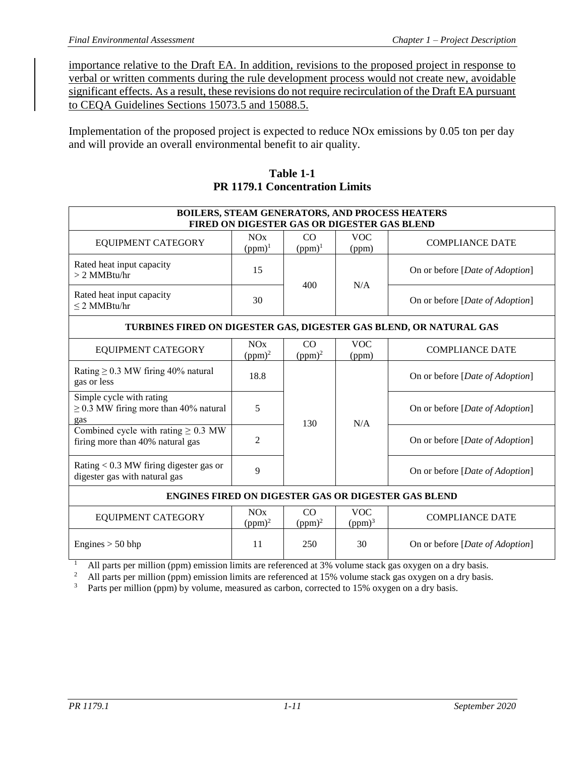importance relative to the Draft EA. In addition, revisions to the proposed project in response to verbal or written comments during the rule development process would not create new, avoidable significant effects. As a result, these revisions do not require recirculation of the Draft EA pursuant to CEQA Guidelines Sections 15073.5 and 15088.5.

Implementation of the proposed project is expected to reduce NOx emissions by 0.05 ton per day and will provide an overall environmental benefit to air quality.

<span id="page-16-1"></span>

|                                                                               |                                    |                 |                                             | BOILERS, STEAM GENERATORS, AND PROCESS HEATERS                     |
|-------------------------------------------------------------------------------|------------------------------------|-----------------|---------------------------------------------|--------------------------------------------------------------------|
|                                                                               |                                    |                 | FIRED ON DIGESTER GAS OR DIGESTER GAS BLEND |                                                                    |
| EQUIPMENT CATEGORY                                                            | NOx<br>$(ppm)^1$                   | CO<br>$(ppm)^1$ | <b>VOC</b><br>(ppm)                         | <b>COMPLIANCE DATE</b>                                             |
| Rated heat input capacity<br>$> 2$ MMBtu/hr                                   | 15                                 |                 |                                             | On or before [ <i>Date of Adoption</i> ]                           |
| Rated heat input capacity<br>$\leq$ 2 MMBtu/hr                                | 30                                 | 400             | N/A                                         | On or before [ <i>Date of Adoption</i> ]                           |
|                                                                               |                                    |                 |                                             | TURBINES FIRED ON DIGESTER GAS, DIGESTER GAS BLEND, OR NATURAL GAS |
| <b>EQUIPMENT CATEGORY</b>                                                     | <b>NO<sub>x</sub></b><br>$(ppm)^2$ | CO<br>$(ppm)^2$ | <b>VOC</b><br>(ppm)                         | <b>COMPLIANCE DATE</b>                                             |
| Rating $\geq$ 0.3 MW firing 40% natural<br>gas or less                        | 18.8                               |                 |                                             | On or before [Date of Adoption]                                    |
| Simple cycle with rating<br>$\geq$ 0.3 MW firing more than 40% natural<br>gas | 5                                  | 130             | N/A                                         | On or before [ <i>Date of Adoption</i> ]                           |
| Combined cycle with rating $\geq 0.3$ MW<br>firing more than 40% natural gas  | 2                                  |                 |                                             | On or before [ <i>Date of Adoption</i> ]                           |
| Rating $< 0.3$ MW firing digester gas or<br>digester gas with natural gas     | 9                                  |                 |                                             | On or before [ <i>Date of Adoption</i> ]                           |
|                                                                               |                                    |                 |                                             | <b>ENGINES FIRED ON DIGESTER GAS OR DIGESTER GAS BLEND</b>         |
| <b>EQUIPMENT CATEGORY</b>                                                     | NOx<br>$(ppm)^2$                   | CO<br>$(ppm)^2$ | <b>VOC</b><br>(ppm) <sup>3</sup>            | <b>COMPLIANCE DATE</b>                                             |
| Engines $> 50$ bhp                                                            | 11                                 | 250             | 30                                          | On or before [Date of Adoption]                                    |

**Table 1-1 PR 1179.1 Concentration Limits**

All parts per million (ppm) emission limits are referenced at 3% volume stack gas oxygen on a dry basis.

<sup>2</sup> All parts per million (ppm) emission limits are referenced at 15% volume stack gas oxygen on a dry basis.

<span id="page-16-0"></span><sup>3</sup> Parts per million (ppm) by volume, measured as carbon, corrected to 15% oxygen on a dry basis.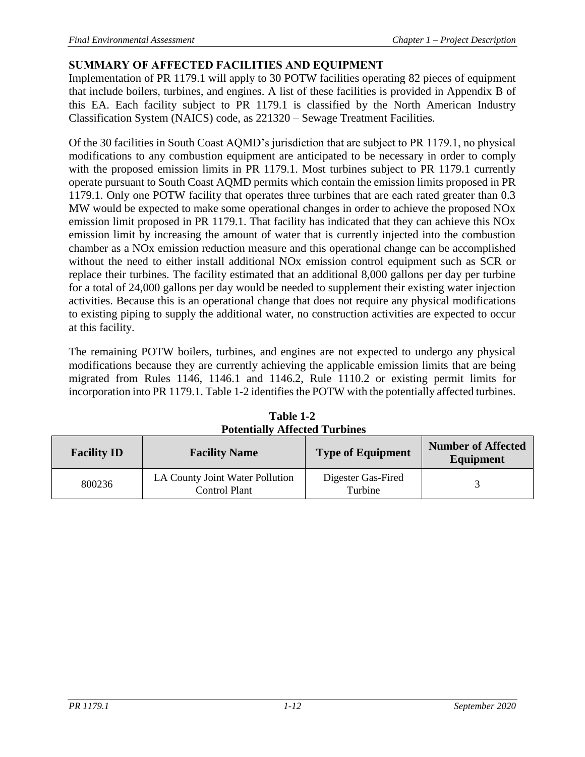## **SUMMARY OF AFFECTED FACILITIES AND EQUIPMENT**

Implementation of PR 1179.1 will apply to 30 POTW facilities operating 82 pieces of equipment that include boilers, turbines, and engines. A list of these facilities is provided in Appendix B of this EA. Each facility subject to PR 1179.1 is classified by the North American Industry Classification System (NAICS) code, as 221320 – Sewage Treatment Facilities.

Of the 30 facilities in South Coast AQMD's jurisdiction that are subject to PR 1179.1, no physical modifications to any combustion equipment are anticipated to be necessary in order to comply with the proposed emission limits in PR 1179.1. Most turbines subject to PR 1179.1 currently operate pursuant to South Coast AQMD permits which contain the emission limits proposed in PR 1179.1. Only one POTW facility that operates three turbines that are each rated greater than 0.3 MW would be expected to make some operational changes in order to achieve the proposed NOx emission limit proposed in PR 1179.1. That facility has indicated that they can achieve this NOx emission limit by increasing the amount of water that is currently injected into the combustion chamber as a NOx emission reduction measure and this operational change can be accomplished without the need to either install additional NOx emission control equipment such as SCR or replace their turbines. The facility estimated that an additional 8,000 gallons per day per turbine for a total of 24,000 gallons per day would be needed to supplement their existing water injection activities. Because this is an operational change that does not require any physical modifications to existing piping to supply the additional water, no construction activities are expected to occur at this facility.

The remaining POTW boilers, turbines, and engines are not expected to undergo any physical modifications because they are currently achieving the applicable emission limits that are being migrated from Rules 1146, 1146.1 and 1146.2, Rule 1110.2 or existing permit limits for incorporation into PR 1179.1. Table 1-2 identifies the POTW with the potentially affected turbines.

<span id="page-17-0"></span>

| <b>Facility ID</b><br><b>Facility Name</b> |                                                         | <b>Type of Equipment</b>      | <b>Number of Affected</b><br>Equipment |  |  |  |  |
|--------------------------------------------|---------------------------------------------------------|-------------------------------|----------------------------------------|--|--|--|--|
| 800236                                     | LA County Joint Water Pollution<br><b>Control Plant</b> | Digester Gas-Fired<br>Turbine |                                        |  |  |  |  |

**Table 1-2 Potentially Affected Turbines**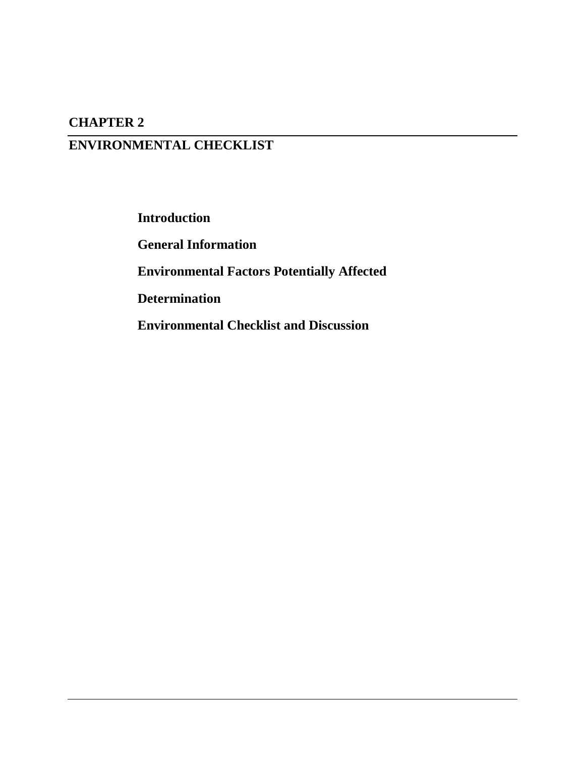## **CHAPTER 2**

# **ENVIRONMENTAL CHECKLIST**

**Introduction**

**General Information**

**Environmental Factors Potentially Affected**

**Determination**

**Environmental Checklist and Discussion**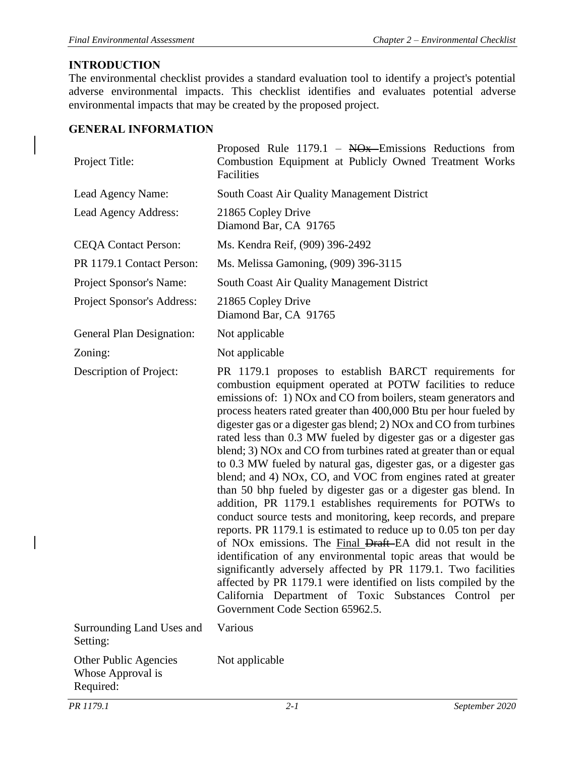### <span id="page-19-0"></span>**INTRODUCTION**

The environmental checklist provides a standard evaluation tool to identify a project's potential adverse environmental impacts. This checklist identifies and evaluates potential adverse environmental impacts that may be created by the proposed project.

#### <span id="page-19-1"></span>**GENERAL INFORMATION**

| Project Title:                                          | Proposed Rule $1179.1$ – NO <sub>x</sub> Emissions Reductions from<br>Combustion Equipment at Publicly Owned Treatment Works<br>Facilities                                                                                                                                                                                                                                                                                                                                                                                                                                                                                                                                                                                                                                                                                                                                                                                                                                                                                                                                                                                                                                                                                                                               |
|---------------------------------------------------------|--------------------------------------------------------------------------------------------------------------------------------------------------------------------------------------------------------------------------------------------------------------------------------------------------------------------------------------------------------------------------------------------------------------------------------------------------------------------------------------------------------------------------------------------------------------------------------------------------------------------------------------------------------------------------------------------------------------------------------------------------------------------------------------------------------------------------------------------------------------------------------------------------------------------------------------------------------------------------------------------------------------------------------------------------------------------------------------------------------------------------------------------------------------------------------------------------------------------------------------------------------------------------|
| Lead Agency Name:                                       | South Coast Air Quality Management District                                                                                                                                                                                                                                                                                                                                                                                                                                                                                                                                                                                                                                                                                                                                                                                                                                                                                                                                                                                                                                                                                                                                                                                                                              |
| Lead Agency Address:                                    | 21865 Copley Drive<br>Diamond Bar, CA 91765                                                                                                                                                                                                                                                                                                                                                                                                                                                                                                                                                                                                                                                                                                                                                                                                                                                                                                                                                                                                                                                                                                                                                                                                                              |
| <b>CEQA Contact Person:</b>                             | Ms. Kendra Reif, (909) 396-2492                                                                                                                                                                                                                                                                                                                                                                                                                                                                                                                                                                                                                                                                                                                                                                                                                                                                                                                                                                                                                                                                                                                                                                                                                                          |
| PR 1179.1 Contact Person:                               | Ms. Melissa Gamoning, (909) 396-3115                                                                                                                                                                                                                                                                                                                                                                                                                                                                                                                                                                                                                                                                                                                                                                                                                                                                                                                                                                                                                                                                                                                                                                                                                                     |
| Project Sponsor's Name:                                 | South Coast Air Quality Management District                                                                                                                                                                                                                                                                                                                                                                                                                                                                                                                                                                                                                                                                                                                                                                                                                                                                                                                                                                                                                                                                                                                                                                                                                              |
| Project Sponsor's Address:                              | 21865 Copley Drive<br>Diamond Bar, CA 91765                                                                                                                                                                                                                                                                                                                                                                                                                                                                                                                                                                                                                                                                                                                                                                                                                                                                                                                                                                                                                                                                                                                                                                                                                              |
| General Plan Designation:                               | Not applicable                                                                                                                                                                                                                                                                                                                                                                                                                                                                                                                                                                                                                                                                                                                                                                                                                                                                                                                                                                                                                                                                                                                                                                                                                                                           |
| Zoning:                                                 | Not applicable                                                                                                                                                                                                                                                                                                                                                                                                                                                                                                                                                                                                                                                                                                                                                                                                                                                                                                                                                                                                                                                                                                                                                                                                                                                           |
| Description of Project:                                 | PR 1179.1 proposes to establish BARCT requirements for<br>combustion equipment operated at POTW facilities to reduce<br>emissions of: 1) NOx and CO from boilers, steam generators and<br>process heaters rated greater than 400,000 Btu per hour fueled by<br>digester gas or a digester gas blend; 2) NOx and CO from turbines<br>rated less than 0.3 MW fueled by digester gas or a digester gas<br>blend; 3) NO <sub>x</sub> and CO from turbines rated at greater than or equal<br>to 0.3 MW fueled by natural gas, digester gas, or a digester gas<br>blend; and 4) NOx, CO, and VOC from engines rated at greater<br>than 50 bhp fueled by digester gas or a digester gas blend. In<br>addition, PR 1179.1 establishes requirements for POTWs to<br>conduct source tests and monitoring, keep records, and prepare<br>reports. PR 1179.1 is estimated to reduce up to 0.05 ton per day<br>of NO <sub>x</sub> emissions. The Final Draft–EA did not result in the<br>identification of any environmental topic areas that would be<br>significantly adversely affected by PR 1179.1. Two facilities<br>affected by PR 1179.1 were identified on lists compiled by the<br>California Department of Toxic Substances Control per<br>Government Code Section 65962.5. |
| Surrounding Land Uses and<br>Setting:                   | Various                                                                                                                                                                                                                                                                                                                                                                                                                                                                                                                                                                                                                                                                                                                                                                                                                                                                                                                                                                                                                                                                                                                                                                                                                                                                  |
| Other Public Agencies<br>Whose Approval is<br>Required: | Not applicable                                                                                                                                                                                                                                                                                                                                                                                                                                                                                                                                                                                                                                                                                                                                                                                                                                                                                                                                                                                                                                                                                                                                                                                                                                                           |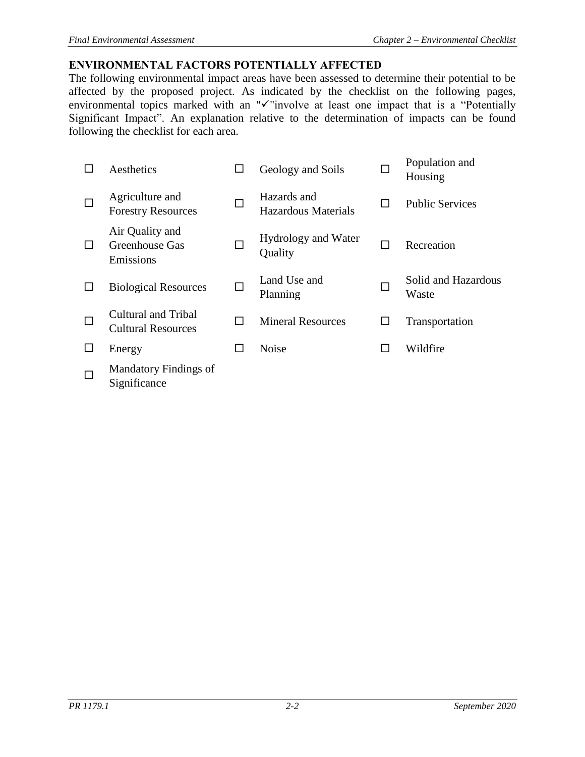### <span id="page-20-0"></span>**ENVIRONMENTAL FACTORS POTENTIALLY AFFECTED**

The following environmental impact areas have been assessed to determine their potential to be affected by the proposed project. As indicated by the checklist on the following pages, environmental topics marked with an "✓"involve at least one impact that is a "Potentially Significant Impact". An explanation relative to the determination of impacts can be found following the checklist for each area.

|        | Aesthetics                                              |   | Geology and Soils                         |              | Population and<br>Housing    |
|--------|---------------------------------------------------------|---|-------------------------------------------|--------------|------------------------------|
| $\Box$ | Agriculture and<br><b>Forestry Resources</b>            | П | Hazards and<br><b>Hazardous Materials</b> | $\mathbf{I}$ | <b>Public Services</b>       |
| □      | Air Quality and<br>Greenhouse Gas<br>Emissions          |   | Hydrology and Water<br>Quality            | $\mathsf{L}$ | Recreation                   |
| □      | <b>Biological Resources</b>                             | П | Land Use and<br>Planning                  |              | Solid and Hazardous<br>Waste |
| $\Box$ | <b>Cultural and Tribal</b><br><b>Cultural Resources</b> | П | <b>Mineral Resources</b>                  | $\mathbf{I}$ | Transportation               |
|        | Energy                                                  |   | <b>Noise</b>                              | ΙI           | Wildfire                     |
| □      | <b>Mandatory Findings of</b><br>Significance            |   |                                           |              |                              |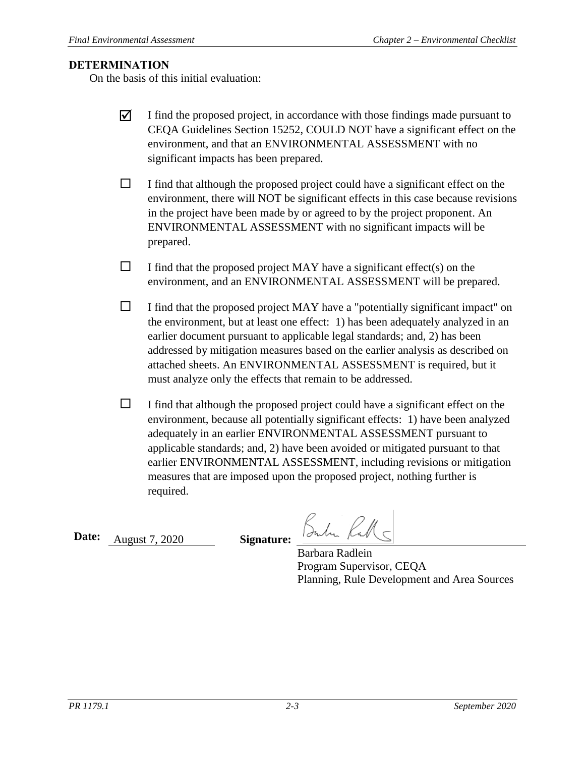#### <span id="page-21-0"></span>**DETERMINATION**

On the basis of this initial evaluation:

- $\overline{\mathbf{y}}$  I find the proposed project, in accordance with those findings made pursuant to CEQA Guidelines Section 15252, COULD NOT have a significant effect on the environment, and that an ENVIRONMENTAL ASSESSMENT with no significant impacts has been prepared.
- $\Box$  I find that although the proposed project could have a significant effect on the environment, there will NOT be significant effects in this case because revisions in the project have been made by or agreed to by the project proponent. An ENVIRONMENTAL ASSESSMENT with no significant impacts will be prepared.
- $\Box$  I find that the proposed project MAY have a significant effect(s) on the environment, and an ENVIRONMENTAL ASSESSMENT will be prepared.
- $\Box$  I find that the proposed project MAY have a "potentially significant impact" on the environment, but at least one effect: 1) has been adequately analyzed in an earlier document pursuant to applicable legal standards; and, 2) has been addressed by mitigation measures based on the earlier analysis as described on attached sheets. An ENVIRONMENTAL ASSESSMENT is required, but it must analyze only the effects that remain to be addressed.
- $\Box$  I find that although the proposed project could have a significant effect on the environment, because all potentially significant effects: 1) have been analyzed adequately in an earlier ENVIRONMENTAL ASSESSMENT pursuant to applicable standards; and, 2) have been avoided or mitigated pursuant to that earlier ENVIRONMENTAL ASSESSMENT, including revisions or mitigation measures that are imposed upon the proposed project, nothing further is required.

**Date:** August 7, 2020 **Signature:**

Subr Rall -

Barbara Radlein Program Supervisor, CEQA Planning, Rule Development and Area Sources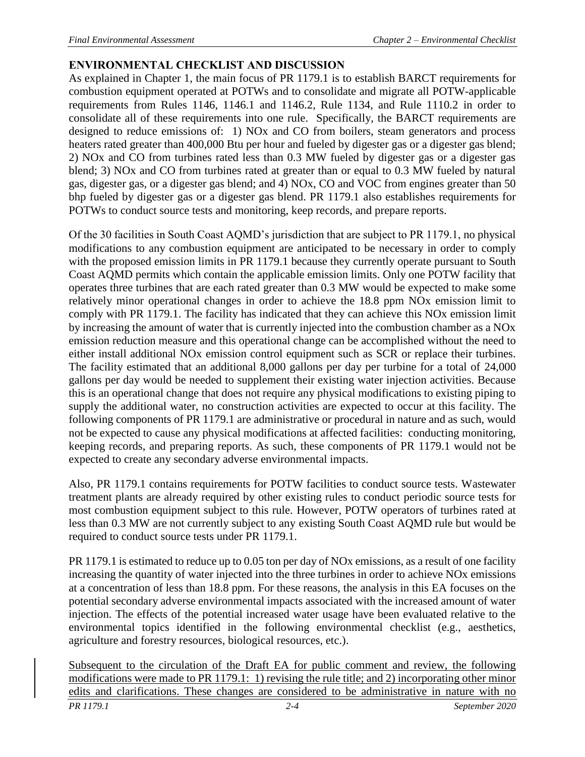## <span id="page-22-0"></span>**ENVIRONMENTAL CHECKLIST AND DISCUSSION**

As explained in Chapter 1, the main focus of PR 1179.1 is to establish BARCT requirements for combustion equipment operated at POTWs and to consolidate and migrate all POTW-applicable requirements from Rules 1146, 1146.1 and 1146.2, Rule 1134, and Rule 1110.2 in order to consolidate all of these requirements into one rule. Specifically, the BARCT requirements are designed to reduce emissions of: 1) NOx and CO from boilers, steam generators and process heaters rated greater than 400,000 Btu per hour and fueled by digester gas or a digester gas blend; 2) NOx and CO from turbines rated less than 0.3 MW fueled by digester gas or a digester gas blend; 3) NOx and CO from turbines rated at greater than or equal to 0.3 MW fueled by natural gas, digester gas, or a digester gas blend; and 4) NOx, CO and VOC from engines greater than 50 bhp fueled by digester gas or a digester gas blend. PR 1179.1 also establishes requirements for POTWs to conduct source tests and monitoring, keep records, and prepare reports.

Of the 30 facilities in South Coast AQMD's jurisdiction that are subject to PR 1179.1, no physical modifications to any combustion equipment are anticipated to be necessary in order to comply with the proposed emission limits in PR 1179.1 because they currently operate pursuant to South Coast AQMD permits which contain the applicable emission limits. Only one POTW facility that operates three turbines that are each rated greater than 0.3 MW would be expected to make some relatively minor operational changes in order to achieve the 18.8 ppm NOx emission limit to comply with PR 1179.1. The facility has indicated that they can achieve this NOx emission limit by increasing the amount of water that is currently injected into the combustion chamber as a NOx emission reduction measure and this operational change can be accomplished without the need to either install additional NOx emission control equipment such as SCR or replace their turbines. The facility estimated that an additional 8,000 gallons per day per turbine for a total of 24,000 gallons per day would be needed to supplement their existing water injection activities. Because this is an operational change that does not require any physical modifications to existing piping to supply the additional water, no construction activities are expected to occur at this facility. The following components of PR 1179.1 are administrative or procedural in nature and as such, would not be expected to cause any physical modifications at affected facilities: conducting monitoring, keeping records, and preparing reports. As such, these components of PR 1179.1 would not be expected to create any secondary adverse environmental impacts.

Also, PR 1179.1 contains requirements for POTW facilities to conduct source tests. Wastewater treatment plants are already required by other existing rules to conduct periodic source tests for most combustion equipment subject to this rule. However, POTW operators of turbines rated at less than 0.3 MW are not currently subject to any existing South Coast AQMD rule but would be required to conduct source tests under PR 1179.1.

PR 1179.1 is estimated to reduce up to 0.05 ton per day of NOx emissions, as a result of one facility increasing the quantity of water injected into the three turbines in order to achieve NOx emissions at a concentration of less than 18.8 ppm. For these reasons, the analysis in this EA focuses on the potential secondary adverse environmental impacts associated with the increased amount of water injection. The effects of the potential increased water usage have been evaluated relative to the environmental topics identified in the following environmental checklist (e.g., aesthetics, agriculture and forestry resources, biological resources, etc.).

*PR 1179.1 2-4 September 2020* Subsequent to the circulation of the Draft EA for public comment and review, the following modifications were made to PR 1179.1: 1) revising the rule title; and 2) incorporating other minor edits and clarifications. These changes are considered to be administrative in nature with no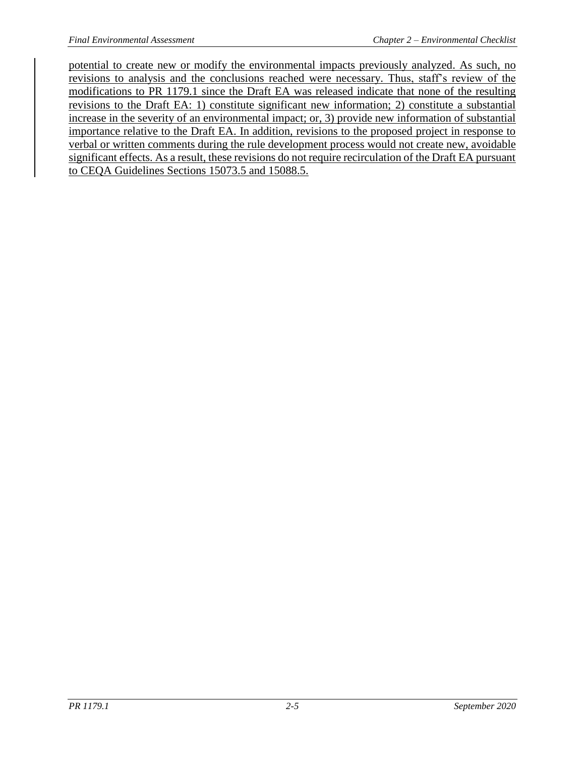potential to create new or modify the environmental impacts previously analyzed. As such, no revisions to analysis and the conclusions reached were necessary. Thus, staff's review of the modifications to PR 1179.1 since the Draft EA was released indicate that none of the resulting revisions to the Draft EA: 1) constitute significant new information; 2) constitute a substantial increase in the severity of an environmental impact; or, 3) provide new information of substantial importance relative to the Draft EA. In addition, revisions to the proposed project in response to verbal or written comments during the rule development process would not create new, avoidable significant effects. As a result, these revisions do not require recirculation of the Draft EA pursuant to CEQA Guidelines Sections 15073.5 and 15088.5.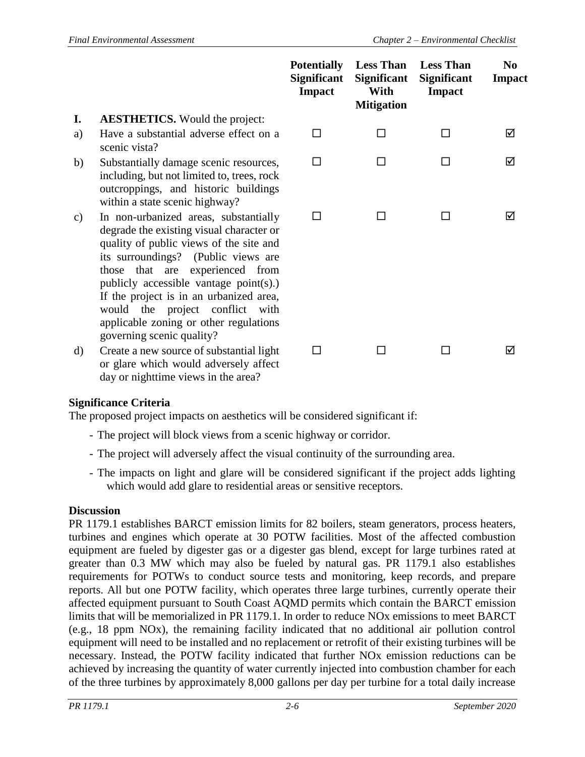|         |                                                                                                                                                                                                                                                                                                                                                                                                             | <b>Potentially</b><br><b>Significant</b><br><b>Impact</b> | <b>Less Than</b><br><b>Significant</b><br>With<br><b>Mitigation</b> | <b>Less Than</b><br><b>Significant</b><br><b>Impact</b> | N <sub>0</sub><br><b>Impact</b> |
|---------|-------------------------------------------------------------------------------------------------------------------------------------------------------------------------------------------------------------------------------------------------------------------------------------------------------------------------------------------------------------------------------------------------------------|-----------------------------------------------------------|---------------------------------------------------------------------|---------------------------------------------------------|---------------------------------|
| I.      | <b>AESTHETICS.</b> Would the project:                                                                                                                                                                                                                                                                                                                                                                       |                                                           |                                                                     |                                                         |                                 |
| a)      | Have a substantial adverse effect on a<br>scenic vista?                                                                                                                                                                                                                                                                                                                                                     | П                                                         |                                                                     | П                                                       | ☑                               |
| b)      | Substantially damage scenic resources,<br>including, but not limited to, trees, rock<br>outcroppings, and historic buildings<br>within a state scenic highway?                                                                                                                                                                                                                                              | П                                                         |                                                                     |                                                         | ☑                               |
| c)      | In non-urbanized areas, substantially<br>degrade the existing visual character or<br>quality of public views of the site and<br>its surroundings?<br>(Public views are<br>those that are experienced from<br>publicly accessible vantage $point(s)$ .)<br>If the project is in an urbanized area,<br>would the project conflict with<br>applicable zoning or other regulations<br>governing scenic quality? | n l                                                       |                                                                     |                                                         | ⋈                               |
| $\rm d$ | Create a new source of substantial light<br>or glare which would adversely affect                                                                                                                                                                                                                                                                                                                           |                                                           |                                                                     |                                                         | ☑                               |

### **Significance Criteria**

day or nighttime views in the area?

The proposed project impacts on aesthetics will be considered significant if:

- The project will block views from a scenic highway or corridor.
- The project will adversely affect the visual continuity of the surrounding area.
- The impacts on light and glare will be considered significant if the project adds lighting which would add glare to residential areas or sensitive receptors.

#### **Discussion**

PR 1179.1 establishes BARCT emission limits for 82 boilers, steam generators, process heaters, turbines and engines which operate at 30 POTW facilities. Most of the affected combustion equipment are fueled by digester gas or a digester gas blend, except for large turbines rated at greater than 0.3 MW which may also be fueled by natural gas. PR 1179.1 also establishes requirements for POTWs to conduct source tests and monitoring, keep records, and prepare reports. All but one POTW facility, which operates three large turbines, currently operate their affected equipment pursuant to South Coast AQMD permits which contain the BARCT emission limits that will be memorialized in PR 1179.1. In order to reduce NOx emissions to meet BARCT (e.g., 18 ppm NOx), the remaining facility indicated that no additional air pollution control equipment will need to be installed and no replacement or retrofit of their existing turbines will be necessary. Instead, the POTW facility indicated that further NOx emission reductions can be achieved by increasing the quantity of water currently injected into combustion chamber for each of the three turbines by approximately 8,000 gallons per day per turbine for a total daily increase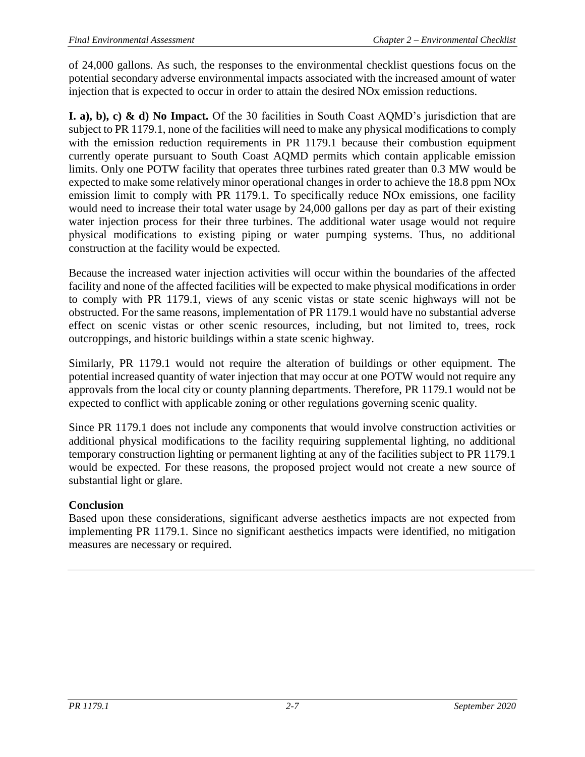of 24,000 gallons. As such, the responses to the environmental checklist questions focus on the potential secondary adverse environmental impacts associated with the increased amount of water injection that is expected to occur in order to attain the desired NOx emission reductions.

**I. a), b), c) & d) No Impact.** Of the 30 facilities in South Coast AQMD's jurisdiction that are subject to PR 1179.1, none of the facilities will need to make any physical modifications to comply with the emission reduction requirements in PR 1179.1 because their combustion equipment currently operate pursuant to South Coast AQMD permits which contain applicable emission limits. Only one POTW facility that operates three turbines rated greater than 0.3 MW would be expected to make some relatively minor operational changes in order to achieve the 18.8 ppm NOx emission limit to comply with PR 1179.1. To specifically reduce NOx emissions, one facility would need to increase their total water usage by 24,000 gallons per day as part of their existing water injection process for their three turbines. The additional water usage would not require physical modifications to existing piping or water pumping systems. Thus, no additional construction at the facility would be expected.

Because the increased water injection activities will occur within the boundaries of the affected facility and none of the affected facilities will be expected to make physical modifications in order to comply with PR 1179.1, views of any scenic vistas or state scenic highways will not be obstructed. For the same reasons, implementation of PR 1179.1 would have no substantial adverse effect on scenic vistas or other scenic resources, including, but not limited to, trees, rock outcroppings, and historic buildings within a state scenic highway.

Similarly, PR 1179.1 would not require the alteration of buildings or other equipment. The potential increased quantity of water injection that may occur at one POTW would not require any approvals from the local city or county planning departments. Therefore, PR 1179.1 would not be expected to conflict with applicable zoning or other regulations governing scenic quality.

Since PR 1179.1 does not include any components that would involve construction activities or additional physical modifications to the facility requiring supplemental lighting, no additional temporary construction lighting or permanent lighting at any of the facilities subject to PR 1179.1 would be expected. For these reasons, the proposed project would not create a new source of substantial light or glare.

### **Conclusion**

Based upon these considerations, significant adverse aesthetics impacts are not expected from implementing PR 1179.1. Since no significant aesthetics impacts were identified, no mitigation measures are necessary or required.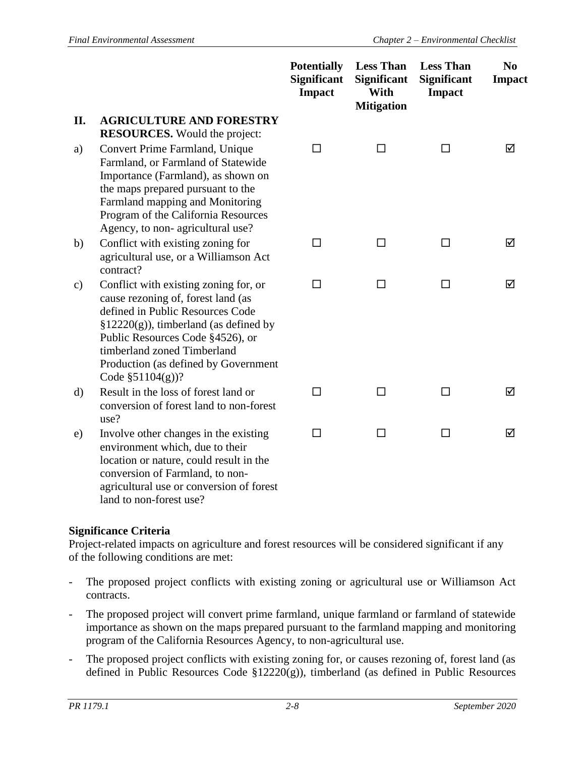|              |                                                                                                                                                                                                                                                                                               | <b>Potentially</b><br><b>Significant</b><br><b>Impact</b> | <b>Less Than</b><br><b>Significant</b><br>With<br><b>Mitigation</b> | <b>Less Than</b><br><b>Significant</b><br>Impact | N <sub>0</sub><br><b>Impact</b> |
|--------------|-----------------------------------------------------------------------------------------------------------------------------------------------------------------------------------------------------------------------------------------------------------------------------------------------|-----------------------------------------------------------|---------------------------------------------------------------------|--------------------------------------------------|---------------------------------|
| II.          | <b>AGRICULTURE AND FORESTRY</b><br><b>RESOURCES.</b> Would the project:                                                                                                                                                                                                                       |                                                           |                                                                     |                                                  |                                 |
| a)           | Convert Prime Farmland, Unique<br>Farmland, or Farmland of Statewide<br>Importance (Farmland), as shown on<br>the maps prepared pursuant to the<br>Farmland mapping and Monitoring<br>Program of the California Resources<br>Agency, to non-agricultural use?                                 | □                                                         | П                                                                   | П                                                | ☑                               |
| b)           | Conflict with existing zoning for<br>agricultural use, or a Williamson Act<br>contract?                                                                                                                                                                                                       | $\Box$                                                    | □                                                                   | $\Box$                                           | ☑                               |
| c)           | Conflict with existing zoning for, or<br>cause rezoning of, forest land (as<br>defined in Public Resources Code<br>$\S 12220(g)$ , timberland (as defined by<br>Public Resources Code §4526), or<br>timberland zoned Timberland<br>Production (as defined by Government<br>Code $$51104(g)$ ? | $\Box$                                                    | □                                                                   | □                                                | ☑                               |
| $\mathbf{d}$ | Result in the loss of forest land or<br>conversion of forest land to non-forest<br>use?                                                                                                                                                                                                       | □                                                         | П                                                                   | П                                                | ☑                               |
| e)           | Involve other changes in the existing<br>environment which, due to their<br>location or nature, could result in the<br>conversion of Farmland, to non-<br>agricultural use or conversion of forest<br>land to non-forest use?                                                                 | □                                                         | □                                                                   | П                                                | ☑                               |

#### **Significance Criteria**

Project-related impacts on agriculture and forest resources will be considered significant if any of the following conditions are met:

- The proposed project conflicts with existing zoning or agricultural use or Williamson Act contracts.
- The proposed project will convert prime farmland, unique farmland or farmland of statewide importance as shown on the maps prepared pursuant to the farmland mapping and monitoring program of the California Resources Agency, to non-agricultural use.
- The proposed project conflicts with existing zoning for, or causes rezoning of, forest land (as defined in Public Resources Code §12220(g)), timberland (as defined in Public Resources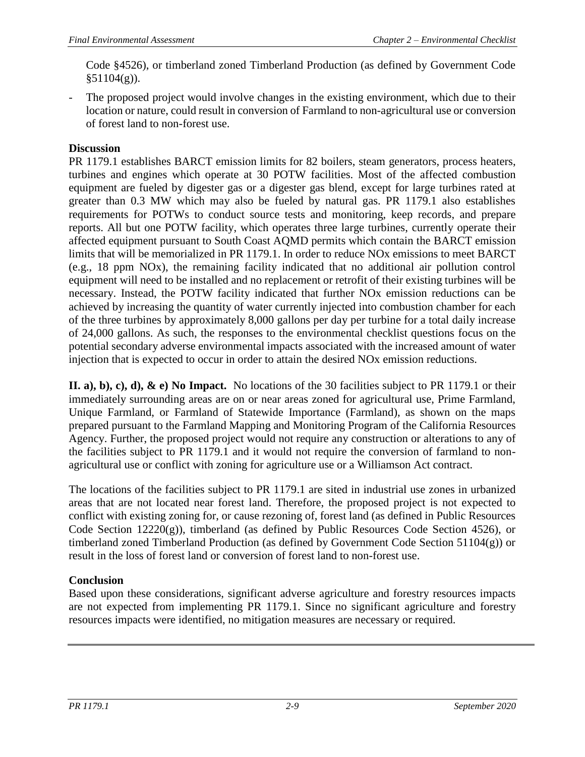Code §4526), or timberland zoned Timberland Production (as defined by Government Code §51104(g)).

The proposed project would involve changes in the existing environment, which due to their location or nature, could result in conversion of Farmland to non-agricultural use or conversion of forest land to non-forest use.

### **Discussion**

PR 1179.1 establishes BARCT emission limits for 82 boilers, steam generators, process heaters, turbines and engines which operate at 30 POTW facilities. Most of the affected combustion equipment are fueled by digester gas or a digester gas blend, except for large turbines rated at greater than 0.3 MW which may also be fueled by natural gas. PR 1179.1 also establishes requirements for POTWs to conduct source tests and monitoring, keep records, and prepare reports. All but one POTW facility, which operates three large turbines, currently operate their affected equipment pursuant to South Coast AQMD permits which contain the BARCT emission limits that will be memorialized in PR 1179.1. In order to reduce NOx emissions to meet BARCT (e.g., 18 ppm NOx), the remaining facility indicated that no additional air pollution control equipment will need to be installed and no replacement or retrofit of their existing turbines will be necessary. Instead, the POTW facility indicated that further NOx emission reductions can be achieved by increasing the quantity of water currently injected into combustion chamber for each of the three turbines by approximately 8,000 gallons per day per turbine for a total daily increase of 24,000 gallons. As such, the responses to the environmental checklist questions focus on the potential secondary adverse environmental impacts associated with the increased amount of water injection that is expected to occur in order to attain the desired NOx emission reductions.

**II. a), b), c), d), & e) No Impact.** No locations of the 30 facilities subject to PR 1179.1 or their immediately surrounding areas are on or near areas zoned for agricultural use, Prime Farmland, Unique Farmland, or Farmland of Statewide Importance (Farmland), as shown on the maps prepared pursuant to the Farmland Mapping and Monitoring Program of the California Resources Agency. Further, the proposed project would not require any construction or alterations to any of the facilities subject to PR 1179.1 and it would not require the conversion of farmland to nonagricultural use or conflict with zoning for agriculture use or a Williamson Act contract.

The locations of the facilities subject to PR 1179.1 are sited in industrial use zones in urbanized areas that are not located near forest land. Therefore, the proposed project is not expected to conflict with existing zoning for, or cause rezoning of, forest land (as defined in Public Resources Code Section  $12220(g)$ , timberland (as defined by Public Resources Code Section 4526), or timberland zoned Timberland Production (as defined by Government Code Section 51104(g)) or result in the loss of forest land or conversion of forest land to non-forest use.

### **Conclusion**

Based upon these considerations, significant adverse agriculture and forestry resources impacts are not expected from implementing PR 1179.1. Since no significant agriculture and forestry resources impacts were identified, no mitigation measures are necessary or required.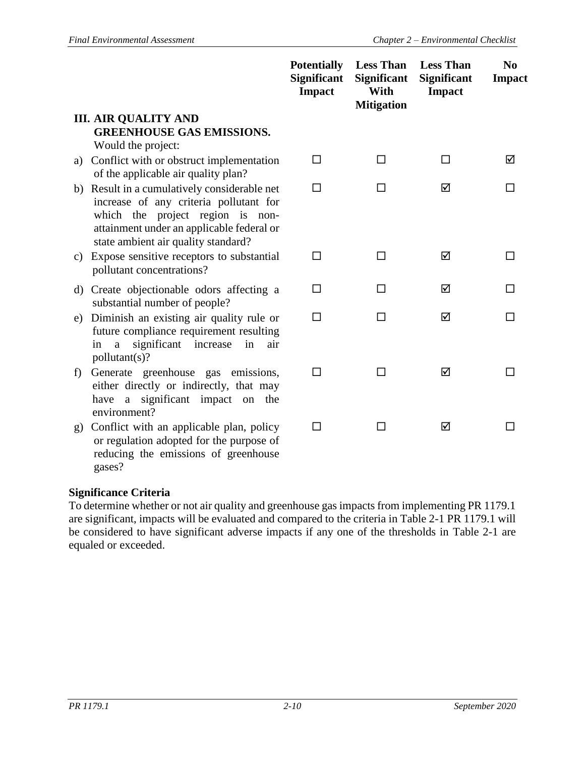|              |                                                                                                                                                                                                                | <b>Potentially</b><br><b>Significant</b><br><b>Impact</b> | <b>Less Than</b><br><b>Significant</b><br>With<br><b>Mitigation</b> | <b>Less Than</b><br><b>Significant</b><br><b>Impact</b> | N <sub>0</sub><br><b>Impact</b> |
|--------------|----------------------------------------------------------------------------------------------------------------------------------------------------------------------------------------------------------------|-----------------------------------------------------------|---------------------------------------------------------------------|---------------------------------------------------------|---------------------------------|
|              | <b>III. AIR QUALITY AND</b><br><b>GREENHOUSE GAS EMISSIONS.</b>                                                                                                                                                |                                                           |                                                                     |                                                         |                                 |
|              | Would the project:                                                                                                                                                                                             |                                                           |                                                                     |                                                         |                                 |
| a)           | Conflict with or obstruct implementation<br>of the applicable air quality plan?                                                                                                                                | □                                                         | □                                                                   | П                                                       | ☑                               |
|              | b) Result in a cumulatively considerable net<br>increase of any criteria pollutant for<br>which the project region is non-<br>attainment under an applicable federal or<br>state ambient air quality standard? | П                                                         | п                                                                   | ☑                                                       |                                 |
|              | c) Expose sensitive receptors to substantial<br>pollutant concentrations?                                                                                                                                      | □                                                         | П                                                                   | ☑                                                       | l l                             |
| $\mathbf{d}$ | Create objectionable odors affecting a<br>substantial number of people?                                                                                                                                        | □                                                         | п                                                                   | ☑                                                       | □                               |
| e)           | Diminish an existing air quality rule or<br>future compliance requirement resulting<br>significant<br>increase<br>in<br>air<br>in<br>a<br>pollutant(s)?                                                        | □                                                         | п                                                                   | ☑                                                       |                                 |
| f)           | Generate greenhouse gas emissions,<br>either directly or indirectly, that may<br>have a significant impact on the<br>environment?                                                                              | □                                                         | П                                                                   | ☑                                                       |                                 |
| g)           | Conflict with an applicable plan, policy<br>or regulation adopted for the purpose of<br>reducing the emissions of greenhouse                                                                                   | П                                                         | П                                                                   | ☑                                                       |                                 |

#### **Significance Criteria**

gases?

To determine whether or not air quality and greenhouse gas impacts from implementing PR 1179.1 are significant, impacts will be evaluated and compared to the criteria in Table 2-1 PR 1179.1 will be considered to have significant adverse impacts if any one of the thresholds in Table 2-1 are equaled or exceeded.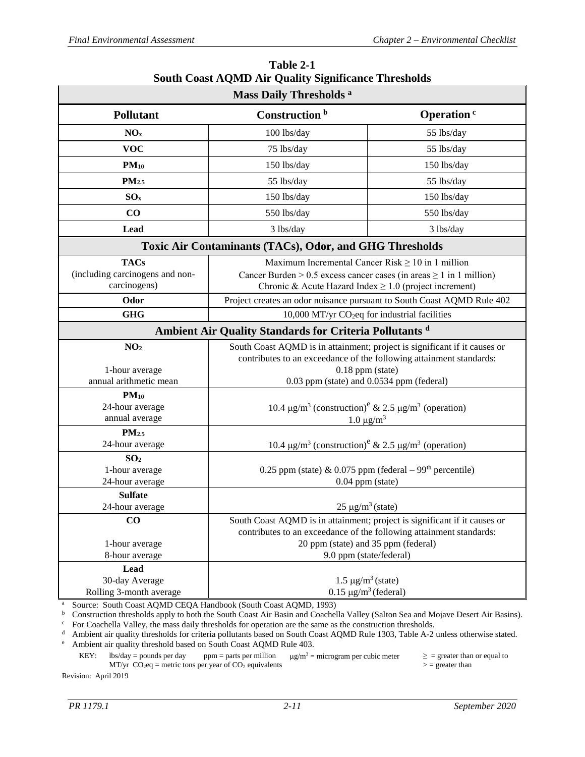<span id="page-29-0"></span>

| Mass Daily Thresholds <sup>a</sup>                                     |                                                                                                                                                                                                                                                                             |                                                                                                                                                                                                                                               |  |  |  |
|------------------------------------------------------------------------|-----------------------------------------------------------------------------------------------------------------------------------------------------------------------------------------------------------------------------------------------------------------------------|-----------------------------------------------------------------------------------------------------------------------------------------------------------------------------------------------------------------------------------------------|--|--|--|
| <b>Pollutant</b>                                                       | Construction <sup>b</sup>                                                                                                                                                                                                                                                   | Operation <sup>c</sup>                                                                                                                                                                                                                        |  |  |  |
| NO <sub>x</sub>                                                        | 100 lbs/day                                                                                                                                                                                                                                                                 | 55 lbs/day                                                                                                                                                                                                                                    |  |  |  |
| <b>VOC</b>                                                             | 75 lbs/day                                                                                                                                                                                                                                                                  | 55 lbs/day                                                                                                                                                                                                                                    |  |  |  |
| $PM_{10}$                                                              | 150 lbs/day                                                                                                                                                                                                                                                                 | 150 lbs/day                                                                                                                                                                                                                                   |  |  |  |
| PM <sub>2.5</sub>                                                      | 55 lbs/day                                                                                                                                                                                                                                                                  | 55 lbs/day                                                                                                                                                                                                                                    |  |  |  |
| SO <sub>x</sub>                                                        | 150 lbs/day                                                                                                                                                                                                                                                                 | 150 lbs/day                                                                                                                                                                                                                                   |  |  |  |
| CO                                                                     | 550 lbs/day                                                                                                                                                                                                                                                                 | 550 lbs/day                                                                                                                                                                                                                                   |  |  |  |
| <b>Lead</b>                                                            | 3 lbs/day                                                                                                                                                                                                                                                                   | 3 lbs/day                                                                                                                                                                                                                                     |  |  |  |
| Toxic Air Contaminants (TACs), Odor, and GHG Thresholds                |                                                                                                                                                                                                                                                                             |                                                                                                                                                                                                                                               |  |  |  |
| <b>TACs</b><br>(including carcinogens and non-<br>carcinogens)<br>Odor | Maximum Incremental Cancer Risk $\geq 10$ in 1 million<br>Cancer Burden > 0.5 excess cancer cases (in areas $\geq 1$ in 1 million)<br>Chronic & Acute Hazard Index $\geq 1.0$ (project increment)<br>Project creates an odor nuisance pursuant to South Coast AQMD Rule 402 |                                                                                                                                                                                                                                               |  |  |  |
| <b>GHG</b>                                                             | 10,000 MT/yr CO <sub>2</sub> eq for industrial facilities                                                                                                                                                                                                                   |                                                                                                                                                                                                                                               |  |  |  |
| Ambient Air Quality Standards for Criteria Pollutants <sup>d</sup>     |                                                                                                                                                                                                                                                                             |                                                                                                                                                                                                                                               |  |  |  |
| NO <sub>2</sub><br>1-hour average<br>annual arithmetic mean            | South Coast AQMD is in attainment; project is significant if it causes or<br>contributes to an exceedance of the following attainment standards:<br>$0.18$ ppm (state)<br>0.03 ppm (state) and 0.0534 ppm (federal)                                                         |                                                                                                                                                                                                                                               |  |  |  |
| $PM_{10}$<br>24-hour average<br>annual average                         |                                                                                                                                                                                                                                                                             | 10.4 $\mu$ g/m <sup>3</sup> (construction) <sup>e</sup> & 2.5 $\mu$ g/m <sup>3</sup> (operation)<br>$1.0 \mu g/m^3$                                                                                                                           |  |  |  |
| PM <sub>2.5</sub><br>24-hour average                                   |                                                                                                                                                                                                                                                                             | 10.4 $\mu$ g/m <sup>3</sup> (construction) <sup>e</sup> & 2.5 $\mu$ g/m <sup>3</sup> (operation)                                                                                                                                              |  |  |  |
| SO <sub>2</sub><br>1-hour average<br>24-hour average                   |                                                                                                                                                                                                                                                                             | 0.25 ppm (state) & 0.075 ppm (federal $-99th$ percentile)<br>$0.04$ ppm (state)                                                                                                                                                               |  |  |  |
| <b>Sulfate</b><br>24-hour average                                      | $25 \mu g/m^3$ (state)                                                                                                                                                                                                                                                      |                                                                                                                                                                                                                                               |  |  |  |
| $\bf CO$<br>1-hour average<br>8-hour average<br>Lead<br>30-day Average |                                                                                                                                                                                                                                                                             | South Coast AQMD is in attainment; project is significant if it causes or<br>contributes to an exceedance of the following attainment standards:<br>20 ppm (state) and 35 ppm (federal)<br>9.0 ppm (state/federal)<br>$1.5 \mu g/m^3$ (state) |  |  |  |
| Rolling 3-month average                                                | $0.15 \mu g/m^3$ (federal)                                                                                                                                                                                                                                                  |                                                                                                                                                                                                                                               |  |  |  |

| Table 2-1                                                   |  |  |  |  |  |
|-------------------------------------------------------------|--|--|--|--|--|
| <b>South Coast AQMD Air Quality Significance Thresholds</b> |  |  |  |  |  |

<sup>a</sup> Source: South Coast AQMD CEQA Handbook (South Coast AQMD, 1993)

**b** Construction thresholds apply to both the South Coast Air Basin and Coachella Valley (Salton Sea and Mojave Desert Air Basins).

<sup>d</sup> Ambient air quality thresholds for criteria pollutants based on South Coast AQMD Rule 1303, Table A-2 unless otherwise stated.

<sup>e</sup> Ambient air quality threshold based on South Coast AQMD Rule 403.

KEY: lbs/day = pounds per day ppm = parts per million  $\mu g/m^3$  = microgram per cubic meter  $\ge$  = greater than or equal to MT/yr  $CO_2$ eq = metric tons per year of  $CO_2$  equivalents  $>$  = greater than

Revision: April 2019

<sup>c</sup> For Coachella Valley, the mass daily thresholds for operation are the same as the construction thresholds.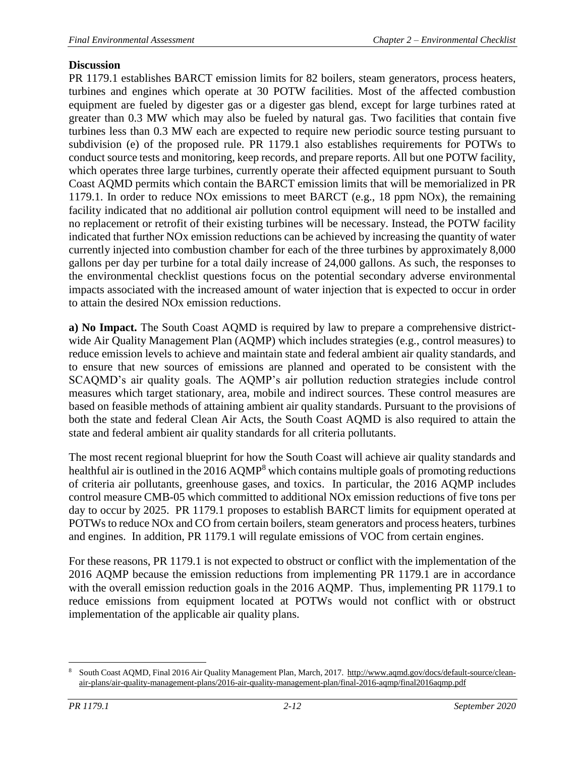### **Discussion**

PR 1179.1 establishes BARCT emission limits for 82 boilers, steam generators, process heaters, turbines and engines which operate at 30 POTW facilities. Most of the affected combustion equipment are fueled by digester gas or a digester gas blend, except for large turbines rated at greater than 0.3 MW which may also be fueled by natural gas. Two facilities that contain five turbines less than 0.3 MW each are expected to require new periodic source testing pursuant to subdivision (e) of the proposed rule. PR 1179.1 also establishes requirements for POTWs to conduct source tests and monitoring, keep records, and prepare reports. All but one POTW facility, which operates three large turbines, currently operate their affected equipment pursuant to South Coast AQMD permits which contain the BARCT emission limits that will be memorialized in PR 1179.1. In order to reduce NOx emissions to meet BARCT (e.g., 18 ppm NOx), the remaining facility indicated that no additional air pollution control equipment will need to be installed and no replacement or retrofit of their existing turbines will be necessary. Instead, the POTW facility indicated that further NOx emission reductions can be achieved by increasing the quantity of water currently injected into combustion chamber for each of the three turbines by approximately 8,000 gallons per day per turbine for a total daily increase of 24,000 gallons. As such, the responses to the environmental checklist questions focus on the potential secondary adverse environmental impacts associated with the increased amount of water injection that is expected to occur in order to attain the desired NOx emission reductions.

**a) No Impact.** The South Coast AQMD is required by law to prepare a comprehensive districtwide Air Quality Management Plan (AQMP) which includes strategies (e.g., control measures) to reduce emission levels to achieve and maintain state and federal ambient air quality standards, and to ensure that new sources of emissions are planned and operated to be consistent with the SCAQMD's air quality goals. The AQMP's air pollution reduction strategies include control measures which target stationary, area, mobile and indirect sources. These control measures are based on feasible methods of attaining ambient air quality standards. Pursuant to the provisions of both the state and federal Clean Air Acts, the South Coast AQMD is also required to attain the state and federal ambient air quality standards for all criteria pollutants.

The most recent regional blueprint for how the South Coast will achieve air quality standards and healthful air is outlined in the 2016 AQMP<sup>8</sup> which contains multiple goals of promoting reductions of criteria air pollutants, greenhouse gases, and toxics. In particular, the 2016 AQMP includes control measure CMB-05 which committed to additional NOx emission reductions of five tons per day to occur by 2025. PR 1179.1 proposes to establish BARCT limits for equipment operated at POTWs to reduce NOx and CO from certain boilers, steam generators and process heaters, turbines and engines. In addition, PR 1179.1 will regulate emissions of VOC from certain engines.

For these reasons, PR 1179.1 is not expected to obstruct or conflict with the implementation of the 2016 AQMP because the emission reductions from implementing PR 1179.1 are in accordance with the overall emission reduction goals in the 2016 AQMP. Thus, implementing PR 1179.1 to reduce emissions from equipment located at POTWs would not conflict with or obstruct implementation of the applicable air quality plans.

 $\overline{a}$ <sup>8</sup> South Coast AQMD, Final 2016 Air Quality Management Plan, March, 2017. [http://www.aqmd.gov/docs/default-source/clean](http://www.aqmd.gov/docs/default-source/clean-air-plans/air-quality-management-plans/2016-air-quality-management-plan/final-2016-aqmp/final2016aqmp.pdf)[air-plans/air-quality-management-plans/2016-air-quality-management-plan/final-2016-aqmp/final2016aqmp.pdf](http://www.aqmd.gov/docs/default-source/clean-air-plans/air-quality-management-plans/2016-air-quality-management-plan/final-2016-aqmp/final2016aqmp.pdf)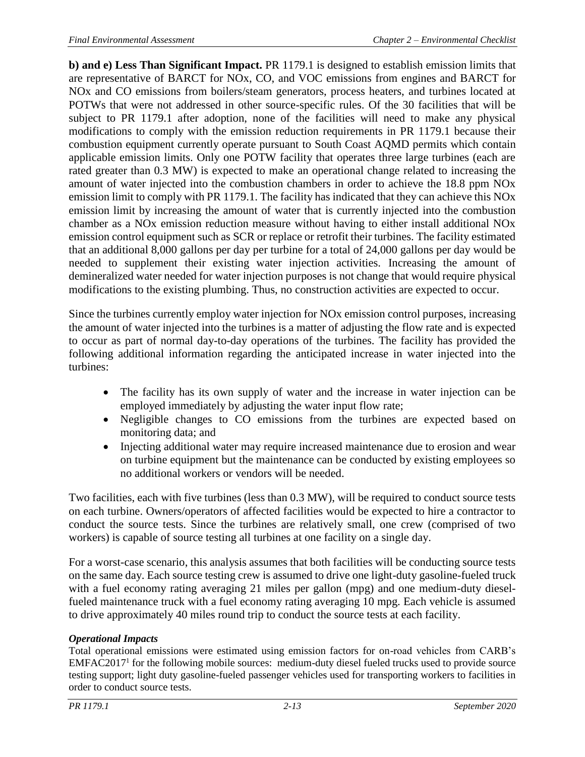**b) and e) Less Than Significant Impact.** PR 1179.1 is designed to establish emission limits that are representative of BARCT for NOx, CO, and VOC emissions from engines and BARCT for NOx and CO emissions from boilers/steam generators, process heaters, and turbines located at POTWs that were not addressed in other source-specific rules. Of the 30 facilities that will be subject to PR 1179.1 after adoption, none of the facilities will need to make any physical modifications to comply with the emission reduction requirements in PR 1179.1 because their combustion equipment currently operate pursuant to South Coast AQMD permits which contain applicable emission limits. Only one POTW facility that operates three large turbines (each are rated greater than 0.3 MW) is expected to make an operational change related to increasing the amount of water injected into the combustion chambers in order to achieve the 18.8 ppm NOx emission limit to comply with PR 1179.1. The facility has indicated that they can achieve this NOx emission limit by increasing the amount of water that is currently injected into the combustion chamber as a NOx emission reduction measure without having to either install additional NOx emission control equipment such as SCR or replace or retrofit their turbines. The facility estimated that an additional 8,000 gallons per day per turbine for a total of 24,000 gallons per day would be needed to supplement their existing water injection activities. Increasing the amount of demineralized water needed for water injection purposes is not change that would require physical modifications to the existing plumbing. Thus, no construction activities are expected to occur.

Since the turbines currently employ water injection for NOx emission control purposes, increasing the amount of water injected into the turbines is a matter of adjusting the flow rate and is expected to occur as part of normal day-to-day operations of the turbines. The facility has provided the following additional information regarding the anticipated increase in water injected into the turbines:

- The facility has its own supply of water and the increase in water injection can be employed immediately by adjusting the water input flow rate;
- Negligible changes to CO emissions from the turbines are expected based on monitoring data; and
- Injecting additional water may require increased maintenance due to erosion and wear on turbine equipment but the maintenance can be conducted by existing employees so no additional workers or vendors will be needed.

Two facilities, each with five turbines (less than 0.3 MW), will be required to conduct source tests on each turbine. Owners/operators of affected facilities would be expected to hire a contractor to conduct the source tests. Since the turbines are relatively small, one crew (comprised of two workers) is capable of source testing all turbines at one facility on a single day.

For a worst-case scenario, this analysis assumes that both facilities will be conducting source tests on the same day. Each source testing crew is assumed to drive one light-duty gasoline-fueled truck with a fuel economy rating averaging 21 miles per gallon (mpg) and one medium-duty dieselfueled maintenance truck with a fuel economy rating averaging 10 mpg. Each vehicle is assumed to drive approximately 40 miles round trip to conduct the source tests at each facility.

### *Operational Impacts*

Total operational emissions were estimated using emission factors for on-road vehicles from CARB's EMFAC2017<sup>1</sup> for the following mobile sources: medium-duty diesel fueled trucks used to provide source testing support; light duty gasoline-fueled passenger vehicles used for transporting workers to facilities in order to conduct source tests.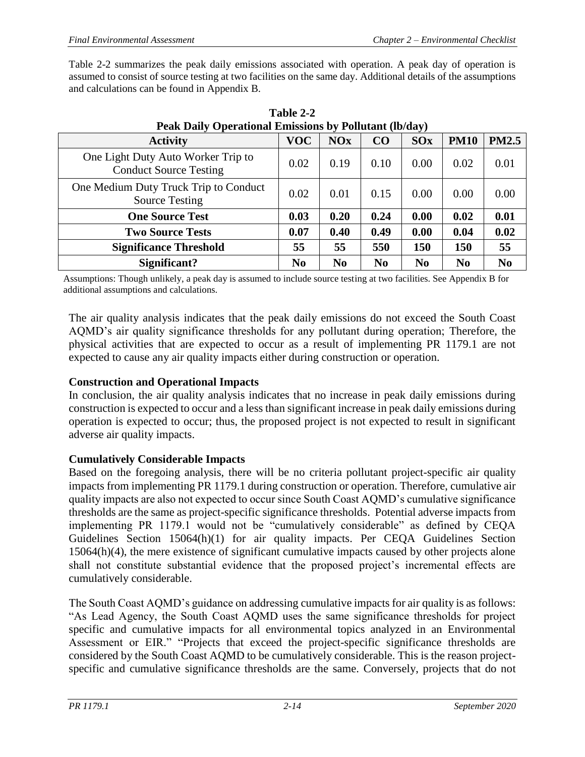Table 2-2 summarizes the peak daily emissions associated with operation. A peak day of operation is assumed to consist of source testing at two facilities on the same day. Additional details of the assumptions and calculations can be found in Appendix B.

<span id="page-32-0"></span>

| <b>Activity</b>                                                     | <b>VOC</b>     | <b>NOx</b>     | CO             | <b>SOx</b>     | <b>PM10</b>    | <b>PM2.5</b>   |
|---------------------------------------------------------------------|----------------|----------------|----------------|----------------|----------------|----------------|
| One Light Duty Auto Worker Trip to<br><b>Conduct Source Testing</b> | 0.02           | 0.19           | 0.10           | 0.00           | 0.02           | 0.01           |
| One Medium Duty Truck Trip to Conduct<br><b>Source Testing</b>      | 0.02           | 0.01           | 0.15           | 0.00           | 0.00           | 0.00           |
| <b>One Source Test</b>                                              | 0.03           | 0.20           | 0.24           | 0.00           | 0.02           | 0.01           |
| <b>Two Source Tests</b>                                             | 0.07           | 0.40           | 0.49           | 0.00           | 0.04           | 0.02           |
| <b>Significance Threshold</b>                                       | 55             | 55             | 550            | 150            | 150            | 55             |
| Significant?                                                        | N <sub>0</sub> | N <sub>0</sub> | N <sub>0</sub> | N <sub>0</sub> | N <sub>0</sub> | N <sub>0</sub> |

**Table 2-2 Peak Daily Operational Emissions by Pollutant (lb/day)**

Assumptions: Though unlikely, a peak day is assumed to include source testing at two facilities. See Appendix B for additional assumptions and calculations.

The air quality analysis indicates that the peak daily emissions do not exceed the South Coast AQMD's air quality significance thresholds for any pollutant during operation; Therefore, the physical activities that are expected to occur as a result of implementing PR 1179.1 are not expected to cause any air quality impacts either during construction or operation.

### **Construction and Operational Impacts**

In conclusion, the air quality analysis indicates that no increase in peak daily emissions during construction is expected to occur and a less than significant increase in peak daily emissions during operation is expected to occur; thus, the proposed project is not expected to result in significant adverse air quality impacts.

### **Cumulatively Considerable Impacts**

Based on the foregoing analysis, there will be no criteria pollutant project-specific air quality impacts from implementing PR 1179.1 during construction or operation. Therefore, cumulative air quality impacts are also not expected to occur since South Coast AQMD's cumulative significance thresholds are the same as project-specific significance thresholds. Potential adverse impacts from implementing PR 1179.1 would not be "cumulatively considerable" as defined by CEQA Guidelines Section 15064(h)(1) for air quality impacts. Per CEQA Guidelines Section 15064(h)(4), the mere existence of significant cumulative impacts caused by other projects alone shall not constitute substantial evidence that the proposed project's incremental effects are cumulatively considerable.

The South Coast AQMD's guidance on addressing cumulative impacts for air quality is as follows: "As Lead Agency, the South Coast AQMD uses the same significance thresholds for project specific and cumulative impacts for all environmental topics analyzed in an Environmental Assessment or EIR." "Projects that exceed the project-specific significance thresholds are considered by the South Coast AQMD to be cumulatively considerable. This is the reason projectspecific and cumulative significance thresholds are the same. Conversely, projects that do not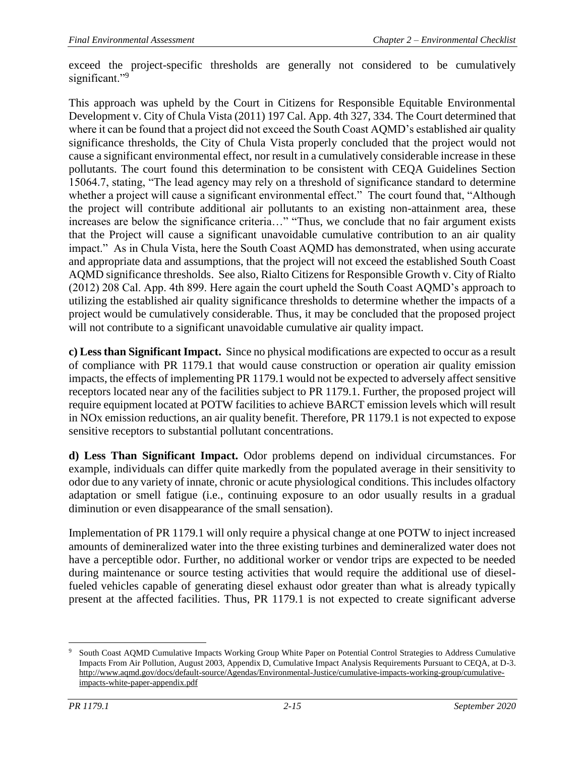exceed the project-specific thresholds are generally not considered to be cumulatively significant."9

This approach was upheld by the Court in Citizens for Responsible Equitable Environmental Development v. City of Chula Vista (2011) 197 Cal. App. 4th 327, 334. The Court determined that where it can be found that a project did not exceed the South Coast AQMD's established air quality significance thresholds, the City of Chula Vista properly concluded that the project would not cause a significant environmental effect, nor result in a cumulatively considerable increase in these pollutants. The court found this determination to be consistent with CEQA Guidelines Section 15064.7, stating, "The lead agency may rely on a threshold of significance standard to determine whether a project will cause a significant environmental effect." The court found that, "Although the project will contribute additional air pollutants to an existing non-attainment area, these increases are below the significance criteria…" "Thus, we conclude that no fair argument exists that the Project will cause a significant unavoidable cumulative contribution to an air quality impact." As in Chula Vista, here the South Coast AQMD has demonstrated, when using accurate and appropriate data and assumptions, that the project will not exceed the established South Coast AQMD significance thresholds. See also, Rialto Citizens for Responsible Growth v. City of Rialto (2012) 208 Cal. App. 4th 899. Here again the court upheld the South Coast AQMD's approach to utilizing the established air quality significance thresholds to determine whether the impacts of a project would be cumulatively considerable. Thus, it may be concluded that the proposed project will not contribute to a significant unavoidable cumulative air quality impact.

**c) Less than Significant Impact.** Since no physical modifications are expected to occur as a result of compliance with PR 1179.1 that would cause construction or operation air quality emission impacts, the effects of implementing PR 1179.1 would not be expected to adversely affect sensitive receptors located near any of the facilities subject to PR 1179.1. Further, the proposed project will require equipment located at POTW facilities to achieve BARCT emission levels which will result in NOx emission reductions, an air quality benefit. Therefore, PR 1179.1 is not expected to expose sensitive receptors to substantial pollutant concentrations.

**d) Less Than Significant Impact.** Odor problems depend on individual circumstances. For example, individuals can differ quite markedly from the populated average in their sensitivity to odor due to any variety of innate, chronic or acute physiological conditions. This includes olfactory adaptation or smell fatigue (i.e., continuing exposure to an odor usually results in a gradual diminution or even disappearance of the small sensation).

Implementation of PR 1179.1 will only require a physical change at one POTW to inject increased amounts of demineralized water into the three existing turbines and demineralized water does not have a perceptible odor. Further, no additional worker or vendor trips are expected to be needed during maintenance or source testing activities that would require the additional use of dieselfueled vehicles capable of generating diesel exhaust odor greater than what is already typically present at the affected facilities. Thus, PR 1179.1 is not expected to create significant adverse

 $\overline{a}$ 

South Coast AQMD Cumulative Impacts Working Group White Paper on Potential Control Strategies to Address Cumulative Impacts From Air Pollution, August 2003, Appendix D, Cumulative Impact Analysis Requirements Pursuant to CEQA, at D-3. [http://www.aqmd.gov/docs/default-source/Agendas/Environmental-Justice/cumulative-impacts-working-group/cumulative](http://www.aqmd.gov/docs/default-source/Agendas/Environmental-Justice/cumulative-impacts-working-group/cumulative-impacts-white-paper-appendix.pdf?sfvrsn=4)[impacts-white-paper-appendix.pdf](http://www.aqmd.gov/docs/default-source/Agendas/Environmental-Justice/cumulative-impacts-working-group/cumulative-impacts-white-paper-appendix.pdf?sfvrsn=4)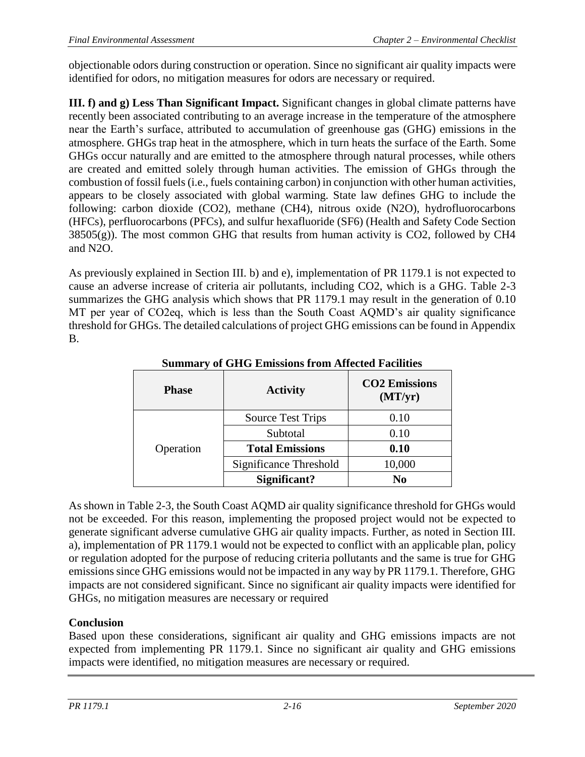objectionable odors during construction or operation. Since no significant air quality impacts were identified for odors, no mitigation measures for odors are necessary or required.

**III. f) and g) Less Than Significant Impact.** Significant changes in global climate patterns have recently been associated contributing to an average increase in the temperature of the atmosphere near the Earth's surface, attributed to accumulation of greenhouse gas (GHG) emissions in the atmosphere. GHGs trap heat in the atmosphere, which in turn heats the surface of the Earth. Some GHGs occur naturally and are emitted to the atmosphere through natural processes, while others are created and emitted solely through human activities. The emission of GHGs through the combustion of fossil fuels (i.e., fuels containing carbon) in conjunction with other human activities, appears to be closely associated with global warming. State law defines GHG to include the following: carbon dioxide (CO2), methane (CH4), nitrous oxide (N2O), hydrofluorocarbons (HFCs), perfluorocarbons (PFCs), and sulfur hexafluoride (SF6) (Health and Safety Code Section  $38505(g)$ ). The most common GHG that results from human activity is CO2, followed by CH4 and N2O.

As previously explained in Section III. b) and e), implementation of PR 1179.1 is not expected to cause an adverse increase of criteria air pollutants, including CO2, which is a GHG. Table 2-3 summarizes the GHG analysis which shows that PR 1179.1 may result in the generation of 0.10 MT per year of CO2eq, which is less than the South Coast AQMD's air quality significance threshold for GHGs. The detailed calculations of project GHG emissions can be found in Appendix B.

| <b>Phase</b> | <b>Activity</b>          | <b>CO2</b> Emissions<br>(MT/yr) |  |  |
|--------------|--------------------------|---------------------------------|--|--|
|              | <b>Source Test Trips</b> | 0.10                            |  |  |
|              | Subtotal                 | 0.10                            |  |  |
| Operation    | <b>Total Emissions</b>   | 0.10                            |  |  |
|              | Significance Threshold   | 10,000                          |  |  |
|              | Significant?             | N <sub>0</sub>                  |  |  |

**Summary of GHG Emissions from Affected Facilities**

As shown in Table 2-3, the South Coast AQMD air quality significance threshold for GHGs would not be exceeded. For this reason, implementing the proposed project would not be expected to generate significant adverse cumulative GHG air quality impacts. Further, as noted in Section III. a), implementation of PR 1179.1 would not be expected to conflict with an applicable plan, policy or regulation adopted for the purpose of reducing criteria pollutants and the same is true for GHG emissions since GHG emissions would not be impacted in any way by PR 1179.1. Therefore, GHG impacts are not considered significant. Since no significant air quality impacts were identified for GHGs, no mitigation measures are necessary or required

## **Conclusion**

Based upon these considerations, significant air quality and GHG emissions impacts are not expected from implementing PR 1179.1. Since no significant air quality and GHG emissions impacts were identified, no mitigation measures are necessary or required.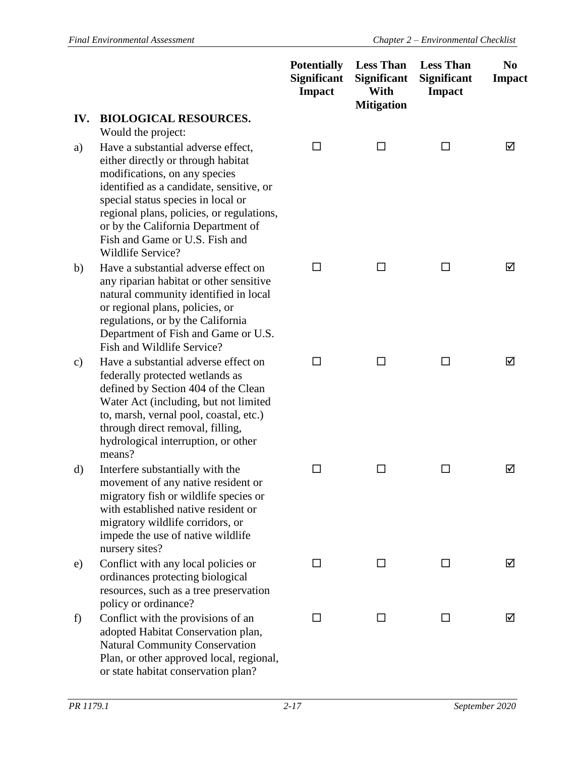|     |                                                                                                                                                                                                                                                                                                                                       | <b>Potentially</b><br><b>Significant</b><br><b>Impact</b> | <b>Less Than</b><br><b>Significant</b><br>With<br><b>Mitigation</b> | <b>Less Than</b><br><b>Significant</b><br><b>Impact</b> | N <sub>0</sub><br><b>Impact</b> |
|-----|---------------------------------------------------------------------------------------------------------------------------------------------------------------------------------------------------------------------------------------------------------------------------------------------------------------------------------------|-----------------------------------------------------------|---------------------------------------------------------------------|---------------------------------------------------------|---------------------------------|
| IV. | <b>BIOLOGICAL RESOURCES.</b><br>Would the project:                                                                                                                                                                                                                                                                                    |                                                           |                                                                     |                                                         |                                 |
| a)  | Have a substantial adverse effect,<br>either directly or through habitat<br>modifications, on any species<br>identified as a candidate, sensitive, or<br>special status species in local or<br>regional plans, policies, or regulations,<br>or by the California Department of<br>Fish and Game or U.S. Fish and<br>Wildlife Service? | П                                                         | ΙI                                                                  | □                                                       | ☑                               |
| b)  | Have a substantial adverse effect on<br>any riparian habitat or other sensitive<br>natural community identified in local<br>or regional plans, policies, or<br>regulations, or by the California<br>Department of Fish and Game or U.S.<br>Fish and Wildlife Service?                                                                 | ΙI                                                        | ΙI                                                                  | $\sqcup$                                                | ☑                               |
| c)  | Have a substantial adverse effect on<br>federally protected wetlands as<br>defined by Section 404 of the Clean<br>Water Act (including, but not limited<br>to, marsh, vernal pool, coastal, etc.)<br>through direct removal, filling,<br>hydrological interruption, or other<br>means?                                                | □                                                         | П                                                                   | □                                                       | ☑                               |
| d)  | Interfere substantially with the<br>movement of any native resident or<br>migratory fish or wildlife species or<br>with established native resident or<br>migratory wildlife corridors, or<br>impede the use of native wildlife<br>nursery sites?                                                                                     | $\Box$                                                    | ΙI                                                                  | ப                                                       | ☑                               |
| e)  | Conflict with any local policies or<br>ordinances protecting biological<br>resources, such as a tree preservation<br>policy or ordinance?                                                                                                                                                                                             | □                                                         | ΙI                                                                  | $\perp$                                                 | ☑                               |
| f)  | Conflict with the provisions of an<br>adopted Habitat Conservation plan,<br><b>Natural Community Conservation</b><br>Plan, or other approved local, regional,                                                                                                                                                                         | □                                                         | ΙI                                                                  | ΙI                                                      | ☑                               |

or state habitat conservation plan?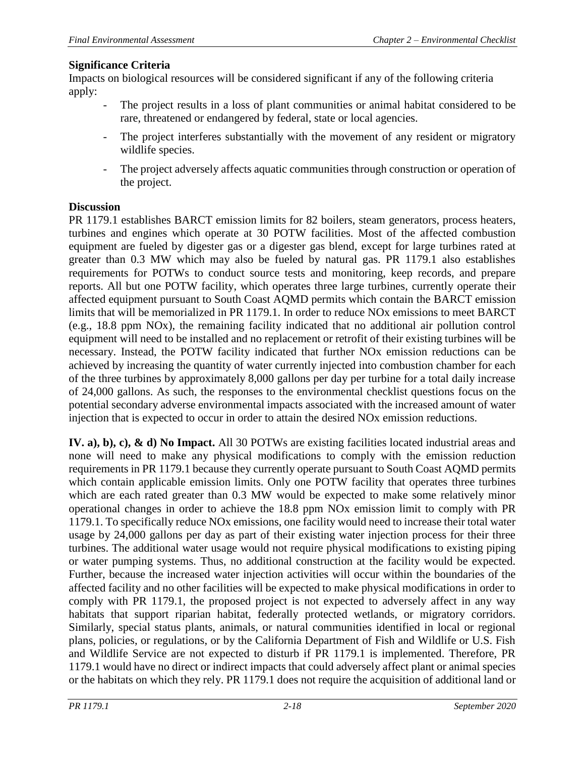Impacts on biological resources will be considered significant if any of the following criteria apply:

- The project results in a loss of plant communities or animal habitat considered to be rare, threatened or endangered by federal, state or local agencies.
- The project interferes substantially with the movement of any resident or migratory wildlife species.
- The project adversely affects aquatic communities through construction or operation of the project.

### **Discussion**

PR 1179.1 establishes BARCT emission limits for 82 boilers, steam generators, process heaters, turbines and engines which operate at 30 POTW facilities. Most of the affected combustion equipment are fueled by digester gas or a digester gas blend, except for large turbines rated at greater than 0.3 MW which may also be fueled by natural gas. PR 1179.1 also establishes requirements for POTWs to conduct source tests and monitoring, keep records, and prepare reports. All but one POTW facility, which operates three large turbines, currently operate their affected equipment pursuant to South Coast AQMD permits which contain the BARCT emission limits that will be memorialized in PR 1179.1. In order to reduce NOx emissions to meet BARCT (e.g., 18.8 ppm NOx), the remaining facility indicated that no additional air pollution control equipment will need to be installed and no replacement or retrofit of their existing turbines will be necessary. Instead, the POTW facility indicated that further NOx emission reductions can be achieved by increasing the quantity of water currently injected into combustion chamber for each of the three turbines by approximately 8,000 gallons per day per turbine for a total daily increase of 24,000 gallons. As such, the responses to the environmental checklist questions focus on the potential secondary adverse environmental impacts associated with the increased amount of water injection that is expected to occur in order to attain the desired NOx emission reductions.

**IV. a), b), c), & d) No Impact.** All 30 POTWs are existing facilities located industrial areas and none will need to make any physical modifications to comply with the emission reduction requirements in PR 1179.1 because they currently operate pursuant to South Coast AQMD permits which contain applicable emission limits. Only one POTW facility that operates three turbines which are each rated greater than 0.3 MW would be expected to make some relatively minor operational changes in order to achieve the 18.8 ppm NOx emission limit to comply with PR 1179.1. To specifically reduce NOx emissions, one facility would need to increase their total water usage by 24,000 gallons per day as part of their existing water injection process for their three turbines. The additional water usage would not require physical modifications to existing piping or water pumping systems. Thus, no additional construction at the facility would be expected. Further, because the increased water injection activities will occur within the boundaries of the affected facility and no other facilities will be expected to make physical modifications in order to comply with PR 1179.1, the proposed project is not expected to adversely affect in any way habitats that support riparian habitat, federally protected wetlands, or migratory corridors. Similarly, special status plants, animals, or natural communities identified in local or regional plans, policies, or regulations, or by the California Department of Fish and Wildlife or U.S. Fish and Wildlife Service are not expected to disturb if PR 1179.1 is implemented. Therefore, PR 1179.1 would have no direct or indirect impacts that could adversely affect plant or animal species or the habitats on which they rely. PR 1179.1 does not require the acquisition of additional land or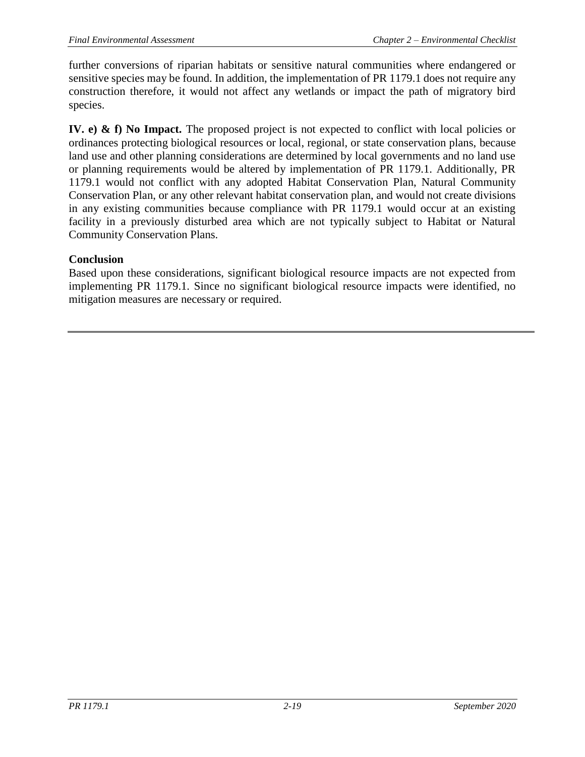further conversions of riparian habitats or sensitive natural communities where endangered or sensitive species may be found. In addition, the implementation of PR 1179.1 does not require any construction therefore, it would not affect any wetlands or impact the path of migratory bird species.

**IV. e) & f) No Impact.** The proposed project is not expected to conflict with local policies or ordinances protecting biological resources or local, regional, or state conservation plans, because land use and other planning considerations are determined by local governments and no land use or planning requirements would be altered by implementation of PR 1179.1. Additionally, PR 1179.1 would not conflict with any adopted Habitat Conservation Plan, Natural Community Conservation Plan, or any other relevant habitat conservation plan, and would not create divisions in any existing communities because compliance with PR 1179.1 would occur at an existing facility in a previously disturbed area which are not typically subject to Habitat or Natural Community Conservation Plans.

### **Conclusion**

Based upon these considerations, significant biological resource impacts are not expected from implementing PR 1179.1. Since no significant biological resource impacts were identified, no mitigation measures are necessary or required.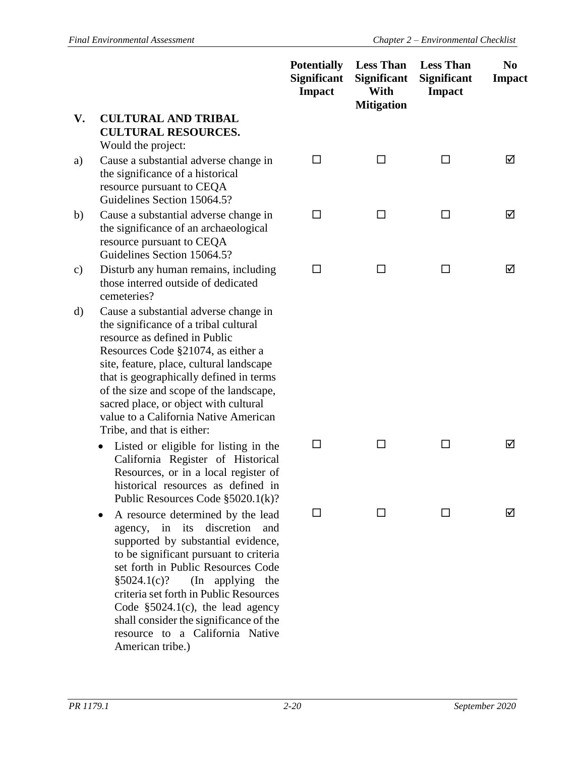|               |                                                                                                                                                                                                                                                                                                                                                                                                         | <b>Potentially</b><br><b>Significant</b><br><b>Impact</b> | <b>Less Than</b><br><b>Significant</b><br>With<br><b>Mitigation</b> | <b>Less Than</b><br><b>Significant</b><br><b>Impact</b> | N <sub>0</sub><br><b>Impact</b> |
|---------------|---------------------------------------------------------------------------------------------------------------------------------------------------------------------------------------------------------------------------------------------------------------------------------------------------------------------------------------------------------------------------------------------------------|-----------------------------------------------------------|---------------------------------------------------------------------|---------------------------------------------------------|---------------------------------|
| V.            | <b>CULTURAL AND TRIBAL</b><br><b>CULTURAL RESOURCES.</b><br>Would the project:                                                                                                                                                                                                                                                                                                                          |                                                           |                                                                     |                                                         |                                 |
| a)            | Cause a substantial adverse change in<br>the significance of a historical<br>resource pursuant to CEQA<br>Guidelines Section 15064.5?                                                                                                                                                                                                                                                                   | LΙ                                                        | □                                                                   | $\mathsf{L}$                                            | ☑                               |
| b)            | Cause a substantial adverse change in<br>the significance of an archaeological<br>resource pursuant to CEQA<br>Guidelines Section 15064.5?                                                                                                                                                                                                                                                              | □                                                         | □                                                                   | □                                                       | ☑                               |
| $\mathbf{c})$ | Disturb any human remains, including<br>those interred outside of dedicated<br>cemeteries?                                                                                                                                                                                                                                                                                                              | □                                                         | □                                                                   | □                                                       | ☑                               |
| d)            | Cause a substantial adverse change in<br>the significance of a tribal cultural<br>resource as defined in Public<br>Resources Code §21074, as either a<br>site, feature, place, cultural landscape<br>that is geographically defined in terms<br>of the size and scope of the landscape,<br>sacred place, or object with cultural<br>value to a California Native American<br>Tribe, and that is either: |                                                           |                                                                     |                                                         |                                 |
|               | Listed or eligible for listing in the<br>California Register of Historical<br>Resources, or in a local register of<br>historical resources as defined in<br>Public Resources Code $\S 5020.1(k)$ ?                                                                                                                                                                                                      | П                                                         | ΙI                                                                  | ΙI                                                      | ☑                               |
|               | A resource determined by the lead<br>discretion<br>in<br>its<br>and<br>agency,<br>supported by substantial evidence,<br>to be significant pursuant to criteria<br>set forth in Public Resources Code<br>§5024.1(c)?<br>(In applying the<br>criteria set forth in Public Resources<br>Code $$5024.1(c)$ , the lead agency<br>shall consider the significance of the                                      | □                                                         | ΙI                                                                  | ΙI                                                      | ⋈                               |

resource to a California Native

American tribe.)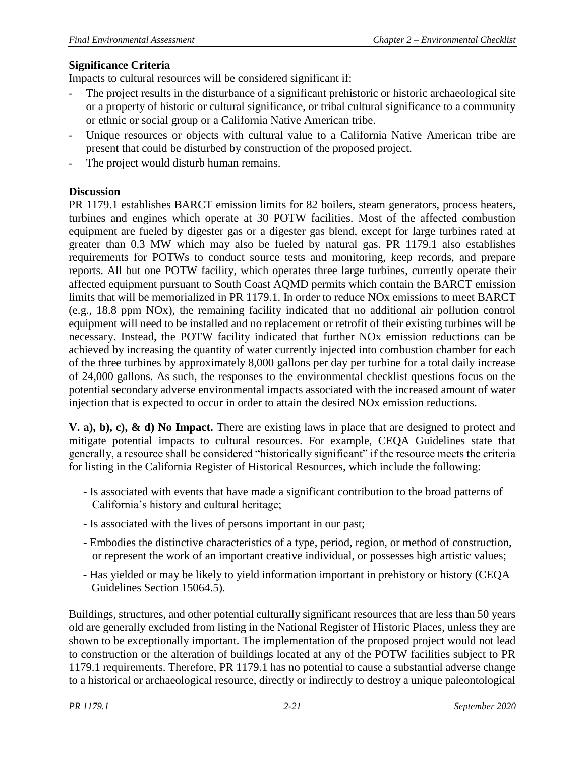Impacts to cultural resources will be considered significant if:

- The project results in the disturbance of a significant prehistoric or historic archaeological site or a property of historic or cultural significance, or tribal cultural significance to a community or ethnic or social group or a California Native American tribe.
- Unique resources or objects with cultural value to a California Native American tribe are present that could be disturbed by construction of the proposed project.
- The project would disturb human remains.

### **Discussion**

PR 1179.1 establishes BARCT emission limits for 82 boilers, steam generators, process heaters, turbines and engines which operate at 30 POTW facilities. Most of the affected combustion equipment are fueled by digester gas or a digester gas blend, except for large turbines rated at greater than 0.3 MW which may also be fueled by natural gas. PR 1179.1 also establishes requirements for POTWs to conduct source tests and monitoring, keep records, and prepare reports. All but one POTW facility, which operates three large turbines, currently operate their affected equipment pursuant to South Coast AQMD permits which contain the BARCT emission limits that will be memorialized in PR 1179.1. In order to reduce NOx emissions to meet BARCT (e.g., 18.8 ppm NOx), the remaining facility indicated that no additional air pollution control equipment will need to be installed and no replacement or retrofit of their existing turbines will be necessary. Instead, the POTW facility indicated that further NOx emission reductions can be achieved by increasing the quantity of water currently injected into combustion chamber for each of the three turbines by approximately 8,000 gallons per day per turbine for a total daily increase of 24,000 gallons. As such, the responses to the environmental checklist questions focus on the potential secondary adverse environmental impacts associated with the increased amount of water injection that is expected to occur in order to attain the desired NOx emission reductions.

**V. a), b), c), & d) No Impact.** There are existing laws in place that are designed to protect and mitigate potential impacts to cultural resources. For example, CEQA Guidelines state that generally, a resource shall be considered "historically significant" if the resource meets the criteria for listing in the California Register of Historical Resources, which include the following:

- Is associated with events that have made a significant contribution to the broad patterns of California's history and cultural heritage;
- Is associated with the lives of persons important in our past;
- Embodies the distinctive characteristics of a type, period, region, or method of construction, or represent the work of an important creative individual, or possesses high artistic values;
- Has yielded or may be likely to yield information important in prehistory or history (CEQA Guidelines Section 15064.5).

Buildings, structures, and other potential culturally significant resources that are less than 50 years old are generally excluded from listing in the National Register of Historic Places, unless they are shown to be exceptionally important. The implementation of the proposed project would not lead to construction or the alteration of buildings located at any of the POTW facilities subject to PR 1179.1 requirements. Therefore, PR 1179.1 has no potential to cause a substantial adverse change to a historical or archaeological resource, directly or indirectly to destroy a unique paleontological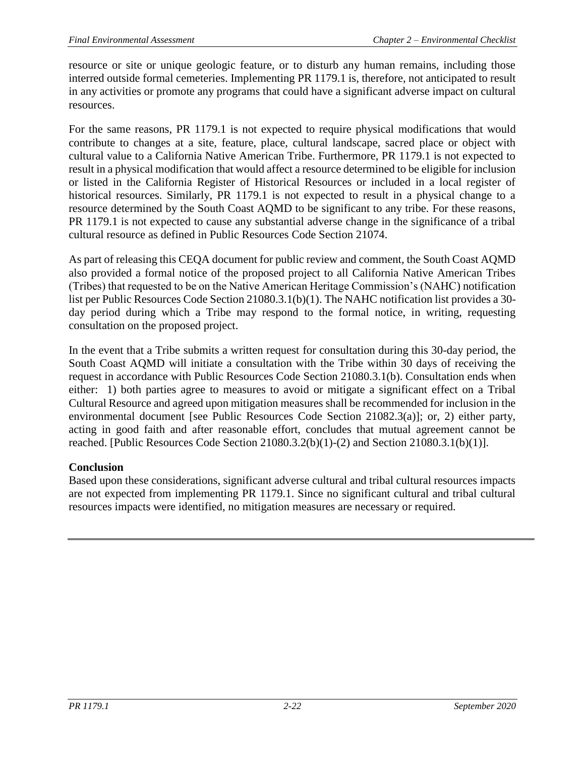resource or site or unique geologic feature, or to disturb any human remains, including those interred outside formal cemeteries. Implementing PR 1179.1 is, therefore, not anticipated to result in any activities or promote any programs that could have a significant adverse impact on cultural resources.

For the same reasons, PR 1179.1 is not expected to require physical modifications that would contribute to changes at a site, feature, place, cultural landscape, sacred place or object with cultural value to a California Native American Tribe. Furthermore, PR 1179.1 is not expected to result in a physical modification that would affect a resource determined to be eligible for inclusion or listed in the California Register of Historical Resources or included in a local register of historical resources. Similarly, PR 1179.1 is not expected to result in a physical change to a resource determined by the South Coast AQMD to be significant to any tribe. For these reasons, PR 1179.1 is not expected to cause any substantial adverse change in the significance of a tribal cultural resource as defined in Public Resources Code Section 21074.

As part of releasing this CEQA document for public review and comment, the South Coast AQMD also provided a formal notice of the proposed project to all California Native American Tribes (Tribes) that requested to be on the Native American Heritage Commission's (NAHC) notification list per Public Resources Code Section 21080.3.1(b)(1). The NAHC notification list provides a 30 day period during which a Tribe may respond to the formal notice, in writing, requesting consultation on the proposed project.

In the event that a Tribe submits a written request for consultation during this 30-day period, the South Coast AQMD will initiate a consultation with the Tribe within 30 days of receiving the request in accordance with Public Resources Code Section 21080.3.1(b). Consultation ends when either: 1) both parties agree to measures to avoid or mitigate a significant effect on a Tribal Cultural Resource and agreed upon mitigation measures shall be recommended for inclusion in the environmental document [see Public Resources Code Section 21082.3(a)]; or, 2) either party, acting in good faith and after reasonable effort, concludes that mutual agreement cannot be reached. [Public Resources Code Section 21080.3.2(b)(1)-(2) and Section 21080.3.1(b)(1)].

# **Conclusion**

Based upon these considerations, significant adverse cultural and tribal cultural resources impacts are not expected from implementing PR 1179.1. Since no significant cultural and tribal cultural resources impacts were identified, no mitigation measures are necessary or required.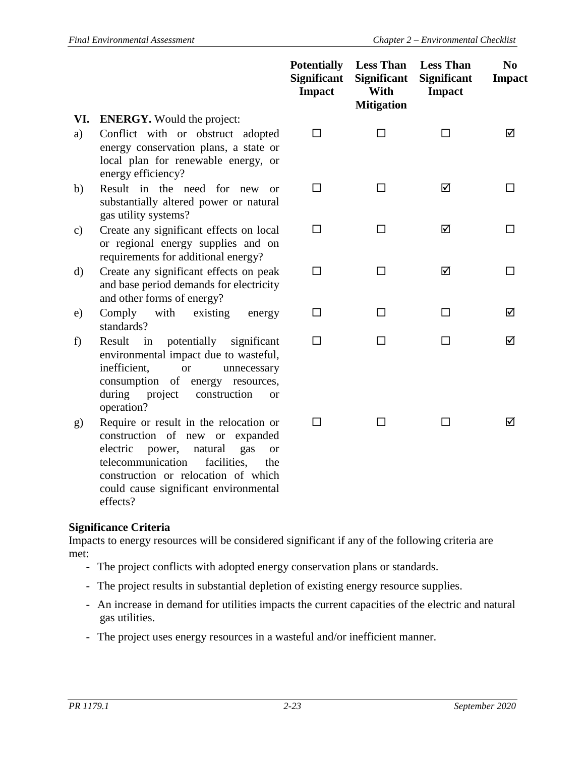|           |                                                                                                                                                                                                                                                               | <b>Potentially</b><br><b>Significant</b><br><b>Impact</b> | <b>Less Than</b><br><b>Significant</b><br>With<br><b>Mitigation</b> | <b>Less Than</b><br><b>Significant</b><br><b>Impact</b> | N <sub>0</sub><br><b>Impact</b> |
|-----------|---------------------------------------------------------------------------------------------------------------------------------------------------------------------------------------------------------------------------------------------------------------|-----------------------------------------------------------|---------------------------------------------------------------------|---------------------------------------------------------|---------------------------------|
| VI.<br>a) | <b>ENERGY.</b> Would the project:<br>Conflict with or obstruct adopted<br>energy conservation plans, a state or<br>local plan for renewable energy, or                                                                                                        | □                                                         | $\Box$                                                              | □                                                       | ☑                               |
| b)        | energy efficiency?<br>Result in the need for new or<br>substantially altered power or natural<br>gas utility systems?                                                                                                                                         | $\Box$                                                    | $\Box$                                                              | ☑                                                       | П                               |
| c)        | Create any significant effects on local<br>or regional energy supplies and on                                                                                                                                                                                 | □                                                         | □                                                                   | ☑                                                       | П                               |
| d)        | requirements for additional energy?<br>Create any significant effects on peak<br>and base period demands for electricity                                                                                                                                      | $\Box$                                                    | $\Box$                                                              | ☑                                                       | □                               |
| e)        | and other forms of energy?<br>Comply<br>with<br>existing<br>energy<br>standards?                                                                                                                                                                              | □                                                         | ப                                                                   | ப                                                       | ☑                               |
| f)        | in<br>potentially<br>Result<br>significant<br>environmental impact due to wasteful,<br>inefficient,<br><b>or</b><br>unnecessary<br>consumption of energy resources,<br>during<br>project<br>construction<br><sub>or</sub><br>operation?                       | $\Box$                                                    | П                                                                   | П                                                       | ☑                               |
| g)        | Require or result in the relocation or<br>construction of new or expanded<br>electric<br>natural<br>power,<br>gas<br><sub>or</sub><br>telecommunication<br>facilities,<br>the<br>construction or relocation of which<br>could cause significant environmental | П                                                         | П                                                                   | П                                                       | ☑                               |

effects?

Impacts to energy resources will be considered significant if any of the following criteria are met:

- The project conflicts with adopted energy conservation plans or standards.
- The project results in substantial depletion of existing energy resource supplies.
- An increase in demand for utilities impacts the current capacities of the electric and natural gas utilities.
- The project uses energy resources in a wasteful and/or inefficient manner.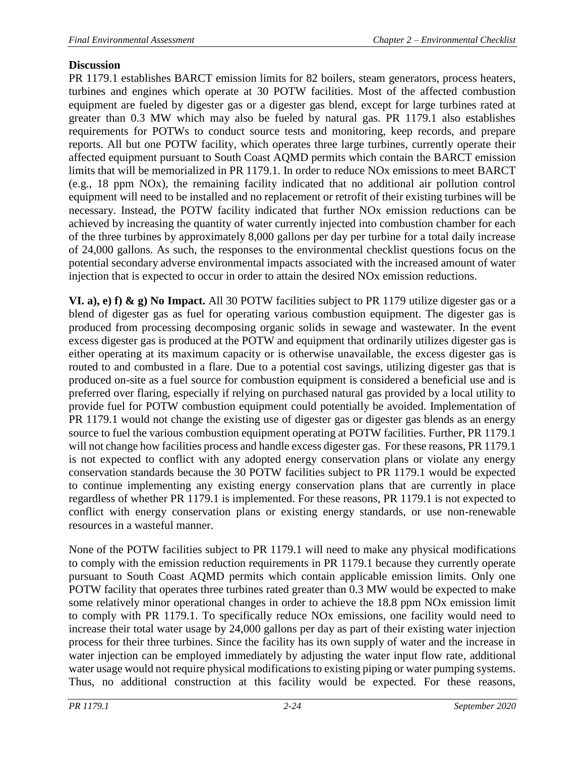# **Discussion**

PR 1179.1 establishes BARCT emission limits for 82 boilers, steam generators, process heaters, turbines and engines which operate at 30 POTW facilities. Most of the affected combustion equipment are fueled by digester gas or a digester gas blend, except for large turbines rated at greater than 0.3 MW which may also be fueled by natural gas. PR 1179.1 also establishes requirements for POTWs to conduct source tests and monitoring, keep records, and prepare reports. All but one POTW facility, which operates three large turbines, currently operate their affected equipment pursuant to South Coast AQMD permits which contain the BARCT emission limits that will be memorialized in PR 1179.1. In order to reduce NOx emissions to meet BARCT (e.g., 18 ppm NOx), the remaining facility indicated that no additional air pollution control equipment will need to be installed and no replacement or retrofit of their existing turbines will be necessary. Instead, the POTW facility indicated that further NOx emission reductions can be achieved by increasing the quantity of water currently injected into combustion chamber for each of the three turbines by approximately 8,000 gallons per day per turbine for a total daily increase of 24,000 gallons. As such, the responses to the environmental checklist questions focus on the potential secondary adverse environmental impacts associated with the increased amount of water injection that is expected to occur in order to attain the desired NOx emission reductions.

**VI. a), e) f) & g) No Impact.** All 30 POTW facilities subject to PR 1179 utilize digester gas or a blend of digester gas as fuel for operating various combustion equipment. The digester gas is produced from processing decomposing organic solids in sewage and wastewater. In the event excess digester gas is produced at the POTW and equipment that ordinarily utilizes digester gas is either operating at its maximum capacity or is otherwise unavailable, the excess digester gas is routed to and combusted in a flare. Due to a potential cost savings, utilizing digester gas that is produced on-site as a fuel source for combustion equipment is considered a beneficial use and is preferred over flaring, especially if relying on purchased natural gas provided by a local utility to provide fuel for POTW combustion equipment could potentially be avoided. Implementation of PR 1179.1 would not change the existing use of digester gas or digester gas blends as an energy source to fuel the various combustion equipment operating at POTW facilities. Further, PR 1179.1 will not change how facilities process and handle excess digester gas. For these reasons, PR 1179.1 is not expected to conflict with any adopted energy conservation plans or violate any energy conservation standards because the 30 POTW facilities subject to PR 1179.1 would be expected to continue implementing any existing energy conservation plans that are currently in place regardless of whether PR 1179.1 is implemented. For these reasons, PR 1179.1 is not expected to conflict with energy conservation plans or existing energy standards, or use non-renewable resources in a wasteful manner.

None of the POTW facilities subject to PR 1179.1 will need to make any physical modifications to comply with the emission reduction requirements in PR 1179.1 because they currently operate pursuant to South Coast AQMD permits which contain applicable emission limits. Only one POTW facility that operates three turbines rated greater than 0.3 MW would be expected to make some relatively minor operational changes in order to achieve the 18.8 ppm NOx emission limit to comply with PR 1179.1. To specifically reduce NOx emissions, one facility would need to increase their total water usage by 24,000 gallons per day as part of their existing water injection process for their three turbines. Since the facility has its own supply of water and the increase in water injection can be employed immediately by adjusting the water input flow rate, additional water usage would not require physical modifications to existing piping or water pumping systems. Thus, no additional construction at this facility would be expected. For these reasons,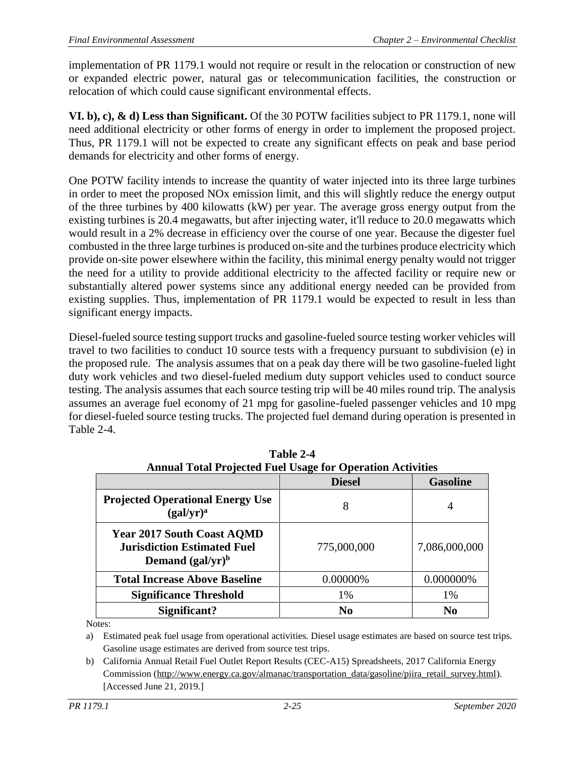implementation of PR 1179.1 would not require or result in the relocation or construction of new or expanded electric power, natural gas or telecommunication facilities, the construction or relocation of which could cause significant environmental effects.

**VI. b), c), & d) Less than Significant.** Of the 30 POTW facilities subject to PR 1179.1, none will need additional electricity or other forms of energy in order to implement the proposed project. Thus, PR 1179.1 will not be expected to create any significant effects on peak and base period demands for electricity and other forms of energy.

One POTW facility intends to increase the quantity of water injected into its three large turbines in order to meet the proposed NOx emission limit, and this will slightly reduce the energy output of the three turbines by 400 kilowatts (kW) per year. The average gross energy output from the existing turbines is 20.4 megawatts, but after injecting water, it'll reduce to 20.0 megawatts which would result in a 2% decrease in efficiency over the course of one year. Because the digester fuel combusted in the three large turbines is produced on-site and the turbines produce electricity which provide on-site power elsewhere within the facility, this minimal energy penalty would not trigger the need for a utility to provide additional electricity to the affected facility or require new or substantially altered power systems since any additional energy needed can be provided from existing supplies. Thus, implementation of PR 1179.1 would be expected to result in less than significant energy impacts.

Diesel-fueled source testing support trucks and gasoline-fueled source testing worker vehicles will travel to two facilities to conduct 10 source tests with a frequency pursuant to subdivision (e) in the proposed rule. The analysis assumes that on a peak day there will be two gasoline-fueled light duty work vehicles and two diesel-fueled medium duty support vehicles used to conduct source testing. The analysis assumes that each source testing trip will be 40 miles round trip. The analysis assumes an average fuel economy of 21 mpg for gasoline-fueled passenger vehicles and 10 mpg for diesel-fueled source testing trucks. The projected fuel demand during operation is presented in Table 2-4.

| Alliuai Tutai I Tujecteu Puel Osage ful Operation Activities                                   |                |                 |  |  |
|------------------------------------------------------------------------------------------------|----------------|-----------------|--|--|
|                                                                                                | <b>Diesel</b>  | <b>Gasoline</b> |  |  |
| <b>Projected Operational Energy Use</b><br>(gal/yr) <sup>a</sup>                               | 8              | 4               |  |  |
| <b>Year 2017 South Coast AQMD</b><br><b>Jurisdiction Estimated Fuel</b><br>Demand $(gal/yr)^b$ | 775,000,000    | 7,086,000,000   |  |  |
| <b>Total Increase Above Baseline</b>                                                           | 0.00000%       | 0.000000%       |  |  |
| <b>Significance Threshold</b>                                                                  | 1%             | 1%              |  |  |
| Significant?                                                                                   | N <sub>0</sub> | No              |  |  |

| Table 2-4                                                         |  |  |  |  |
|-------------------------------------------------------------------|--|--|--|--|
| <b>Annual Total Projected Fuel Usage for Operation Activities</b> |  |  |  |  |
|                                                                   |  |  |  |  |

Notes:

a) Estimated peak fuel usage from operational activities. Diesel usage estimates are based on source test trips. Gasoline usage estimates are derived from source test trips.

b) California Annual Retail Fuel Outlet Report Results (CEC-A15) Spreadsheets, 2017 California Energy Commission [\(http://www.energy.ca.gov/almanac/transportation\\_data/gasoline/piira\\_retail\\_survey.html\)](http://www.energy.ca.gov/almanac/transportation_data/gasoline/piira_retail_survey.html). [Accessed June 21, 2019.]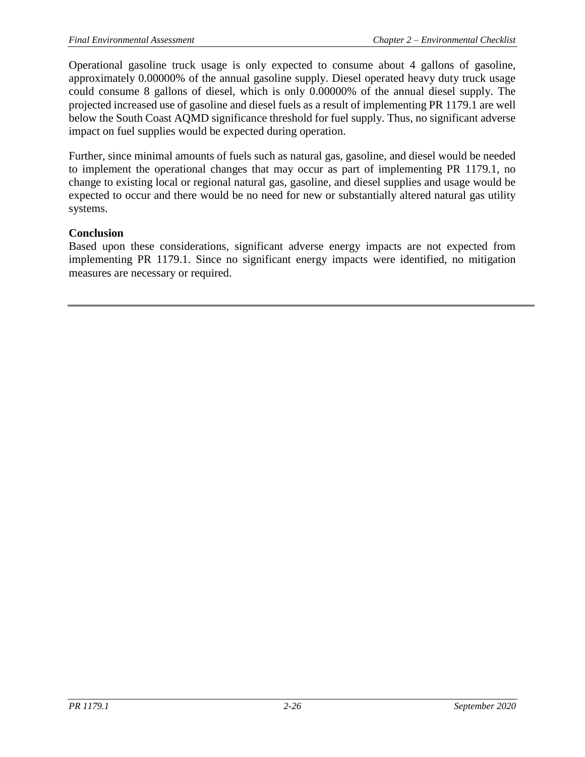Operational gasoline truck usage is only expected to consume about 4 gallons of gasoline, approximately 0.00000% of the annual gasoline supply. Diesel operated heavy duty truck usage could consume 8 gallons of diesel, which is only 0.00000% of the annual diesel supply. The projected increased use of gasoline and diesel fuels as a result of implementing PR 1179.1 are well below the South Coast AQMD significance threshold for fuel supply. Thus, no significant adverse impact on fuel supplies would be expected during operation.

Further, since minimal amounts of fuels such as natural gas, gasoline, and diesel would be needed to implement the operational changes that may occur as part of implementing PR 1179.1, no change to existing local or regional natural gas, gasoline, and diesel supplies and usage would be expected to occur and there would be no need for new or substantially altered natural gas utility systems.

### **Conclusion**

Based upon these considerations, significant adverse energy impacts are not expected from implementing PR 1179.1. Since no significant energy impacts were identified, no mitigation measures are necessary or required.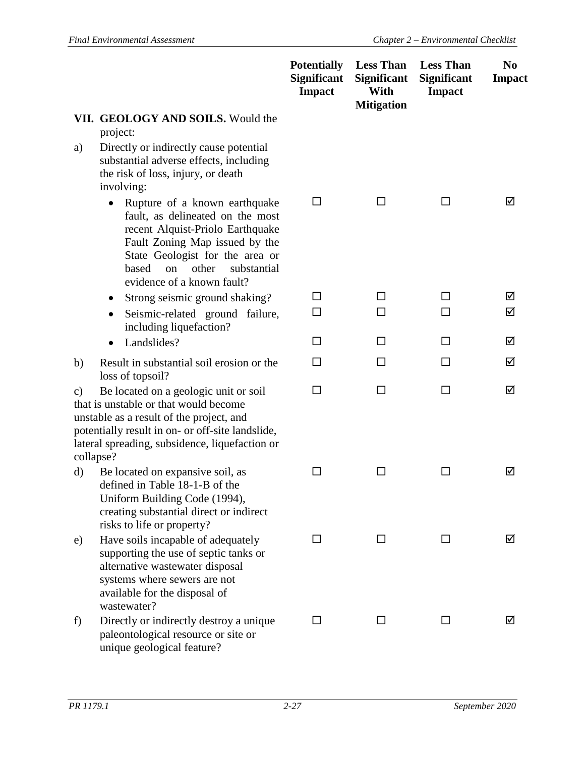|                 |                                                                                                                                                                                                                                                            | <b>Potentially</b><br><b>Significant</b><br><b>Impact</b> | <b>Less Than</b><br><b>Significant</b><br>With<br><b>Mitigation</b> | <b>Less Than</b><br><b>Significant</b><br><b>Impact</b> | N <sub>0</sub><br><b>Impact</b> |
|-----------------|------------------------------------------------------------------------------------------------------------------------------------------------------------------------------------------------------------------------------------------------------------|-----------------------------------------------------------|---------------------------------------------------------------------|---------------------------------------------------------|---------------------------------|
|                 | VII. GEOLOGY AND SOILS. Would the<br>project:                                                                                                                                                                                                              |                                                           |                                                                     |                                                         |                                 |
| a)              | Directly or indirectly cause potential<br>substantial adverse effects, including<br>the risk of loss, injury, or death<br>involving:                                                                                                                       |                                                           |                                                                     |                                                         |                                 |
|                 | Rupture of a known earthquake<br>fault, as delineated on the most<br>recent Alquist-Priolo Earthquake<br>Fault Zoning Map issued by the<br>State Geologist for the area or<br>other<br>substantial<br>based<br><sub>on</sub><br>evidence of a known fault? | □                                                         | □                                                                   | □                                                       | ☑                               |
|                 | Strong seismic ground shaking?<br>$\bullet$                                                                                                                                                                                                                | $\Box$                                                    | ப                                                                   | ΙI                                                      | ☑                               |
|                 | Seismic-related ground failure,<br>٠<br>including liquefaction?                                                                                                                                                                                            | П                                                         | П                                                                   | П                                                       | ☑                               |
|                 | Landslides?<br>٠                                                                                                                                                                                                                                           | H                                                         | ப                                                                   | ΙI                                                      | ☑                               |
| b)              | Result in substantial soil erosion or the<br>loss of topsoil?                                                                                                                                                                                              | П                                                         | П                                                                   | п                                                       | ☑                               |
| c)<br>collapse? | Be located on a geologic unit or soil<br>that is unstable or that would become<br>unstable as a result of the project, and<br>potentially result in on- or off-site landslide,<br>lateral spreading, subsidence, liquefaction or                           | □                                                         | □                                                                   | □                                                       | ☑                               |
| d)              | Be located on expansive soil, as<br>defined in Table 18-1-B of the<br>Uniform Building Code (1994),<br>creating substantial direct or indirect<br>risks to life or property?                                                                               | П                                                         | П                                                                   | П                                                       | ☑                               |
| e)              | Have soils incapable of adequately<br>supporting the use of septic tanks or<br>alternative wastewater disposal<br>systems where sewers are not<br>available for the disposal of<br>wastewater?                                                             | ΙI                                                        | $\mathsf{L}$                                                        | ΙI                                                      | ☑                               |
| f)              | Directly or indirectly destroy a unique<br>paleontological resource or site or<br>unique geological feature?                                                                                                                                               | ΙI                                                        | ΙI                                                                  |                                                         | M                               |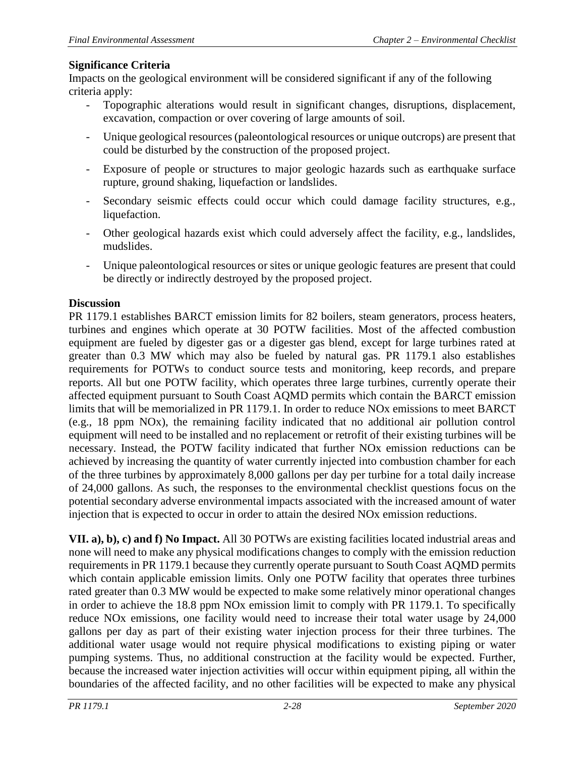Impacts on the geological environment will be considered significant if any of the following criteria apply:

- Topographic alterations would result in significant changes, disruptions, displacement, excavation, compaction or over covering of large amounts of soil.
- Unique geological resources (paleontological resources or unique outcrops) are present that could be disturbed by the construction of the proposed project.
- Exposure of people or structures to major geologic hazards such as earthquake surface rupture, ground shaking, liquefaction or landslides.
- Secondary seismic effects could occur which could damage facility structures, e.g., liquefaction.
- Other geological hazards exist which could adversely affect the facility, e.g., landslides, mudslides.
- Unique paleontological resources or sites or unique geologic features are present that could be directly or indirectly destroyed by the proposed project.

# **Discussion**

PR 1179.1 establishes BARCT emission limits for 82 boilers, steam generators, process heaters, turbines and engines which operate at 30 POTW facilities. Most of the affected combustion equipment are fueled by digester gas or a digester gas blend, except for large turbines rated at greater than 0.3 MW which may also be fueled by natural gas. PR 1179.1 also establishes requirements for POTWs to conduct source tests and monitoring, keep records, and prepare reports. All but one POTW facility, which operates three large turbines, currently operate their affected equipment pursuant to South Coast AQMD permits which contain the BARCT emission limits that will be memorialized in PR 1179.1. In order to reduce NOx emissions to meet BARCT (e.g., 18 ppm NOx), the remaining facility indicated that no additional air pollution control equipment will need to be installed and no replacement or retrofit of their existing turbines will be necessary. Instead, the POTW facility indicated that further NOx emission reductions can be achieved by increasing the quantity of water currently injected into combustion chamber for each of the three turbines by approximately 8,000 gallons per day per turbine for a total daily increase of 24,000 gallons. As such, the responses to the environmental checklist questions focus on the potential secondary adverse environmental impacts associated with the increased amount of water injection that is expected to occur in order to attain the desired NOx emission reductions.

**VII. a), b), c) and f) No Impact.** All 30 POTWs are existing facilities located industrial areas and none will need to make any physical modifications changes to comply with the emission reduction requirements in PR 1179.1 because they currently operate pursuant to South Coast AQMD permits which contain applicable emission limits. Only one POTW facility that operates three turbines rated greater than 0.3 MW would be expected to make some relatively minor operational changes in order to achieve the 18.8 ppm NOx emission limit to comply with PR 1179.1. To specifically reduce NOx emissions, one facility would need to increase their total water usage by 24,000 gallons per day as part of their existing water injection process for their three turbines. The additional water usage would not require physical modifications to existing piping or water pumping systems. Thus, no additional construction at the facility would be expected. Further, because the increased water injection activities will occur within equipment piping, all within the boundaries of the affected facility, and no other facilities will be expected to make any physical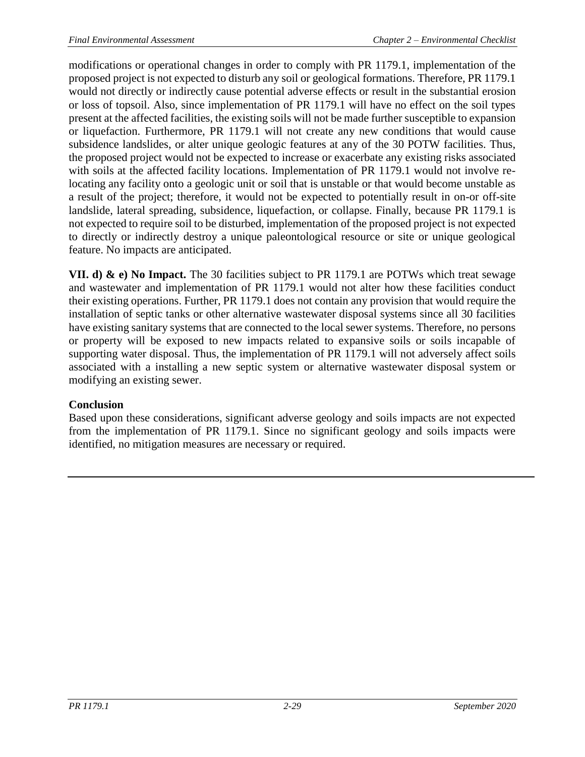modifications or operational changes in order to comply with PR 1179.1, implementation of the proposed project is not expected to disturb any soil or geological formations. Therefore, PR 1179.1 would not directly or indirectly cause potential adverse effects or result in the substantial erosion or loss of topsoil. Also, since implementation of PR 1179.1 will have no effect on the soil types present at the affected facilities, the existing soils will not be made further susceptible to expansion or liquefaction. Furthermore, PR 1179.1 will not create any new conditions that would cause subsidence landslides, or alter unique geologic features at any of the 30 POTW facilities. Thus, the proposed project would not be expected to increase or exacerbate any existing risks associated with soils at the affected facility locations. Implementation of PR 1179.1 would not involve relocating any facility onto a geologic unit or soil that is unstable or that would become unstable as a result of the project; therefore, it would not be expected to potentially result in on-or off-site landslide, lateral spreading, subsidence, liquefaction, or collapse. Finally, because PR 1179.1 is not expected to require soil to be disturbed, implementation of the proposed project is not expected to directly or indirectly destroy a unique paleontological resource or site or unique geological feature. No impacts are anticipated.

**VII. d) & e) No Impact.** The 30 facilities subject to PR 1179.1 are POTWs which treat sewage and wastewater and implementation of PR 1179.1 would not alter how these facilities conduct their existing operations. Further, PR 1179.1 does not contain any provision that would require the installation of septic tanks or other alternative wastewater disposal systems since all 30 facilities have existing sanitary systems that are connected to the local sewer systems. Therefore, no persons or property will be exposed to new impacts related to expansive soils or soils incapable of supporting water disposal. Thus, the implementation of PR 1179.1 will not adversely affect soils associated with a installing a new septic system or alternative wastewater disposal system or modifying an existing sewer.

# **Conclusion**

Based upon these considerations, significant adverse geology and soils impacts are not expected from the implementation of PR 1179.1. Since no significant geology and soils impacts were identified, no mitigation measures are necessary or required.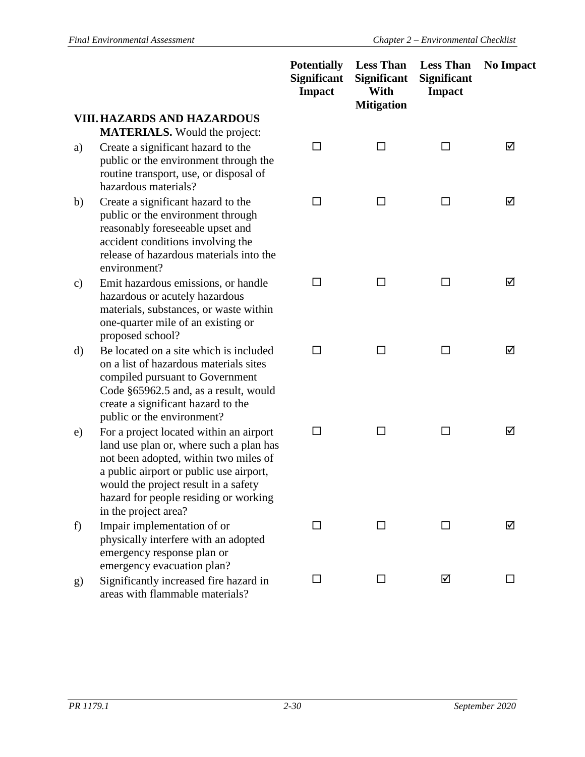|    |                                                                                                                                                                                                                                                                                 | <b>Potentially</b><br><b>Significant</b><br><b>Impact</b> | <b>Less Than</b><br><b>Significant</b><br>With<br><b>Mitigation</b> | <b>Less Than</b><br><b>Significant</b><br><b>Impact</b> | <b>No Impact</b> |
|----|---------------------------------------------------------------------------------------------------------------------------------------------------------------------------------------------------------------------------------------------------------------------------------|-----------------------------------------------------------|---------------------------------------------------------------------|---------------------------------------------------------|------------------|
|    | <b>VIII. HAZARDS AND HAZARDOUS</b><br><b>MATERIALS.</b> Would the project:                                                                                                                                                                                                      |                                                           |                                                                     |                                                         |                  |
| a) | Create a significant hazard to the<br>public or the environment through the<br>routine transport, use, or disposal of<br>hazardous materials?                                                                                                                                   | □                                                         | □                                                                   | ப                                                       | ☑                |
| b) | Create a significant hazard to the<br>public or the environment through<br>reasonably foreseeable upset and<br>accident conditions involving the<br>release of hazardous materials into the<br>environment?                                                                     | $\Box$                                                    | П                                                                   | П                                                       | ☑                |
| c) | Emit hazardous emissions, or handle<br>hazardous or acutely hazardous<br>materials, substances, or waste within<br>one-quarter mile of an existing or<br>proposed school?                                                                                                       | П                                                         | □                                                                   | □                                                       | ☑                |
| d) | Be located on a site which is included<br>on a list of hazardous materials sites<br>compiled pursuant to Government<br>Code §65962.5 and, as a result, would<br>create a significant hazard to the<br>public or the environment?                                                | П                                                         | П                                                                   | П                                                       | ☑                |
| e) | For a project located within an airport<br>land use plan or, where such a plan has<br>not been adopted, within two miles of<br>a public airport or public use airport,<br>would the project result in a safety<br>hazard for people residing or working<br>in the project area? | $\Box$                                                    | П                                                                   | ΙI                                                      | ☑                |
| f) | Impair implementation of or<br>physically interfere with an adopted<br>emergency response plan or<br>emergency evacuation plan?                                                                                                                                                 | □                                                         | □                                                                   | □                                                       | ☑                |
| g) | Significantly increased fire hazard in<br>areas with flammable materials?                                                                                                                                                                                                       | ΙI                                                        | П                                                                   | ☑                                                       |                  |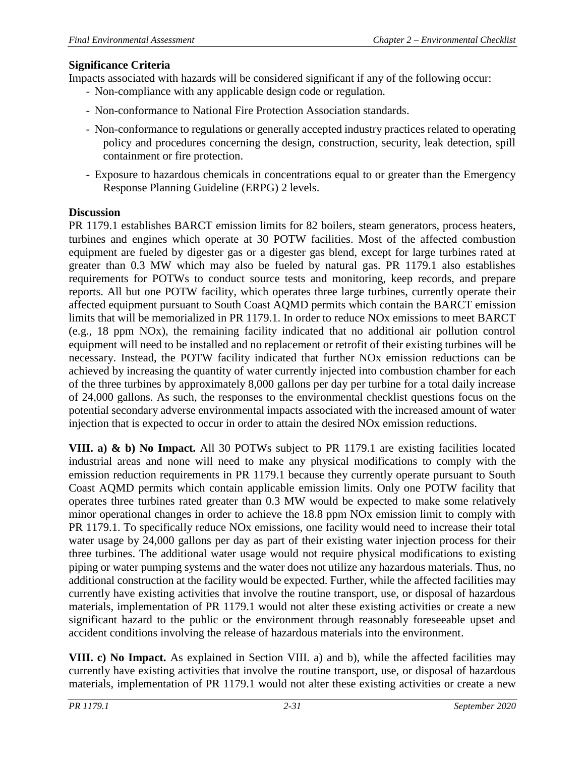Impacts associated with hazards will be considered significant if any of the following occur:

- Non-compliance with any applicable design code or regulation.
- Non-conformance to National Fire Protection Association standards.
- Non-conformance to regulations or generally accepted industry practices related to operating policy and procedures concerning the design, construction, security, leak detection, spill containment or fire protection.
- Exposure to hazardous chemicals in concentrations equal to or greater than the Emergency Response Planning Guideline (ERPG) 2 levels.

#### **Discussion**

PR 1179.1 establishes BARCT emission limits for 82 boilers, steam generators, process heaters, turbines and engines which operate at 30 POTW facilities. Most of the affected combustion equipment are fueled by digester gas or a digester gas blend, except for large turbines rated at greater than 0.3 MW which may also be fueled by natural gas. PR 1179.1 also establishes requirements for POTWs to conduct source tests and monitoring, keep records, and prepare reports. All but one POTW facility, which operates three large turbines, currently operate their affected equipment pursuant to South Coast AQMD permits which contain the BARCT emission limits that will be memorialized in PR 1179.1. In order to reduce NOx emissions to meet BARCT (e.g., 18 ppm NOx), the remaining facility indicated that no additional air pollution control equipment will need to be installed and no replacement or retrofit of their existing turbines will be necessary. Instead, the POTW facility indicated that further NOx emission reductions can be achieved by increasing the quantity of water currently injected into combustion chamber for each of the three turbines by approximately 8,000 gallons per day per turbine for a total daily increase of 24,000 gallons. As such, the responses to the environmental checklist questions focus on the potential secondary adverse environmental impacts associated with the increased amount of water injection that is expected to occur in order to attain the desired NOx emission reductions.

**VIII. a) & b) No Impact.** All 30 POTWs subject to PR 1179.1 are existing facilities located industrial areas and none will need to make any physical modifications to comply with the emission reduction requirements in PR 1179.1 because they currently operate pursuant to South Coast AQMD permits which contain applicable emission limits. Only one POTW facility that operates three turbines rated greater than 0.3 MW would be expected to make some relatively minor operational changes in order to achieve the 18.8 ppm NOx emission limit to comply with PR 1179.1. To specifically reduce NOx emissions, one facility would need to increase their total water usage by 24,000 gallons per day as part of their existing water injection process for their three turbines. The additional water usage would not require physical modifications to existing piping or water pumping systems and the water does not utilize any hazardous materials. Thus, no additional construction at the facility would be expected. Further, while the affected facilities may currently have existing activities that involve the routine transport, use, or disposal of hazardous materials, implementation of PR 1179.1 would not alter these existing activities or create a new significant hazard to the public or the environment through reasonably foreseeable upset and accident conditions involving the release of hazardous materials into the environment.

**VIII. c) No Impact.** As explained in Section VIII. a) and b), while the affected facilities may currently have existing activities that involve the routine transport, use, or disposal of hazardous materials, implementation of PR 1179.1 would not alter these existing activities or create a new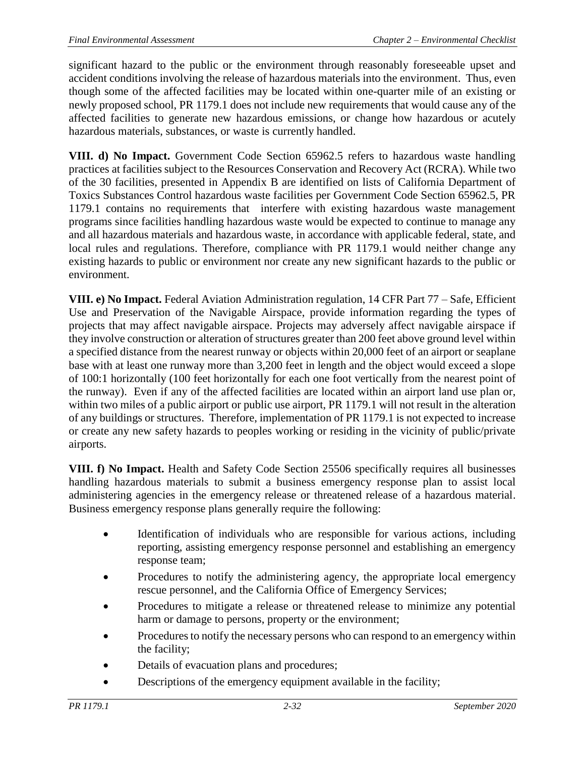significant hazard to the public or the environment through reasonably foreseeable upset and accident conditions involving the release of hazardous materials into the environment. Thus, even though some of the affected facilities may be located within one-quarter mile of an existing or newly proposed school, PR 1179.1 does not include new requirements that would cause any of the affected facilities to generate new hazardous emissions, or change how hazardous or acutely hazardous materials, substances, or waste is currently handled.

**VIII. d) No Impact.** Government Code Section 65962.5 refers to hazardous waste handling practices at facilities subject to the Resources Conservation and Recovery Act (RCRA). While two of the 30 facilities, presented in Appendix B are identified on lists of California Department of Toxics Substances Control hazardous waste facilities per Government Code Section 65962.5, PR 1179.1 contains no requirements that interfere with existing hazardous waste management programs since facilities handling hazardous waste would be expected to continue to manage any and all hazardous materials and hazardous waste, in accordance with applicable federal, state, and local rules and regulations. Therefore, compliance with PR 1179.1 would neither change any existing hazards to public or environment nor create any new significant hazards to the public or environment.

**VIII. e) No Impact.** Federal Aviation Administration regulation, 14 CFR Part 77 – Safe, Efficient Use and Preservation of the Navigable Airspace, provide information regarding the types of projects that may affect navigable airspace. Projects may adversely affect navigable airspace if they involve construction or alteration of structures greater than 200 feet above ground level within a specified distance from the nearest runway or objects within 20,000 feet of an airport or seaplane base with at least one runway more than 3,200 feet in length and the object would exceed a slope of 100:1 horizontally (100 feet horizontally for each one foot vertically from the nearest point of the runway). Even if any of the affected facilities are located within an airport land use plan or, within two miles of a public airport or public use airport, PR 1179.1 will not result in the alteration of any buildings or structures. Therefore, implementation of PR 1179.1 is not expected to increase or create any new safety hazards to peoples working or residing in the vicinity of public/private airports.

**VIII. f) No Impact.** Health and Safety Code Section 25506 specifically requires all businesses handling hazardous materials to submit a business emergency response plan to assist local administering agencies in the emergency release or threatened release of a hazardous material. Business emergency response plans generally require the following:

- Identification of individuals who are responsible for various actions, including reporting, assisting emergency response personnel and establishing an emergency response team;
- Procedures to notify the administering agency, the appropriate local emergency rescue personnel, and the California Office of Emergency Services;
- Procedures to mitigate a release or threatened release to minimize any potential harm or damage to persons, property or the environment;
- Procedures to notify the necessary persons who can respond to an emergency within the facility;
- Details of evacuation plans and procedures;
- Descriptions of the emergency equipment available in the facility;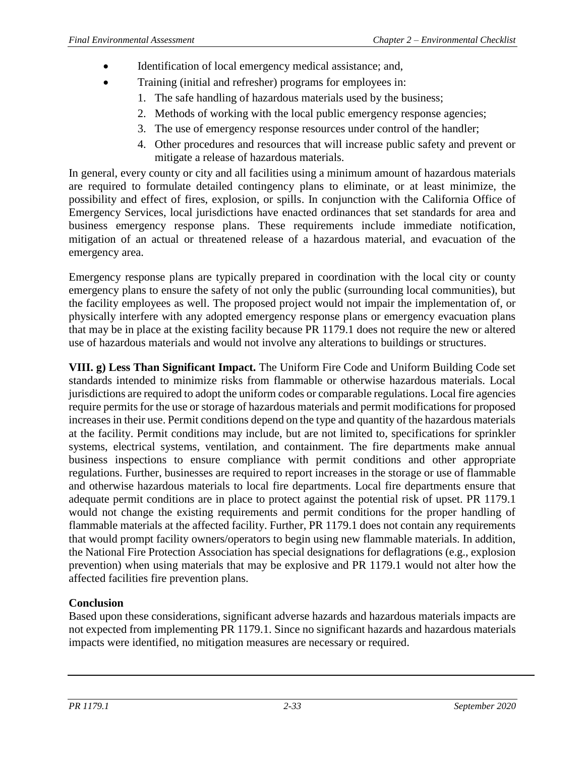- Identification of local emergency medical assistance; and,
	- Training (initial and refresher) programs for employees in:
		- 1. The safe handling of hazardous materials used by the business;
		- 2. Methods of working with the local public emergency response agencies;
		- 3. The use of emergency response resources under control of the handler;
		- 4. Other procedures and resources that will increase public safety and prevent or mitigate a release of hazardous materials.

In general, every county or city and all facilities using a minimum amount of hazardous materials are required to formulate detailed contingency plans to eliminate, or at least minimize, the possibility and effect of fires, explosion, or spills. In conjunction with the California Office of Emergency Services, local jurisdictions have enacted ordinances that set standards for area and business emergency response plans. These requirements include immediate notification, mitigation of an actual or threatened release of a hazardous material, and evacuation of the emergency area.

Emergency response plans are typically prepared in coordination with the local city or county emergency plans to ensure the safety of not only the public (surrounding local communities), but the facility employees as well. The proposed project would not impair the implementation of, or physically interfere with any adopted emergency response plans or emergency evacuation plans that may be in place at the existing facility because PR 1179.1 does not require the new or altered use of hazardous materials and would not involve any alterations to buildings or structures.

**VIII. g) Less Than Significant Impact.** The Uniform Fire Code and Uniform Building Code set standards intended to minimize risks from flammable or otherwise hazardous materials. Local jurisdictions are required to adopt the uniform codes or comparable regulations. Local fire agencies require permits for the use or storage of hazardous materials and permit modifications for proposed increases in their use. Permit conditions depend on the type and quantity of the hazardous materials at the facility. Permit conditions may include, but are not limited to, specifications for sprinkler systems, electrical systems, ventilation, and containment. The fire departments make annual business inspections to ensure compliance with permit conditions and other appropriate regulations. Further, businesses are required to report increases in the storage or use of flammable and otherwise hazardous materials to local fire departments. Local fire departments ensure that adequate permit conditions are in place to protect against the potential risk of upset. PR 1179.1 would not change the existing requirements and permit conditions for the proper handling of flammable materials at the affected facility. Further, PR 1179.1 does not contain any requirements that would prompt facility owners/operators to begin using new flammable materials. In addition, the National Fire Protection Association has special designations for deflagrations (e.g., explosion prevention) when using materials that may be explosive and PR 1179.1 would not alter how the affected facilities fire prevention plans.

# **Conclusion**

Based upon these considerations, significant adverse hazards and hazardous materials impacts are not expected from implementing PR 1179.1. Since no significant hazards and hazardous materials impacts were identified, no mitigation measures are necessary or required.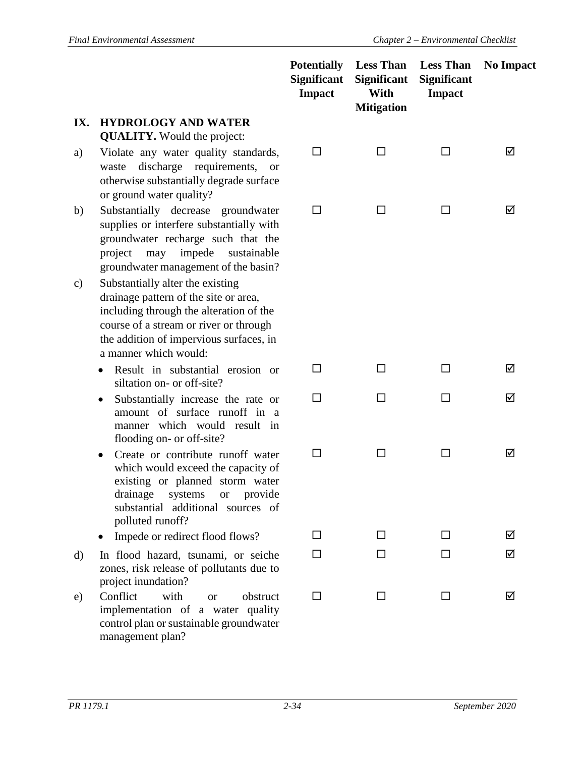|               |                                                                                                                                                                                                                                    | <b>Potentially</b><br><b>Significant</b><br><b>Impact</b> | <b>Significant</b><br>With<br><b>Mitigation</b> | <b>Less Than</b> Less Than<br><b>Significant</b><br><b>Impact</b> | <b>No Impact</b> |
|---------------|------------------------------------------------------------------------------------------------------------------------------------------------------------------------------------------------------------------------------------|-----------------------------------------------------------|-------------------------------------------------|-------------------------------------------------------------------|------------------|
| IX.           | <b>HYDROLOGY AND WATER</b>                                                                                                                                                                                                         |                                                           |                                                 |                                                                   |                  |
|               | <b>QUALITY.</b> Would the project:                                                                                                                                                                                                 |                                                           |                                                 |                                                                   |                  |
| a)            | Violate any water quality standards,<br>discharge requirements,<br>waste<br><b>or</b><br>otherwise substantially degrade surface<br>or ground water quality?                                                                       | □                                                         | □                                               | П                                                                 | ☑                |
| b)            | Substantially decrease<br>groundwater<br>supplies or interfere substantially with<br>groundwater recharge such that the<br>impede<br>sustainable<br>project<br>may<br>groundwater management of the basin?                         | □                                                         |                                                 |                                                                   | ☑                |
| $\mathbf{c})$ | Substantially alter the existing<br>drainage pattern of the site or area,<br>including through the alteration of the<br>course of a stream or river or through<br>the addition of impervious surfaces, in<br>a manner which would: |                                                           |                                                 |                                                                   |                  |
|               | Result in substantial erosion or<br>$\bullet$<br>siltation on- or off-site?                                                                                                                                                        | П                                                         | □                                               | П                                                                 | ☑                |
|               | Substantially increase the rate or<br>٠<br>amount of surface runoff in a<br>manner which would result in<br>flooding on- or off-site?                                                                                              | □                                                         | П                                               | П                                                                 | ☑                |
|               | Create or contribute runoff water<br>$\bullet$<br>which would exceed the capacity of<br>existing or planned storm water<br>drainage systems or provide<br>substantial additional sources of<br>polluted runoff?                    | $\Box$                                                    | □                                               | П                                                                 | ☑                |
|               | Impede or redirect flood flows?                                                                                                                                                                                                    | ΙI                                                        | ΙI                                              | П                                                                 | ☑                |
| d)            | In flood hazard, tsunami, or seiche<br>zones, risk release of pollutants due to<br>project inundation?                                                                                                                             | ΙI                                                        |                                                 | ΙI                                                                | ☑                |
| e)            | Conflict<br>with<br>obstruct<br><b>or</b><br>implementation of a water quality<br>control plan or sustainable groundwater                                                                                                          | □                                                         | ΙI                                              | ΙI                                                                | ☑                |

management plan?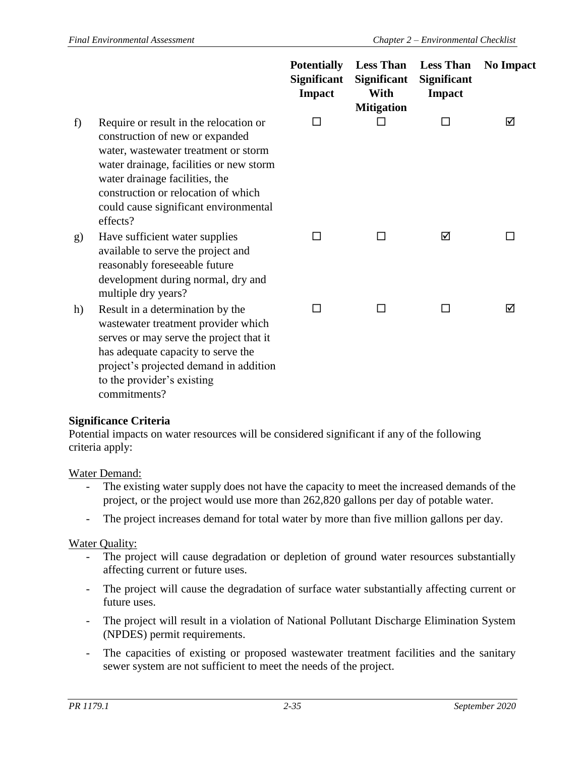|    |                                                                                                                                                                                                                                                                                            | <b>Potentially</b><br><b>Significant</b><br><b>Impact</b> | <b>Less Than</b><br><b>Significant</b><br>With<br><b>Mitigation</b> | <b>Less Than</b><br><b>Significant</b><br><b>Impact</b> | <b>No Impact</b> |
|----|--------------------------------------------------------------------------------------------------------------------------------------------------------------------------------------------------------------------------------------------------------------------------------------------|-----------------------------------------------------------|---------------------------------------------------------------------|---------------------------------------------------------|------------------|
| f  | Require or result in the relocation or<br>construction of new or expanded<br>water, wastewater treatment or storm<br>water drainage, facilities or new storm<br>water drainage facilities, the<br>construction or relocation of which<br>could cause significant environmental<br>effects? | П                                                         | П                                                                   | П                                                       | ☑                |
| g) | Have sufficient water supplies<br>available to serve the project and<br>reasonably foreseeable future<br>development during normal, dry and<br>multiple dry years?                                                                                                                         | П                                                         | П                                                                   | ☑                                                       |                  |
| h) | Result in a determination by the<br>wastewater treatment provider which<br>serves or may serve the project that it<br>has adequate capacity to serve the<br>project's projected demand in addition<br>to the provider's existing<br>commitments?                                           | П                                                         | П                                                                   | ΙI                                                      | ☑                |

Potential impacts on water resources will be considered significant if any of the following criteria apply:

#### Water Demand:

- The existing water supply does not have the capacity to meet the increased demands of the project, or the project would use more than 262,820 gallons per day of potable water.
- The project increases demand for total water by more than five million gallons per day.

#### Water Quality:

- The project will cause degradation or depletion of ground water resources substantially affecting current or future uses.
- The project will cause the degradation of surface water substantially affecting current or future uses.
- The project will result in a violation of National Pollutant Discharge Elimination System (NPDES) permit requirements.
- The capacities of existing or proposed wastewater treatment facilities and the sanitary sewer system are not sufficient to meet the needs of the project.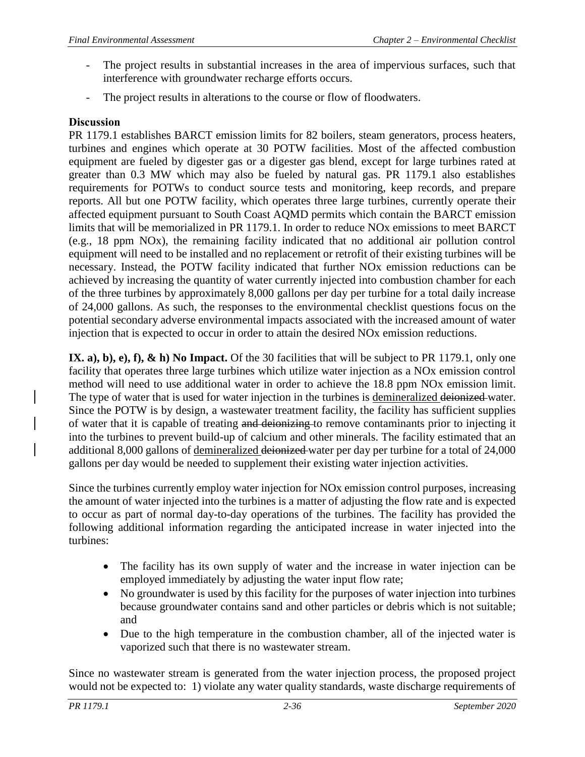- The project results in substantial increases in the area of impervious surfaces, such that interference with groundwater recharge efforts occurs.
- The project results in alterations to the course or flow of floodwaters.

# **Discussion**

PR 1179.1 establishes BARCT emission limits for 82 boilers, steam generators, process heaters, turbines and engines which operate at 30 POTW facilities. Most of the affected combustion equipment are fueled by digester gas or a digester gas blend, except for large turbines rated at greater than 0.3 MW which may also be fueled by natural gas. PR 1179.1 also establishes requirements for POTWs to conduct source tests and monitoring, keep records, and prepare reports. All but one POTW facility, which operates three large turbines, currently operate their affected equipment pursuant to South Coast AQMD permits which contain the BARCT emission limits that will be memorialized in PR 1179.1. In order to reduce NOx emissions to meet BARCT (e.g., 18 ppm NOx), the remaining facility indicated that no additional air pollution control equipment will need to be installed and no replacement or retrofit of their existing turbines will be necessary. Instead, the POTW facility indicated that further NOx emission reductions can be achieved by increasing the quantity of water currently injected into combustion chamber for each of the three turbines by approximately 8,000 gallons per day per turbine for a total daily increase of 24,000 gallons. As such, the responses to the environmental checklist questions focus on the potential secondary adverse environmental impacts associated with the increased amount of water injection that is expected to occur in order to attain the desired NOx emission reductions.

**IX. a), b), e), f), & h) No Impact.** Of the 30 facilities that will be subject to PR 1179.1, only one facility that operates three large turbines which utilize water injection as a NOx emission control method will need to use additional water in order to achieve the 18.8 ppm NOx emission limit. The type of water that is used for water injection in the turbines is demineralized deionized water. Since the POTW is by design, a wastewater treatment facility, the facility has sufficient supplies of water that it is capable of treating and deionizing to remove contaminants prior to injecting it into the turbines to prevent build-up of calcium and other minerals. The facility estimated that an additional 8,000 gallons of demineralized deionized water per day per turbine for a total of 24,000 gallons per day would be needed to supplement their existing water injection activities.

Since the turbines currently employ water injection for NOx emission control purposes, increasing the amount of water injected into the turbines is a matter of adjusting the flow rate and is expected to occur as part of normal day-to-day operations of the turbines. The facility has provided the following additional information regarding the anticipated increase in water injected into the turbines:

- The facility has its own supply of water and the increase in water injection can be employed immediately by adjusting the water input flow rate;
- No groundwater is used by this facility for the purposes of water injection into turbines because groundwater contains sand and other particles or debris which is not suitable; and
- Due to the high temperature in the combustion chamber, all of the injected water is vaporized such that there is no wastewater stream.

Since no wastewater stream is generated from the water injection process, the proposed project would not be expected to: 1) violate any water quality standards, waste discharge requirements of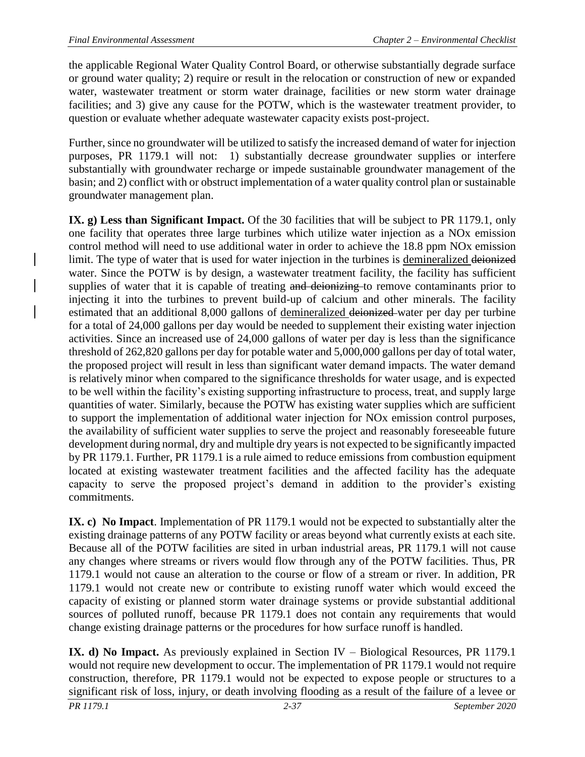the applicable Regional Water Quality Control Board, or otherwise substantially degrade surface or ground water quality; 2) require or result in the relocation or construction of new or expanded water, wastewater treatment or storm water drainage, facilities or new storm water drainage facilities; and 3) give any cause for the POTW, which is the wastewater treatment provider, to question or evaluate whether adequate wastewater capacity exists post-project.

Further, since no groundwater will be utilized to satisfy the increased demand of water for injection purposes, PR 1179.1 will not: 1) substantially decrease groundwater supplies or interfere substantially with groundwater recharge or impede sustainable groundwater management of the basin; and 2) conflict with or obstruct implementation of a water quality control plan or sustainable groundwater management plan.

**IX. g) Less than Significant Impact.** Of the 30 facilities that will be subject to PR 1179.1, only one facility that operates three large turbines which utilize water injection as a NOx emission control method will need to use additional water in order to achieve the 18.8 ppm NOx emission limit. The type of water that is used for water injection in the turbines is demineralized deionized water. Since the POTW is by design, a wastewater treatment facility, the facility has sufficient supplies of water that it is capable of treating and deionizing to remove contaminants prior to injecting it into the turbines to prevent build-up of calcium and other minerals. The facility estimated that an additional 8,000 gallons of demineralized deionized water per day per turbine for a total of 24,000 gallons per day would be needed to supplement their existing water injection activities. Since an increased use of 24,000 gallons of water per day is less than the significance threshold of 262,820 gallons per day for potable water and 5,000,000 gallons per day of total water, the proposed project will result in less than significant water demand impacts. The water demand is relatively minor when compared to the significance thresholds for water usage, and is expected to be well within the facility's existing supporting infrastructure to process, treat, and supply large quantities of water. Similarly, because the POTW has existing water supplies which are sufficient to support the implementation of additional water injection for NOx emission control purposes, the availability of sufficient water supplies to serve the project and reasonably foreseeable future development during normal, dry and multiple dry years is not expected to be significantly impacted by PR 1179.1. Further, PR 1179.1 is a rule aimed to reduce emissions from combustion equipment located at existing wastewater treatment facilities and the affected facility has the adequate capacity to serve the proposed project's demand in addition to the provider's existing commitments.

**IX. c) No Impact**. Implementation of PR 1179.1 would not be expected to substantially alter the existing drainage patterns of any POTW facility or areas beyond what currently exists at each site. Because all of the POTW facilities are sited in urban industrial areas, PR 1179.1 will not cause any changes where streams or rivers would flow through any of the POTW facilities. Thus, PR 1179.1 would not cause an alteration to the course or flow of a stream or river. In addition, PR 1179.1 would not create new or contribute to existing runoff water which would exceed the capacity of existing or planned storm water drainage systems or provide substantial additional sources of polluted runoff, because PR 1179.1 does not contain any requirements that would change existing drainage patterns or the procedures for how surface runoff is handled.

*PR 1179.1 2-37 September 2020* **IX. d) No Impact.** As previously explained in Section IV – Biological Resources, PR 1179.1 would not require new development to occur. The implementation of PR 1179.1 would not require construction, therefore, PR 1179.1 would not be expected to expose people or structures to a significant risk of loss, injury, or death involving flooding as a result of the failure of a levee or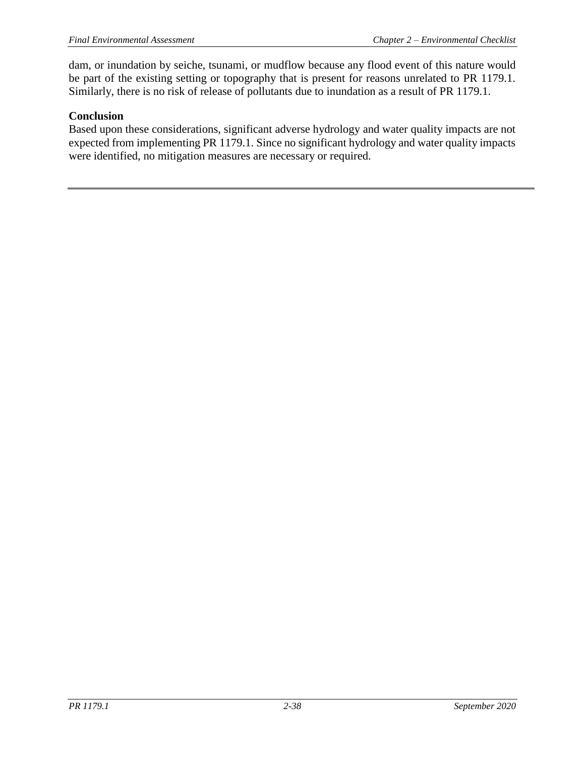dam, or inundation by seiche, tsunami, or mudflow because any flood event of this nature would be part of the existing setting or topography that is present for reasons unrelated to PR 1179.1. Similarly, there is no risk of release of pollutants due to inundation as a result of PR 1179.1.

### **Conclusion**

Based upon these considerations, significant adverse hydrology and water quality impacts are not expected from implementing PR 1179.1. Since no significant hydrology and water quality impacts were identified, no mitigation measures are necessary or required.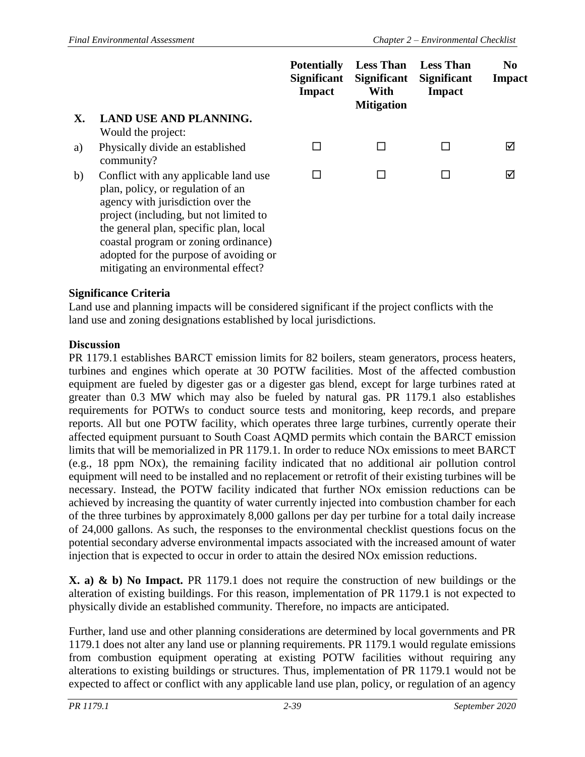|            |                                                                                                                                                                                                                                                                                                                              | <b>Potentially</b><br><b>Significant</b><br><b>Impact</b> | <b>Less Than</b><br><b>Significant</b><br>With<br><b>Mitigation</b> | <b>Less Than</b><br><b>Significant</b><br><b>Impact</b> | $\bf No$<br><b>Impact</b> |
|------------|------------------------------------------------------------------------------------------------------------------------------------------------------------------------------------------------------------------------------------------------------------------------------------------------------------------------------|-----------------------------------------------------------|---------------------------------------------------------------------|---------------------------------------------------------|---------------------------|
| <b>X</b> . | <b>LAND USE AND PLANNING.</b><br>Would the project:                                                                                                                                                                                                                                                                          |                                                           |                                                                     |                                                         |                           |
| a)         | Physically divide an established<br>community?                                                                                                                                                                                                                                                                               |                                                           | $\mathbf{I}$                                                        |                                                         | ☑                         |
| b)         | Conflict with any applicable land use<br>plan, policy, or regulation of an<br>agency with jurisdiction over the<br>project (including, but not limited to<br>the general plan, specific plan, local<br>coastal program or zoning ordinance)<br>adopted for the purpose of avoiding or<br>mitigating an environmental effect? | $\mathsf{L}$                                              |                                                                     |                                                         | ☑                         |

Land use and planning impacts will be considered significant if the project conflicts with the land use and zoning designations established by local jurisdictions.

### **Discussion**

PR 1179.1 establishes BARCT emission limits for 82 boilers, steam generators, process heaters, turbines and engines which operate at 30 POTW facilities. Most of the affected combustion equipment are fueled by digester gas or a digester gas blend, except for large turbines rated at greater than 0.3 MW which may also be fueled by natural gas. PR 1179.1 also establishes requirements for POTWs to conduct source tests and monitoring, keep records, and prepare reports. All but one POTW facility, which operates three large turbines, currently operate their affected equipment pursuant to South Coast AQMD permits which contain the BARCT emission limits that will be memorialized in PR 1179.1. In order to reduce NOx emissions to meet BARCT (e.g., 18 ppm NOx), the remaining facility indicated that no additional air pollution control equipment will need to be installed and no replacement or retrofit of their existing turbines will be necessary. Instead, the POTW facility indicated that further NOx emission reductions can be achieved by increasing the quantity of water currently injected into combustion chamber for each of the three turbines by approximately 8,000 gallons per day per turbine for a total daily increase of 24,000 gallons. As such, the responses to the environmental checklist questions focus on the potential secondary adverse environmental impacts associated with the increased amount of water injection that is expected to occur in order to attain the desired NOx emission reductions.

**X. a) & b) No Impact.** PR 1179.1 does not require the construction of new buildings or the alteration of existing buildings. For this reason, implementation of PR 1179.1 is not expected to physically divide an established community. Therefore, no impacts are anticipated.

Further, land use and other planning considerations are determined by local governments and PR 1179.1 does not alter any land use or planning requirements. PR 1179.1 would regulate emissions from combustion equipment operating at existing POTW facilities without requiring any alterations to existing buildings or structures. Thus, implementation of PR 1179.1 would not be expected to affect or conflict with any applicable land use plan, policy, or regulation of an agency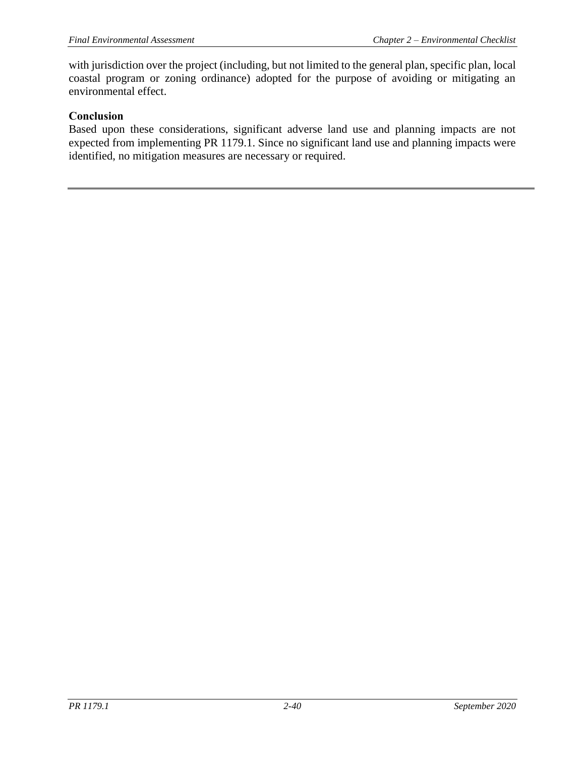with jurisdiction over the project (including, but not limited to the general plan, specific plan, local coastal program or zoning ordinance) adopted for the purpose of avoiding or mitigating an environmental effect.

### **Conclusion**

Based upon these considerations, significant adverse land use and planning impacts are not expected from implementing PR 1179.1. Since no significant land use and planning impacts were identified, no mitigation measures are necessary or required.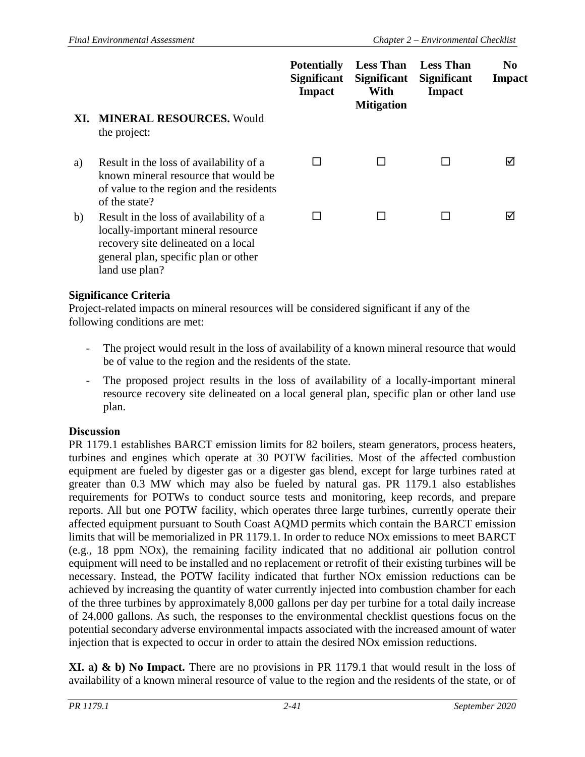|     |                                                                                                                                                                                | <b>Potentially</b><br><b>Significant</b><br><b>Impact</b> | <b>Less Than</b><br><b>Significant</b><br>With<br><b>Mitigation</b> | <b>Less Than</b><br><b>Significant</b><br>Impact | N <sub>0</sub><br><b>Impact</b> |
|-----|--------------------------------------------------------------------------------------------------------------------------------------------------------------------------------|-----------------------------------------------------------|---------------------------------------------------------------------|--------------------------------------------------|---------------------------------|
| XI. | <b>MINERAL RESOURCES. Would</b><br>the project:                                                                                                                                |                                                           |                                                                     |                                                  |                                 |
| a)  | Result in the loss of availability of a<br>known mineral resource that would be<br>of value to the region and the residents<br>of the state?                                   |                                                           |                                                                     |                                                  | ☑                               |
| b)  | Result in the loss of availability of a<br>locally-important mineral resource<br>recovery site delineated on a local<br>general plan, specific plan or other<br>land use plan? |                                                           |                                                                     |                                                  | ⊠                               |

Project-related impacts on mineral resources will be considered significant if any of the following conditions are met:

- The project would result in the loss of availability of a known mineral resource that would be of value to the region and the residents of the state.
- The proposed project results in the loss of availability of a locally-important mineral resource recovery site delineated on a local general plan, specific plan or other land use plan.

#### **Discussion**

PR 1179.1 establishes BARCT emission limits for 82 boilers, steam generators, process heaters, turbines and engines which operate at 30 POTW facilities. Most of the affected combustion equipment are fueled by digester gas or a digester gas blend, except for large turbines rated at greater than 0.3 MW which may also be fueled by natural gas. PR 1179.1 also establishes requirements for POTWs to conduct source tests and monitoring, keep records, and prepare reports. All but one POTW facility, which operates three large turbines, currently operate their affected equipment pursuant to South Coast AQMD permits which contain the BARCT emission limits that will be memorialized in PR 1179.1. In order to reduce NOx emissions to meet BARCT (e.g., 18 ppm NOx), the remaining facility indicated that no additional air pollution control equipment will need to be installed and no replacement or retrofit of their existing turbines will be necessary. Instead, the POTW facility indicated that further NOx emission reductions can be achieved by increasing the quantity of water currently injected into combustion chamber for each of the three turbines by approximately 8,000 gallons per day per turbine for a total daily increase of 24,000 gallons. As such, the responses to the environmental checklist questions focus on the potential secondary adverse environmental impacts associated with the increased amount of water injection that is expected to occur in order to attain the desired NOx emission reductions.

**XI. a) & b) No Impact.** There are no provisions in PR 1179.1 that would result in the loss of availability of a known mineral resource of value to the region and the residents of the state, or of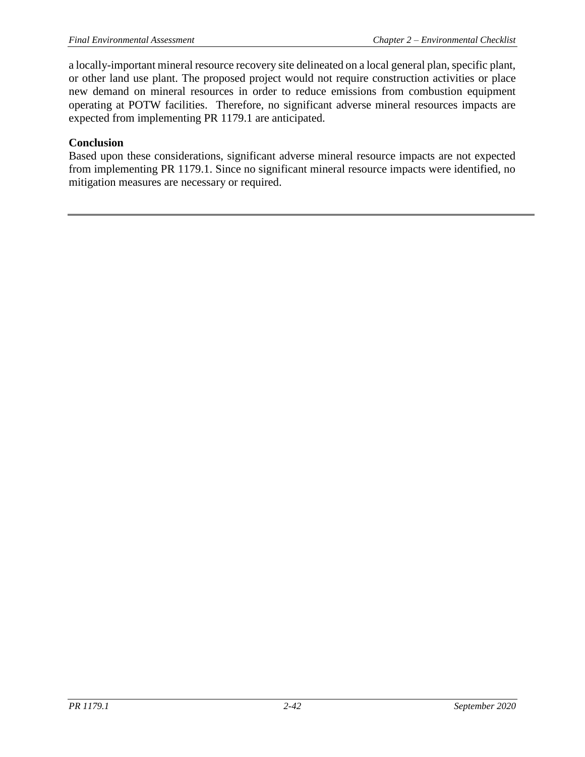a locally-important mineral resource recovery site delineated on a local general plan, specific plant, or other land use plant. The proposed project would not require construction activities or place new demand on mineral resources in order to reduce emissions from combustion equipment operating at POTW facilities. Therefore, no significant adverse mineral resources impacts are expected from implementing PR 1179.1 are anticipated.

#### **Conclusion**

Based upon these considerations, significant adverse mineral resource impacts are not expected from implementing PR 1179.1. Since no significant mineral resource impacts were identified, no mitigation measures are necessary or required.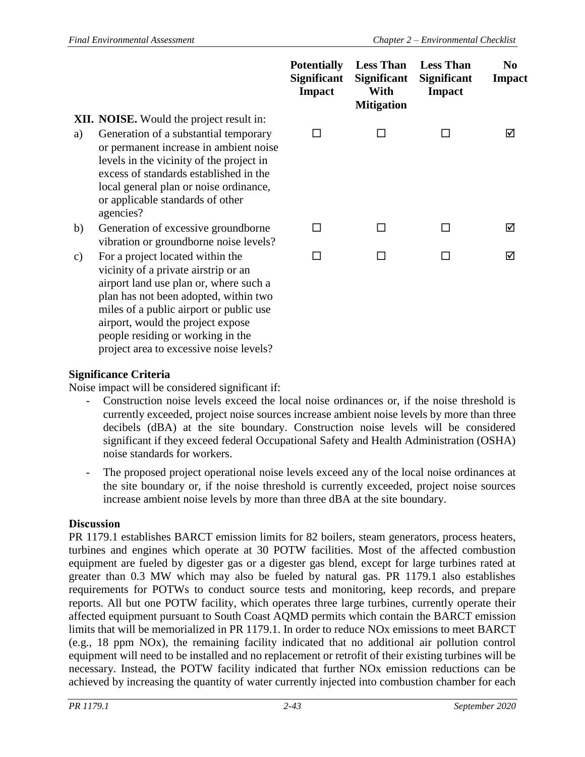|    |                                                                                                                                                                                                                                                                                  | <b>Potentially</b><br><b>Significant</b><br><b>Impact</b> | <b>Less Than</b><br><b>Significant</b><br>With<br><b>Mitigation</b> | <b>Less Than</b><br><b>Significant</b><br><b>Impact</b> | N <sub>0</sub><br><b>Impact</b> |
|----|----------------------------------------------------------------------------------------------------------------------------------------------------------------------------------------------------------------------------------------------------------------------------------|-----------------------------------------------------------|---------------------------------------------------------------------|---------------------------------------------------------|---------------------------------|
|    | <b>XII. NOISE.</b> Would the project result in:                                                                                                                                                                                                                                  |                                                           |                                                                     |                                                         |                                 |
| a) | Generation of a substantial temporary<br>or permanent increase in ambient noise<br>levels in the vicinity of the project in<br>excess of standards established in the<br>local general plan or noise ordinance,<br>or applicable standards of other<br>agencies?                 | П                                                         |                                                                     |                                                         | ☑                               |
| b) | Generation of excessive groundborne<br>vibration or groundborne noise levels?                                                                                                                                                                                                    |                                                           |                                                                     |                                                         | ☑                               |
| c) | For a project located within the<br>vicinity of a private airstrip or an<br>airport land use plan or, where such a<br>plan has not been adopted, within two<br>miles of a public airport or public use<br>airport, would the project expose<br>people residing or working in the | $\blacksquare$                                            |                                                                     | □                                                       | ⊠                               |

Noise impact will be considered significant if:

project area to excessive noise levels?

- Construction noise levels exceed the local noise ordinances or, if the noise threshold is currently exceeded, project noise sources increase ambient noise levels by more than three decibels (dBA) at the site boundary. Construction noise levels will be considered significant if they exceed federal Occupational Safety and Health Administration (OSHA) noise standards for workers.
- The proposed project operational noise levels exceed any of the local noise ordinances at the site boundary or, if the noise threshold is currently exceeded, project noise sources increase ambient noise levels by more than three dBA at the site boundary.

# **Discussion**

PR 1179.1 establishes BARCT emission limits for 82 boilers, steam generators, process heaters, turbines and engines which operate at 30 POTW facilities. Most of the affected combustion equipment are fueled by digester gas or a digester gas blend, except for large turbines rated at greater than 0.3 MW which may also be fueled by natural gas. PR 1179.1 also establishes requirements for POTWs to conduct source tests and monitoring, keep records, and prepare reports. All but one POTW facility, which operates three large turbines, currently operate their affected equipment pursuant to South Coast AQMD permits which contain the BARCT emission limits that will be memorialized in PR 1179.1. In order to reduce NOx emissions to meet BARCT (e.g., 18 ppm NOx), the remaining facility indicated that no additional air pollution control equipment will need to be installed and no replacement or retrofit of their existing turbines will be necessary. Instead, the POTW facility indicated that further NOx emission reductions can be achieved by increasing the quantity of water currently injected into combustion chamber for each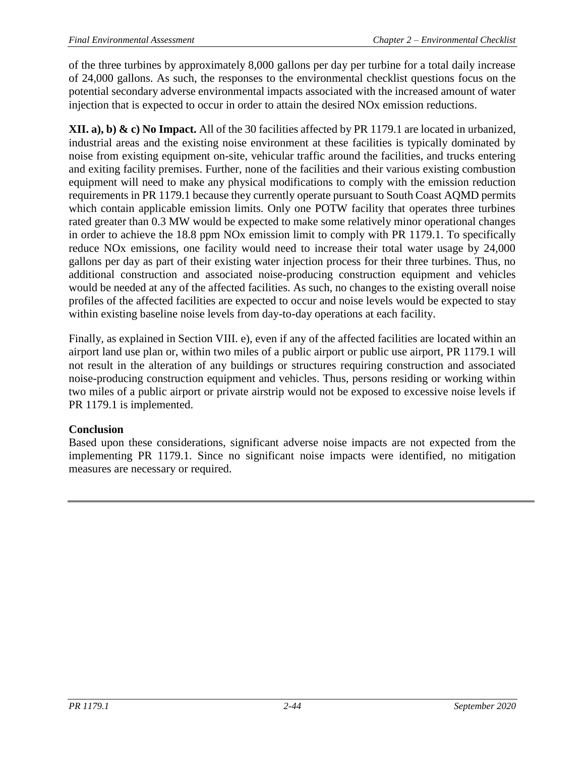of the three turbines by approximately 8,000 gallons per day per turbine for a total daily increase of 24,000 gallons. As such, the responses to the environmental checklist questions focus on the potential secondary adverse environmental impacts associated with the increased amount of water injection that is expected to occur in order to attain the desired NOx emission reductions.

**XII. a), b) & c) No Impact.** All of the 30 facilities affected by PR 1179.1 are located in urbanized, industrial areas and the existing noise environment at these facilities is typically dominated by noise from existing equipment on-site, vehicular traffic around the facilities, and trucks entering and exiting facility premises. Further, none of the facilities and their various existing combustion equipment will need to make any physical modifications to comply with the emission reduction requirements in PR 1179.1 because they currently operate pursuant to South Coast AQMD permits which contain applicable emission limits. Only one POTW facility that operates three turbines rated greater than 0.3 MW would be expected to make some relatively minor operational changes in order to achieve the 18.8 ppm NOx emission limit to comply with PR 1179.1. To specifically reduce NOx emissions, one facility would need to increase their total water usage by 24,000 gallons per day as part of their existing water injection process for their three turbines. Thus, no additional construction and associated noise-producing construction equipment and vehicles would be needed at any of the affected facilities. As such, no changes to the existing overall noise profiles of the affected facilities are expected to occur and noise levels would be expected to stay within existing baseline noise levels from day-to-day operations at each facility.

Finally, as explained in Section VIII. e), even if any of the affected facilities are located within an airport land use plan or, within two miles of a public airport or public use airport, PR 1179.1 will not result in the alteration of any buildings or structures requiring construction and associated noise-producing construction equipment and vehicles. Thus, persons residing or working within two miles of a public airport or private airstrip would not be exposed to excessive noise levels if PR 1179.1 is implemented.

# **Conclusion**

Based upon these considerations, significant adverse noise impacts are not expected from the implementing PR 1179.1. Since no significant noise impacts were identified, no mitigation measures are necessary or required.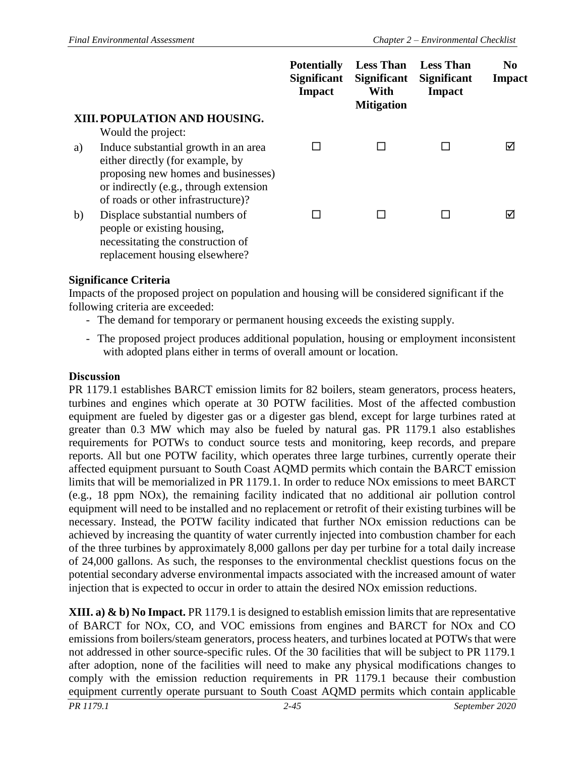|    |                                                                                                                                                                                                 | <b>Potentially</b><br><b>Significant</b><br><b>Impact</b> | <b>Less Than</b><br><b>Significant</b><br>With<br><b>Mitigation</b> | <b>Less Than</b><br><b>Significant</b><br><b>Impact</b> | N <sub>0</sub><br>Impact |
|----|-------------------------------------------------------------------------------------------------------------------------------------------------------------------------------------------------|-----------------------------------------------------------|---------------------------------------------------------------------|---------------------------------------------------------|--------------------------|
|    | XIII. POPULATION AND HOUSING.                                                                                                                                                                   |                                                           |                                                                     |                                                         |                          |
|    | Would the project:                                                                                                                                                                              |                                                           |                                                                     |                                                         |                          |
| a) | Induce substantial growth in an area<br>either directly (for example, by<br>proposing new homes and businesses)<br>or indirectly (e.g., through extension<br>of roads or other infrastructure)? |                                                           |                                                                     |                                                         | ☑                        |
| b) | Displace substantial numbers of<br>people or existing housing,<br>necessitating the construction of<br>replacement housing elsewhere?                                                           |                                                           |                                                                     |                                                         | ⊠                        |

Impacts of the proposed project on population and housing will be considered significant if the following criteria are exceeded:

- The demand for temporary or permanent housing exceeds the existing supply.
- The proposed project produces additional population, housing or employment inconsistent with adopted plans either in terms of overall amount or location.

#### **Discussion**

PR 1179.1 establishes BARCT emission limits for 82 boilers, steam generators, process heaters, turbines and engines which operate at 30 POTW facilities. Most of the affected combustion equipment are fueled by digester gas or a digester gas blend, except for large turbines rated at greater than 0.3 MW which may also be fueled by natural gas. PR 1179.1 also establishes requirements for POTWs to conduct source tests and monitoring, keep records, and prepare reports. All but one POTW facility, which operates three large turbines, currently operate their affected equipment pursuant to South Coast AQMD permits which contain the BARCT emission limits that will be memorialized in PR 1179.1. In order to reduce NOx emissions to meet BARCT (e.g., 18 ppm NOx), the remaining facility indicated that no additional air pollution control equipment will need to be installed and no replacement or retrofit of their existing turbines will be necessary. Instead, the POTW facility indicated that further NOx emission reductions can be achieved by increasing the quantity of water currently injected into combustion chamber for each of the three turbines by approximately 8,000 gallons per day per turbine for a total daily increase of 24,000 gallons. As such, the responses to the environmental checklist questions focus on the potential secondary adverse environmental impacts associated with the increased amount of water injection that is expected to occur in order to attain the desired NOx emission reductions.

*PR 1179.1 2-45 September 2020* **XIII. a) & b) No Impact.** PR 1179.1 is designed to establish emission limits that are representative of BARCT for NOx, CO, and VOC emissions from engines and BARCT for NOx and CO emissions from boilers/steam generators, process heaters, and turbines located at POTWs that were not addressed in other source-specific rules. Of the 30 facilities that will be subject to PR 1179.1 after adoption, none of the facilities will need to make any physical modifications changes to comply with the emission reduction requirements in PR 1179.1 because their combustion equipment currently operate pursuant to South Coast AQMD permits which contain applicable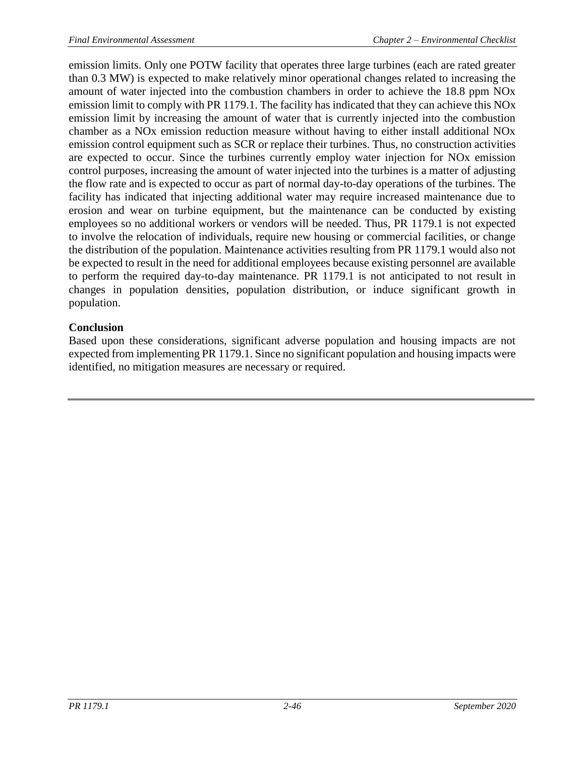emission limits. Only one POTW facility that operates three large turbines (each are rated greater than 0.3 MW) is expected to make relatively minor operational changes related to increasing the amount of water injected into the combustion chambers in order to achieve the 18.8 ppm NOx emission limit to comply with PR 1179.1. The facility has indicated that they can achieve this NOx emission limit by increasing the amount of water that is currently injected into the combustion chamber as a NOx emission reduction measure without having to either install additional NOx emission control equipment such as SCR or replace their turbines. Thus, no construction activities are expected to occur. Since the turbines currently employ water injection for NOx emission control purposes, increasing the amount of water injected into the turbines is a matter of adjusting the flow rate and is expected to occur as part of normal day-to-day operations of the turbines. The facility has indicated that injecting additional water may require increased maintenance due to erosion and wear on turbine equipment, but the maintenance can be conducted by existing employees so no additional workers or vendors will be needed. Thus, PR 1179.1 is not expected to involve the relocation of individuals, require new housing or commercial facilities, or change the distribution of the population. Maintenance activities resulting from PR 1179.1 would also not be expected to result in the need for additional employees because existing personnel are available to perform the required day-to-day maintenance. PR 1179.1 is not anticipated to not result in changes in population densities, population distribution, or induce significant growth in population.

# **Conclusion**

Based upon these considerations, significant adverse population and housing impacts are not expected from implementing PR 1179.1. Since no significant population and housing impacts were identified, no mitigation measures are necessary or required.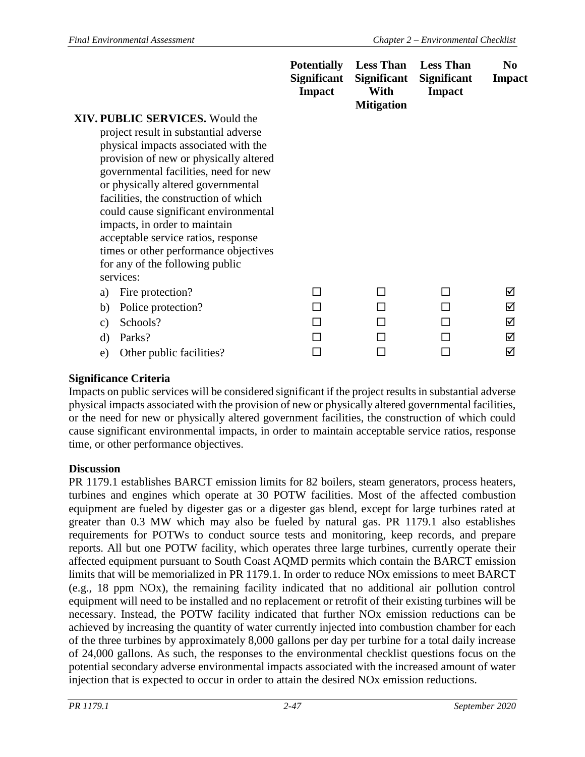|                                                                             | <b>Potentially</b><br><b>Significant</b><br><b>Impact</b> | <b>Less Than</b><br><b>Significant</b><br>With<br><b>Mitigation</b> | <b>Less Than</b><br><b>Significant</b><br><b>Impact</b> | N <sub>0</sub><br><b>Impact</b> |
|-----------------------------------------------------------------------------|-----------------------------------------------------------|---------------------------------------------------------------------|---------------------------------------------------------|---------------------------------|
| <b>XIV. PUBLIC SERVICES.</b> Would the                                      |                                                           |                                                                     |                                                         |                                 |
| project result in substantial adverse                                       |                                                           |                                                                     |                                                         |                                 |
| physical impacts associated with the                                        |                                                           |                                                                     |                                                         |                                 |
| provision of new or physically altered                                      |                                                           |                                                                     |                                                         |                                 |
| governmental facilities, need for new                                       |                                                           |                                                                     |                                                         |                                 |
| or physically altered governmental<br>facilities, the construction of which |                                                           |                                                                     |                                                         |                                 |
| could cause significant environmental                                       |                                                           |                                                                     |                                                         |                                 |
| impacts, in order to maintain                                               |                                                           |                                                                     |                                                         |                                 |
| acceptable service ratios, response                                         |                                                           |                                                                     |                                                         |                                 |
| times or other performance objectives                                       |                                                           |                                                                     |                                                         |                                 |
| for any of the following public                                             |                                                           |                                                                     |                                                         |                                 |
| services:                                                                   |                                                           |                                                                     |                                                         |                                 |
| Fire protection?<br>a)                                                      | H                                                         | П                                                                   | H                                                       | ☑                               |
| Police protection?<br>b)                                                    |                                                           | ΓI                                                                  |                                                         | ☑                               |
| Schools?<br>$\mathbf{c})$                                                   |                                                           | П                                                                   |                                                         | ☑                               |
| Parks?<br>$\rm d$                                                           |                                                           |                                                                     |                                                         | ☑                               |
| Other public facilities?<br>e)                                              |                                                           |                                                                     |                                                         | ☑                               |

Impacts on public services will be considered significant if the project results in substantial adverse physical impacts associated with the provision of new or physically altered governmental facilities, or the need for new or physically altered government facilities, the construction of which could cause significant environmental impacts, in order to maintain acceptable service ratios, response time, or other performance objectives.

#### **Discussion**

PR 1179.1 establishes BARCT emission limits for 82 boilers, steam generators, process heaters, turbines and engines which operate at 30 POTW facilities. Most of the affected combustion equipment are fueled by digester gas or a digester gas blend, except for large turbines rated at greater than 0.3 MW which may also be fueled by natural gas. PR 1179.1 also establishes requirements for POTWs to conduct source tests and monitoring, keep records, and prepare reports. All but one POTW facility, which operates three large turbines, currently operate their affected equipment pursuant to South Coast AQMD permits which contain the BARCT emission limits that will be memorialized in PR 1179.1. In order to reduce NOx emissions to meet BARCT (e.g., 18 ppm NOx), the remaining facility indicated that no additional air pollution control equipment will need to be installed and no replacement or retrofit of their existing turbines will be necessary. Instead, the POTW facility indicated that further NOx emission reductions can be achieved by increasing the quantity of water currently injected into combustion chamber for each of the three turbines by approximately 8,000 gallons per day per turbine for a total daily increase of 24,000 gallons. As such, the responses to the environmental checklist questions focus on the potential secondary adverse environmental impacts associated with the increased amount of water injection that is expected to occur in order to attain the desired NOx emission reductions.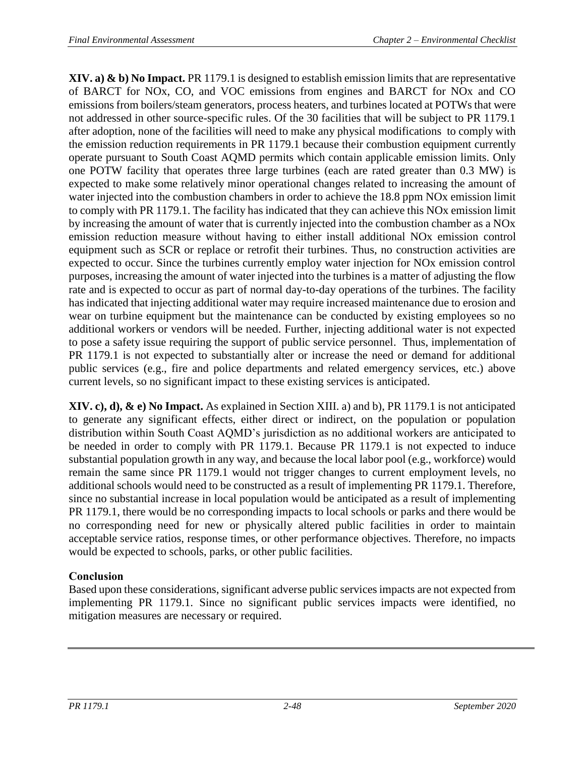**XIV. a) & b) No Impact.** PR 1179.1 is designed to establish emission limits that are representative of BARCT for NOx, CO, and VOC emissions from engines and BARCT for NOx and CO emissions from boilers/steam generators, process heaters, and turbines located at POTWs that were not addressed in other source-specific rules. Of the 30 facilities that will be subject to PR 1179.1 after adoption, none of the facilities will need to make any physical modifications to comply with the emission reduction requirements in PR 1179.1 because their combustion equipment currently operate pursuant to South Coast AQMD permits which contain applicable emission limits. Only one POTW facility that operates three large turbines (each are rated greater than 0.3 MW) is expected to make some relatively minor operational changes related to increasing the amount of water injected into the combustion chambers in order to achieve the 18.8 ppm NOx emission limit to comply with PR 1179.1. The facility has indicated that they can achieve this NOx emission limit by increasing the amount of water that is currently injected into the combustion chamber as a NOx emission reduction measure without having to either install additional NOx emission control equipment such as SCR or replace or retrofit their turbines. Thus, no construction activities are expected to occur. Since the turbines currently employ water injection for NOx emission control purposes, increasing the amount of water injected into the turbines is a matter of adjusting the flow rate and is expected to occur as part of normal day-to-day operations of the turbines. The facility has indicated that injecting additional water may require increased maintenance due to erosion and wear on turbine equipment but the maintenance can be conducted by existing employees so no additional workers or vendors will be needed. Further, injecting additional water is not expected to pose a safety issue requiring the support of public service personnel. Thus, implementation of PR 1179.1 is not expected to substantially alter or increase the need or demand for additional public services (e.g., fire and police departments and related emergency services, etc.) above current levels, so no significant impact to these existing services is anticipated.

**XIV. c), d), & e) No Impact.** As explained in Section XIII. a) and b), PR 1179.1 is not anticipated to generate any significant effects, either direct or indirect, on the population or population distribution within South Coast AQMD's jurisdiction as no additional workers are anticipated to be needed in order to comply with PR 1179.1. Because PR 1179.1 is not expected to induce substantial population growth in any way, and because the local labor pool (e.g., workforce) would remain the same since PR 1179.1 would not trigger changes to current employment levels, no additional schools would need to be constructed as a result of implementing PR 1179.1. Therefore, since no substantial increase in local population would be anticipated as a result of implementing PR 1179.1, there would be no corresponding impacts to local schools or parks and there would be no corresponding need for new or physically altered public facilities in order to maintain acceptable service ratios, response times, or other performance objectives. Therefore, no impacts would be expected to schools, parks, or other public facilities.

# **Conclusion**

Based upon these considerations, significant adverse public services impacts are not expected from implementing PR 1179.1. Since no significant public services impacts were identified, no mitigation measures are necessary or required.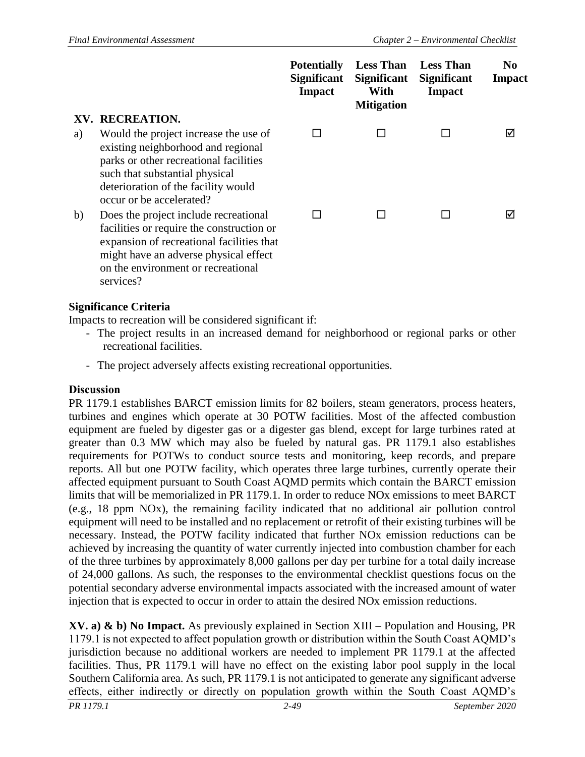|    |                                                                                                                                                                                                                             | <b>Potentially</b><br><b>Significant</b><br><b>Impact</b> | <b>Less Than</b><br><b>Significant</b><br>With<br><b>Mitigation</b> | <b>Less Than</b><br><b>Significant</b><br>Impact | N <sub>0</sub><br><b>Impact</b> |
|----|-----------------------------------------------------------------------------------------------------------------------------------------------------------------------------------------------------------------------------|-----------------------------------------------------------|---------------------------------------------------------------------|--------------------------------------------------|---------------------------------|
|    | XV. RECREATION.                                                                                                                                                                                                             |                                                           |                                                                     |                                                  |                                 |
| a) | Would the project increase the use of<br>existing neighborhood and regional<br>parks or other recreational facilities<br>such that substantial physical<br>deterioration of the facility would<br>occur or be accelerated?  | $\mathsf{L}$                                              |                                                                     |                                                  | ☑                               |
| b) | Does the project include recreational<br>facilities or require the construction or<br>expansion of recreational facilities that<br>might have an adverse physical effect<br>on the environment or recreational<br>services? | ΙI                                                        |                                                                     |                                                  | ☑                               |

Impacts to recreation will be considered significant if:

- The project results in an increased demand for neighborhood or regional parks or other recreational facilities.
- The project adversely affects existing recreational opportunities.

#### **Discussion**

PR 1179.1 establishes BARCT emission limits for 82 boilers, steam generators, process heaters, turbines and engines which operate at 30 POTW facilities. Most of the affected combustion equipment are fueled by digester gas or a digester gas blend, except for large turbines rated at greater than 0.3 MW which may also be fueled by natural gas. PR 1179.1 also establishes requirements for POTWs to conduct source tests and monitoring, keep records, and prepare reports. All but one POTW facility, which operates three large turbines, currently operate their affected equipment pursuant to South Coast AQMD permits which contain the BARCT emission limits that will be memorialized in PR 1179.1. In order to reduce NOx emissions to meet BARCT (e.g., 18 ppm NOx), the remaining facility indicated that no additional air pollution control equipment will need to be installed and no replacement or retrofit of their existing turbines will be necessary. Instead, the POTW facility indicated that further NOx emission reductions can be achieved by increasing the quantity of water currently injected into combustion chamber for each of the three turbines by approximately 8,000 gallons per day per turbine for a total daily increase of 24,000 gallons. As such, the responses to the environmental checklist questions focus on the potential secondary adverse environmental impacts associated with the increased amount of water injection that is expected to occur in order to attain the desired NOx emission reductions.

**XV. a) & b) No Impact.** As previously explained in Section XIII – Population and Housing, PR 1179.1 is not expected to affect population growth or distribution within the South Coast AQMD's jurisdiction because no additional workers are needed to implement PR 1179.1 at the affected facilities. Thus, PR 1179.1 will have no effect on the existing labor pool supply in the local Southern California area. As such, PR 1179.1 is not anticipated to generate any significant adverse effects, either indirectly or directly on population growth within the South Coast AQMD's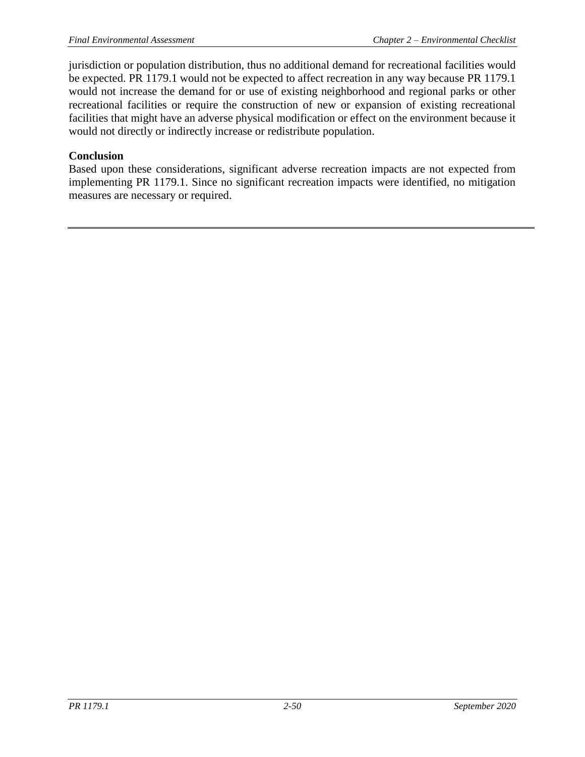jurisdiction or population distribution, thus no additional demand for recreational facilities would be expected. PR 1179.1 would not be expected to affect recreation in any way because PR 1179.1 would not increase the demand for or use of existing neighborhood and regional parks or other recreational facilities or require the construction of new or expansion of existing recreational facilities that might have an adverse physical modification or effect on the environment because it would not directly or indirectly increase or redistribute population.

### **Conclusion**

Based upon these considerations, significant adverse recreation impacts are not expected from implementing PR 1179.1. Since no significant recreation impacts were identified, no mitigation measures are necessary or required.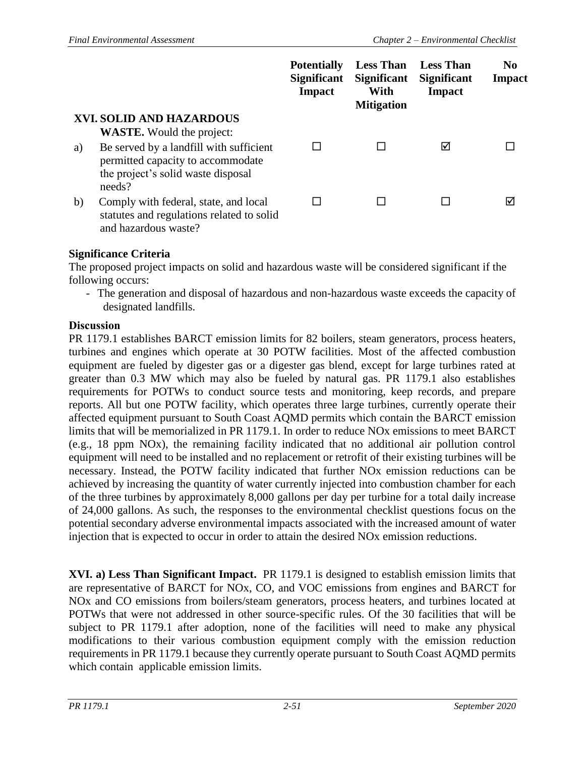|    |                                                                                                                    | <b>Potentially</b><br><b>Significant</b><br><b>Impact</b> | <b>Less Than</b><br><b>Significant</b><br>With<br><b>Mitigation</b> | <b>Less Than</b><br><b>Significant</b><br><b>Impact</b> | N <sub>0</sub><br><b>Impact</b> |
|----|--------------------------------------------------------------------------------------------------------------------|-----------------------------------------------------------|---------------------------------------------------------------------|---------------------------------------------------------|---------------------------------|
|    | XVI. SOLID AND HAZARDOUS                                                                                           |                                                           |                                                                     |                                                         |                                 |
|    | <b>WASTE.</b> Would the project:                                                                                   |                                                           |                                                                     |                                                         |                                 |
| a) | Be served by a landfill with sufficient<br>permitted capacity to accommodate<br>the project's solid waste disposal |                                                           |                                                                     | ⋈                                                       |                                 |
|    | needs?                                                                                                             |                                                           |                                                                     |                                                         |                                 |
| b) | Comply with federal, state, and local<br>statutes and regulations related to solid<br>and hazardous waste?         |                                                           |                                                                     |                                                         | ∇                               |

The proposed project impacts on solid and hazardous waste will be considered significant if the following occurs:

- The generation and disposal of hazardous and non-hazardous waste exceeds the capacity of designated landfills.

### **Discussion**

PR 1179.1 establishes BARCT emission limits for 82 boilers, steam generators, process heaters, turbines and engines which operate at 30 POTW facilities. Most of the affected combustion equipment are fueled by digester gas or a digester gas blend, except for large turbines rated at greater than 0.3 MW which may also be fueled by natural gas. PR 1179.1 also establishes requirements for POTWs to conduct source tests and monitoring, keep records, and prepare reports. All but one POTW facility, which operates three large turbines, currently operate their affected equipment pursuant to South Coast AQMD permits which contain the BARCT emission limits that will be memorialized in PR 1179.1. In order to reduce NOx emissions to meet BARCT (e.g., 18 ppm NOx), the remaining facility indicated that no additional air pollution control equipment will need to be installed and no replacement or retrofit of their existing turbines will be necessary. Instead, the POTW facility indicated that further NOx emission reductions can be achieved by increasing the quantity of water currently injected into combustion chamber for each of the three turbines by approximately 8,000 gallons per day per turbine for a total daily increase of 24,000 gallons. As such, the responses to the environmental checklist questions focus on the potential secondary adverse environmental impacts associated with the increased amount of water injection that is expected to occur in order to attain the desired NOx emission reductions.

**XVI. a) Less Than Significant Impact.** PR 1179.1 is designed to establish emission limits that are representative of BARCT for NOx, CO, and VOC emissions from engines and BARCT for NOx and CO emissions from boilers/steam generators, process heaters, and turbines located at POTWs that were not addressed in other source-specific rules. Of the 30 facilities that will be subject to PR 1179.1 after adoption, none of the facilities will need to make any physical modifications to their various combustion equipment comply with the emission reduction requirements in PR 1179.1 because they currently operate pursuant to South Coast AQMD permits which contain applicable emission limits.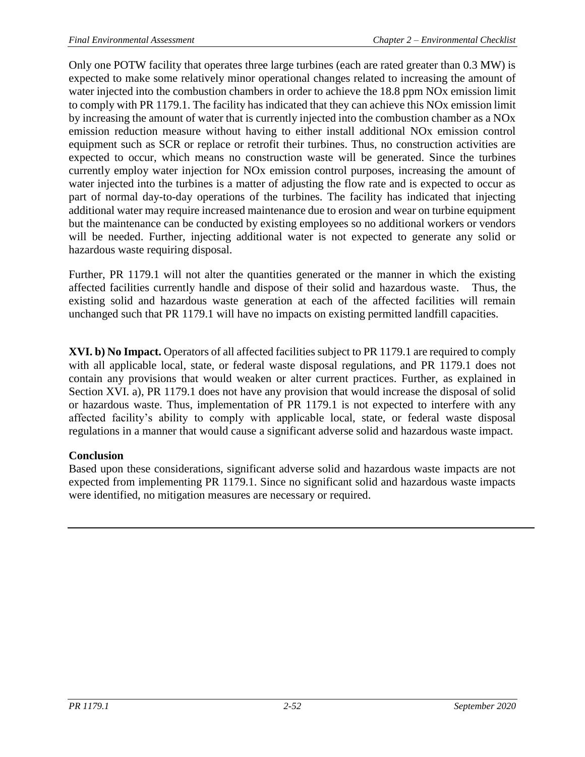Only one POTW facility that operates three large turbines (each are rated greater than 0.3 MW) is expected to make some relatively minor operational changes related to increasing the amount of water injected into the combustion chambers in order to achieve the 18.8 ppm NOx emission limit to comply with PR 1179.1. The facility has indicated that they can achieve this NOx emission limit by increasing the amount of water that is currently injected into the combustion chamber as a NOx emission reduction measure without having to either install additional NOx emission control equipment such as SCR or replace or retrofit their turbines. Thus, no construction activities are expected to occur, which means no construction waste will be generated. Since the turbines currently employ water injection for NOx emission control purposes, increasing the amount of water injected into the turbines is a matter of adjusting the flow rate and is expected to occur as part of normal day-to-day operations of the turbines. The facility has indicated that injecting additional water may require increased maintenance due to erosion and wear on turbine equipment but the maintenance can be conducted by existing employees so no additional workers or vendors will be needed. Further, injecting additional water is not expected to generate any solid or hazardous waste requiring disposal.

Further, PR 1179.1 will not alter the quantities generated or the manner in which the existing affected facilities currently handle and dispose of their solid and hazardous waste. Thus, the existing solid and hazardous waste generation at each of the affected facilities will remain unchanged such that PR 1179.1 will have no impacts on existing permitted landfill capacities.

**XVI. b) No Impact.** Operators of all affected facilities subject to PR 1179.1 are required to comply with all applicable local, state, or federal waste disposal regulations, and PR 1179.1 does not contain any provisions that would weaken or alter current practices. Further, as explained in Section XVI. a), PR 1179.1 does not have any provision that would increase the disposal of solid or hazardous waste. Thus, implementation of PR 1179.1 is not expected to interfere with any affected facility's ability to comply with applicable local, state, or federal waste disposal regulations in a manner that would cause a significant adverse solid and hazardous waste impact.

# **Conclusion**

Based upon these considerations, significant adverse solid and hazardous waste impacts are not expected from implementing PR 1179.1. Since no significant solid and hazardous waste impacts were identified, no mitigation measures are necessary or required.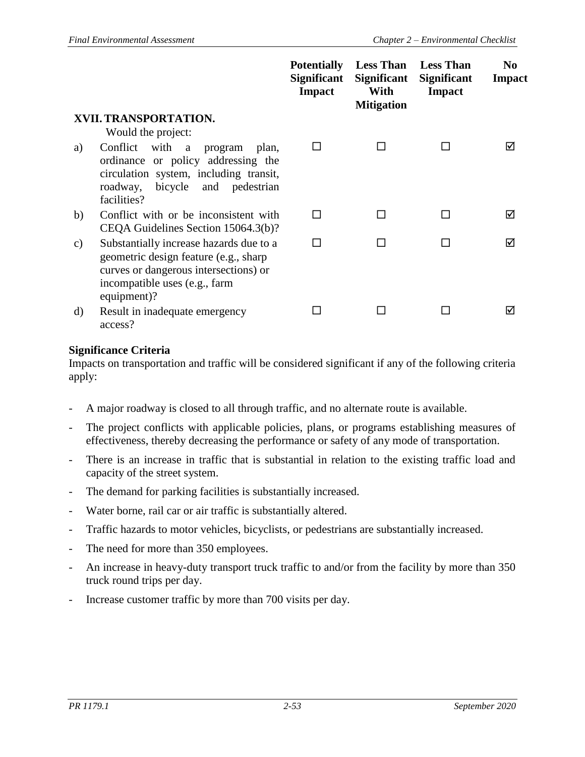|               |                                                                                                                                                                                | <b>Potentially</b><br><b>Significant</b><br><b>Impact</b> | <b>Less Than</b><br><b>Significant</b><br>With<br><b>Mitigation</b> | <b>Less Than</b><br><b>Significant</b><br><b>Impact</b> | N <sub>0</sub><br>Impact |
|---------------|--------------------------------------------------------------------------------------------------------------------------------------------------------------------------------|-----------------------------------------------------------|---------------------------------------------------------------------|---------------------------------------------------------|--------------------------|
|               | XVII. TRANSPORTATION.                                                                                                                                                          |                                                           |                                                                     |                                                         |                          |
|               | Would the project:                                                                                                                                                             |                                                           |                                                                     |                                                         |                          |
| a)            | Conflict<br>with<br>program<br>plan,<br>a<br>ordinance or policy addressing the<br>circulation system, including transit,<br>bicycle and pedestrian<br>roadway,<br>facilities? | ΙI                                                        |                                                                     |                                                         | M                        |
| b)            | Conflict with or be inconsistent with<br>CEQA Guidelines Section 15064.3(b)?                                                                                                   | ΙI                                                        |                                                                     | П                                                       | ⊠                        |
| $\mathbf{c})$ | Substantially increase hazards due to a<br>geometric design feature (e.g., sharp<br>curves or dangerous intersections) or<br>incompatible uses (e.g., farm<br>equipment)?      | ΙI                                                        |                                                                     |                                                         | ⊠                        |
| d)            | Result in inadequate emergency<br>access?                                                                                                                                      |                                                           |                                                                     |                                                         | ☑                        |

Impacts on transportation and traffic will be considered significant if any of the following criteria apply:

- A major roadway is closed to all through traffic, and no alternate route is available.
- The project conflicts with applicable policies, plans, or programs establishing measures of effectiveness, thereby decreasing the performance or safety of any mode of transportation.
- There is an increase in traffic that is substantial in relation to the existing traffic load and capacity of the street system.
- The demand for parking facilities is substantially increased.
- Water borne, rail car or air traffic is substantially altered.
- Traffic hazards to motor vehicles, bicyclists, or pedestrians are substantially increased.
- The need for more than 350 employees.
- An increase in heavy-duty transport truck traffic to and/or from the facility by more than 350 truck round trips per day.
- Increase customer traffic by more than 700 visits per day.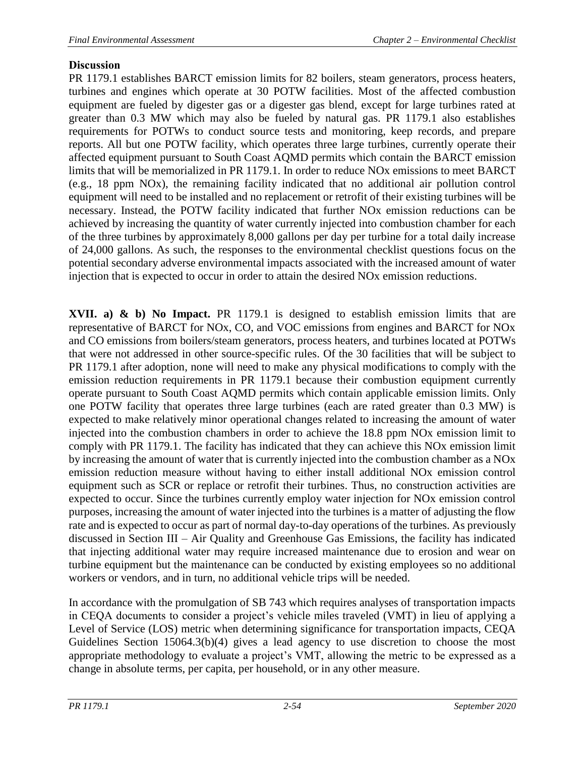## **Discussion**

PR 1179.1 establishes BARCT emission limits for 82 boilers, steam generators, process heaters, turbines and engines which operate at 30 POTW facilities. Most of the affected combustion equipment are fueled by digester gas or a digester gas blend, except for large turbines rated at greater than 0.3 MW which may also be fueled by natural gas. PR 1179.1 also establishes requirements for POTWs to conduct source tests and monitoring, keep records, and prepare reports. All but one POTW facility, which operates three large turbines, currently operate their affected equipment pursuant to South Coast AQMD permits which contain the BARCT emission limits that will be memorialized in PR 1179.1. In order to reduce NOx emissions to meet BARCT (e.g., 18 ppm NOx), the remaining facility indicated that no additional air pollution control equipment will need to be installed and no replacement or retrofit of their existing turbines will be necessary. Instead, the POTW facility indicated that further NOx emission reductions can be achieved by increasing the quantity of water currently injected into combustion chamber for each of the three turbines by approximately 8,000 gallons per day per turbine for a total daily increase of 24,000 gallons. As such, the responses to the environmental checklist questions focus on the potential secondary adverse environmental impacts associated with the increased amount of water injection that is expected to occur in order to attain the desired NOx emission reductions.

**XVII. a) & b) No Impact.** PR 1179.1 is designed to establish emission limits that are representative of BARCT for NOx, CO, and VOC emissions from engines and BARCT for NOx and CO emissions from boilers/steam generators, process heaters, and turbines located at POTWs that were not addressed in other source-specific rules. Of the 30 facilities that will be subject to PR 1179.1 after adoption, none will need to make any physical modifications to comply with the emission reduction requirements in PR 1179.1 because their combustion equipment currently operate pursuant to South Coast AQMD permits which contain applicable emission limits. Only one POTW facility that operates three large turbines (each are rated greater than 0.3 MW) is expected to make relatively minor operational changes related to increasing the amount of water injected into the combustion chambers in order to achieve the 18.8 ppm NOx emission limit to comply with PR 1179.1. The facility has indicated that they can achieve this NOx emission limit by increasing the amount of water that is currently injected into the combustion chamber as a NOx emission reduction measure without having to either install additional NOx emission control equipment such as SCR or replace or retrofit their turbines. Thus, no construction activities are expected to occur. Since the turbines currently employ water injection for NOx emission control purposes, increasing the amount of water injected into the turbines is a matter of adjusting the flow rate and is expected to occur as part of normal day-to-day operations of the turbines. As previously discussed in Section III – Air Quality and Greenhouse Gas Emissions, the facility has indicated that injecting additional water may require increased maintenance due to erosion and wear on turbine equipment but the maintenance can be conducted by existing employees so no additional workers or vendors, and in turn, no additional vehicle trips will be needed.

In accordance with the promulgation of SB 743 which requires analyses of transportation impacts in CEQA documents to consider a project's vehicle miles traveled (VMT) in lieu of applying a Level of Service (LOS) metric when determining significance for transportation impacts, CEQA Guidelines Section 15064.3(b)(4) gives a lead agency to use discretion to choose the most appropriate methodology to evaluate a project's VMT, allowing the metric to be expressed as a change in absolute terms, per capita, per household, or in any other measure.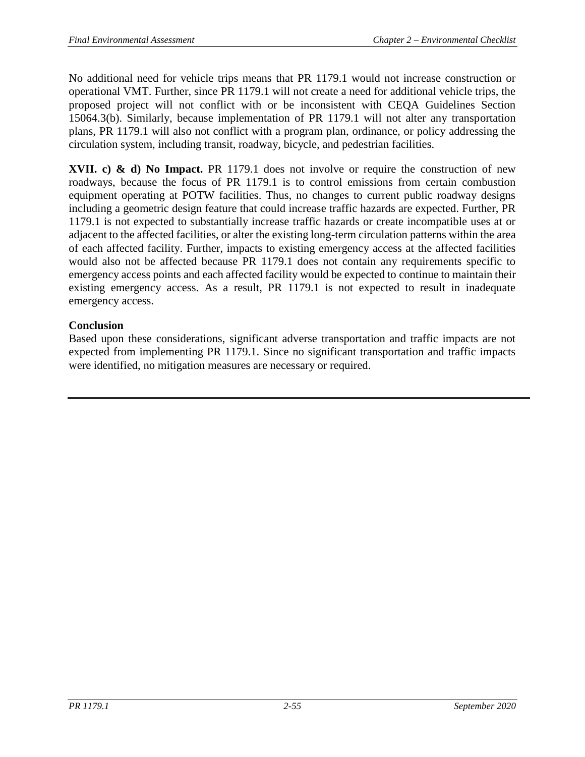No additional need for vehicle trips means that PR 1179.1 would not increase construction or operational VMT. Further, since PR 1179.1 will not create a need for additional vehicle trips, the proposed project will not conflict with or be inconsistent with CEQA Guidelines Section 15064.3(b). Similarly, because implementation of PR 1179.1 will not alter any transportation plans, PR 1179.1 will also not conflict with a program plan, ordinance, or policy addressing the circulation system, including transit, roadway, bicycle, and pedestrian facilities.

**XVII. c) & d) No Impact.** PR 1179.1 does not involve or require the construction of new roadways, because the focus of PR 1179.1 is to control emissions from certain combustion equipment operating at POTW facilities. Thus, no changes to current public roadway designs including a geometric design feature that could increase traffic hazards are expected. Further, PR 1179.1 is not expected to substantially increase traffic hazards or create incompatible uses at or adjacent to the affected facilities, or alter the existing long-term circulation patterns within the area of each affected facility. Further, impacts to existing emergency access at the affected facilities would also not be affected because PR 1179.1 does not contain any requirements specific to emergency access points and each affected facility would be expected to continue to maintain their existing emergency access. As a result, PR 1179.1 is not expected to result in inadequate emergency access.

## **Conclusion**

Based upon these considerations, significant adverse transportation and traffic impacts are not expected from implementing PR 1179.1. Since no significant transportation and traffic impacts were identified, no mitigation measures are necessary or required.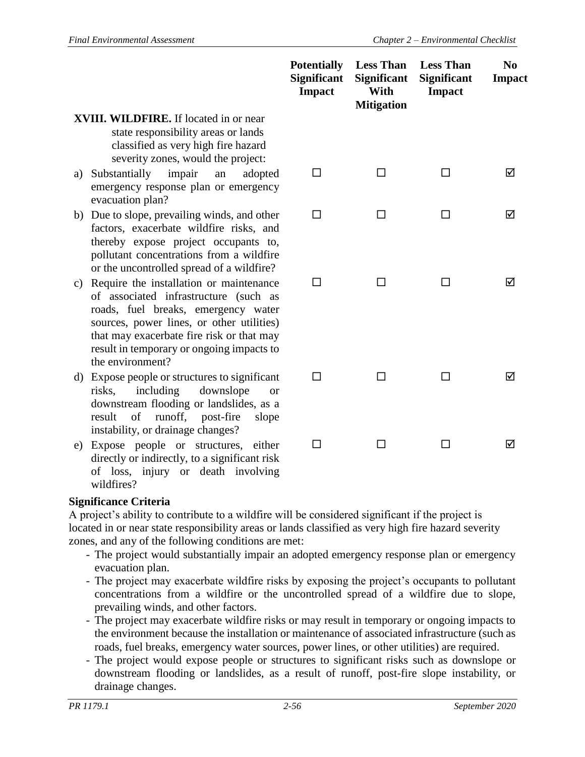|    |                                                                                                                                                                                                                                                                                    | <b>Potentially</b><br><b>Significant</b><br><b>Impact</b> | <b>Less Than</b><br><b>Significant</b><br>With<br><b>Mitigation</b> | <b>Less Than</b><br><b>Significant</b><br><b>Impact</b> | N <sub>0</sub><br><b>Impact</b> |
|----|------------------------------------------------------------------------------------------------------------------------------------------------------------------------------------------------------------------------------------------------------------------------------------|-----------------------------------------------------------|---------------------------------------------------------------------|---------------------------------------------------------|---------------------------------|
|    | <b>XVIII. WILDFIRE.</b> If located in or near<br>state responsibility areas or lands<br>classified as very high fire hazard<br>severity zones, would the project:                                                                                                                  |                                                           |                                                                     |                                                         |                                 |
| a) | impair<br>Substantially<br>an<br>adopted<br>emergency response plan or emergency<br>evacuation plan?                                                                                                                                                                               | $\Box$                                                    | П                                                                   | П                                                       | ☑                               |
|    | b) Due to slope, prevailing winds, and other<br>factors, exacerbate wildfire risks, and<br>thereby expose project occupants to,<br>pollutant concentrations from a wildfire<br>or the uncontrolled spread of a wildfire?                                                           | □                                                         | П                                                                   | ΙI                                                      | ☑                               |
| c) | Require the installation or maintenance<br>of associated infrastructure (such as<br>roads, fuel breaks, emergency water<br>sources, power lines, or other utilities)<br>that may exacerbate fire risk or that may<br>result in temporary or ongoing impacts to<br>the environment? | □                                                         | П                                                                   | П                                                       | ⊠                               |
| d) | Expose people or structures to significant<br>including<br>downslope<br>risks,<br><sub>or</sub><br>downstream flooding or landslides, as a<br>runoff,<br>result<br>of<br>post-fire<br>slope<br>instability, or drainage changes?                                                   | П                                                         |                                                                     |                                                         | ⊠                               |
|    | e) Expose people or structures, either<br>directly or indirectly, to a significant risk                                                                                                                                                                                            | $\mathsf{L}$                                              |                                                                     | $\mathbf{I}$                                            | ☑                               |

# **Significance Criteria**

wildfires?

of loss, injury or death involving

A project's ability to contribute to a wildfire will be considered significant if the project is located in or near state responsibility areas or lands classified as very high fire hazard severity zones, and any of the following conditions are met:

- The project would substantially impair an adopted emergency response plan or emergency evacuation plan.
- The project may exacerbate wildfire risks by exposing the project's occupants to pollutant concentrations from a wildfire or the uncontrolled spread of a wildfire due to slope, prevailing winds, and other factors.
- The project may exacerbate wildfire risks or may result in temporary or ongoing impacts to the environment because the installation or maintenance of associated infrastructure (such as roads, fuel breaks, emergency water sources, power lines, or other utilities) are required.
- The project would expose people or structures to significant risks such as downslope or downstream flooding or landslides, as a result of runoff, post-fire slope instability, or drainage changes.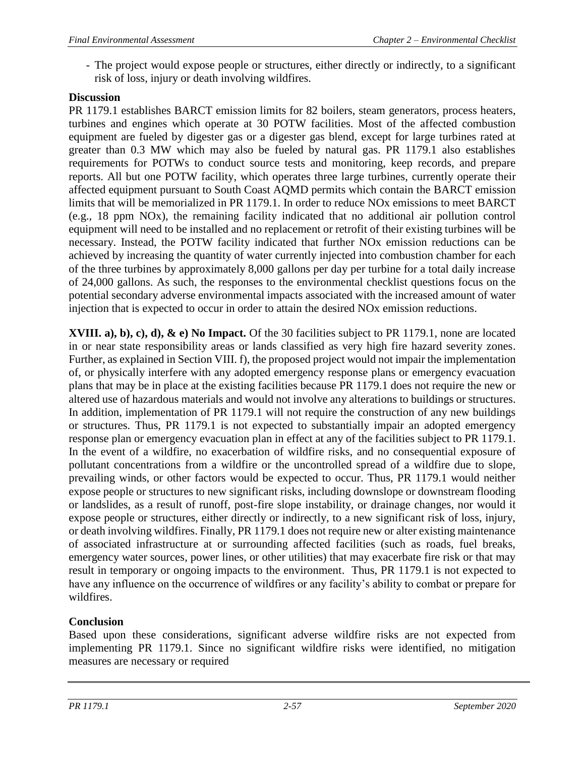- The project would expose people or structures, either directly or indirectly, to a significant risk of loss, injury or death involving wildfires.

# **Discussion**

PR 1179.1 establishes BARCT emission limits for 82 boilers, steam generators, process heaters, turbines and engines which operate at 30 POTW facilities. Most of the affected combustion equipment are fueled by digester gas or a digester gas blend, except for large turbines rated at greater than 0.3 MW which may also be fueled by natural gas. PR 1179.1 also establishes requirements for POTWs to conduct source tests and monitoring, keep records, and prepare reports. All but one POTW facility, which operates three large turbines, currently operate their affected equipment pursuant to South Coast AQMD permits which contain the BARCT emission limits that will be memorialized in PR 1179.1. In order to reduce NOx emissions to meet BARCT (e.g., 18 ppm NOx), the remaining facility indicated that no additional air pollution control equipment will need to be installed and no replacement or retrofit of their existing turbines will be necessary. Instead, the POTW facility indicated that further NOx emission reductions can be achieved by increasing the quantity of water currently injected into combustion chamber for each of the three turbines by approximately 8,000 gallons per day per turbine for a total daily increase of 24,000 gallons. As such, the responses to the environmental checklist questions focus on the potential secondary adverse environmental impacts associated with the increased amount of water injection that is expected to occur in order to attain the desired NOx emission reductions.

**XVIII. a), b), c), d), & e) No Impact.** Of the 30 facilities subject to PR 1179.1, none are located in or near state responsibility areas or lands classified as very high fire hazard severity zones. Further, as explained in Section VIII. f), the proposed project would not impair the implementation of, or physically interfere with any adopted emergency response plans or emergency evacuation plans that may be in place at the existing facilities because PR 1179.1 does not require the new or altered use of hazardous materials and would not involve any alterations to buildings or structures. In addition, implementation of PR 1179.1 will not require the construction of any new buildings or structures. Thus, PR 1179.1 is not expected to substantially impair an adopted emergency response plan or emergency evacuation plan in effect at any of the facilities subject to PR 1179.1. In the event of a wildfire, no exacerbation of wildfire risks, and no consequential exposure of pollutant concentrations from a wildfire or the uncontrolled spread of a wildfire due to slope, prevailing winds, or other factors would be expected to occur. Thus, PR 1179.1 would neither expose people or structures to new significant risks, including downslope or downstream flooding or landslides, as a result of runoff, post-fire slope instability, or drainage changes, nor would it expose people or structures, either directly or indirectly, to a new significant risk of loss, injury, or death involving wildfires. Finally, PR 1179.1 does not require new or alter existing maintenance of associated infrastructure at or surrounding affected facilities (such as roads, fuel breaks, emergency water sources, power lines, or other utilities) that may exacerbate fire risk or that may result in temporary or ongoing impacts to the environment. Thus, PR 1179.1 is not expected to have any influence on the occurrence of wildfires or any facility's ability to combat or prepare for wildfires.

# **Conclusion**

Based upon these considerations, significant adverse wildfire risks are not expected from implementing PR 1179.1. Since no significant wildfire risks were identified, no mitigation measures are necessary or required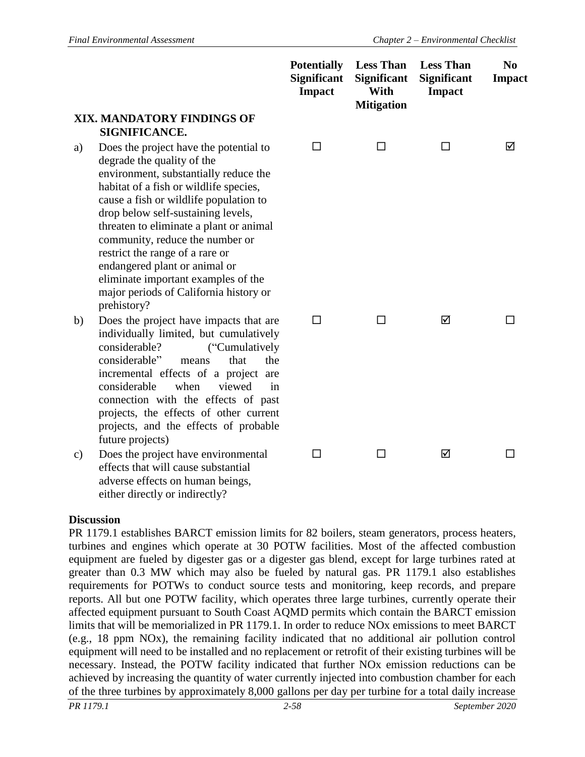|    |                                                                                                                                                                                                                                                                                                                                                                                                                                                                                           | <b>Potentially</b><br><b>Significant</b><br><b>Impact</b> | <b>Less Than</b><br><b>Significant</b><br>With<br><b>Mitigation</b> | <b>Less Than</b><br><b>Significant</b><br><b>Impact</b> | N <sub>0</sub><br><b>Impact</b> |
|----|-------------------------------------------------------------------------------------------------------------------------------------------------------------------------------------------------------------------------------------------------------------------------------------------------------------------------------------------------------------------------------------------------------------------------------------------------------------------------------------------|-----------------------------------------------------------|---------------------------------------------------------------------|---------------------------------------------------------|---------------------------------|
|    | XIX. MANDATORY FINDINGS OF<br>SIGNIFICANCE.                                                                                                                                                                                                                                                                                                                                                                                                                                               |                                                           |                                                                     |                                                         |                                 |
| a) | Does the project have the potential to<br>degrade the quality of the<br>environment, substantially reduce the<br>habitat of a fish or wildlife species,<br>cause a fish or wildlife population to<br>drop below self-sustaining levels,<br>threaten to eliminate a plant or animal<br>community, reduce the number or<br>restrict the range of a rare or<br>endangered plant or animal or<br>eliminate important examples of the<br>major periods of California history or<br>prehistory? | □                                                         | □                                                                   | □                                                       | ☑                               |
| b) | Does the project have impacts that are<br>individually limited, but cumulatively<br>considerable?<br>("Cumulatively<br>considerable"<br>that<br>the<br>means<br>incremental effects of a project are<br>considerable<br>when<br>viewed<br>in<br>connection with the effects of past<br>projects, the effects of other current<br>projects, and the effects of probable<br>future projects)                                                                                                | □                                                         | П                                                                   | ☑                                                       |                                 |
| c) | Does the project have environmental<br>effects that will cause substantial<br>adverse effects on human beings,<br>either directly or indirectly?                                                                                                                                                                                                                                                                                                                                          | П                                                         | П                                                                   | ☑                                                       | $\mathsf{L}$                    |

#### **Discussion**

PR 1179.1 establishes BARCT emission limits for 82 boilers, steam generators, process heaters, turbines and engines which operate at 30 POTW facilities. Most of the affected combustion equipment are fueled by digester gas or a digester gas blend, except for large turbines rated at greater than 0.3 MW which may also be fueled by natural gas. PR 1179.1 also establishes requirements for POTWs to conduct source tests and monitoring, keep records, and prepare reports. All but one POTW facility, which operates three large turbines, currently operate their affected equipment pursuant to South Coast AQMD permits which contain the BARCT emission limits that will be memorialized in PR 1179.1. In order to reduce NOx emissions to meet BARCT (e.g., 18 ppm NOx), the remaining facility indicated that no additional air pollution control equipment will need to be installed and no replacement or retrofit of their existing turbines will be necessary. Instead, the POTW facility indicated that further NOx emission reductions can be achieved by increasing the quantity of water currently injected into combustion chamber for each of the three turbines by approximately 8,000 gallons per day per turbine for a total daily increase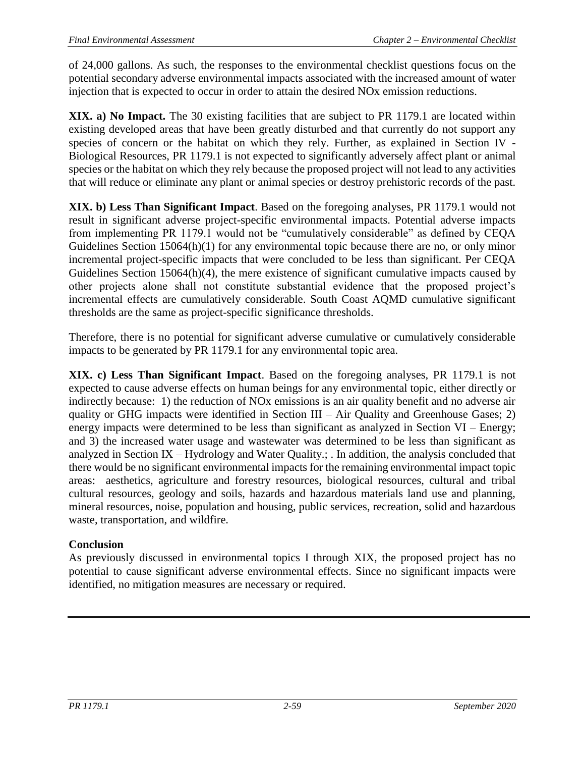of 24,000 gallons. As such, the responses to the environmental checklist questions focus on the potential secondary adverse environmental impacts associated with the increased amount of water injection that is expected to occur in order to attain the desired NOx emission reductions.

**XIX. a) No Impact.** The 30 existing facilities that are subject to PR 1179.1 are located within existing developed areas that have been greatly disturbed and that currently do not support any species of concern or the habitat on which they rely. Further, as explained in Section IV - Biological Resources, PR 1179.1 is not expected to significantly adversely affect plant or animal species or the habitat on which they rely because the proposed project will not lead to any activities that will reduce or eliminate any plant or animal species or destroy prehistoric records of the past.

**XIX. b) Less Than Significant Impact**. Based on the foregoing analyses, PR 1179.1 would not result in significant adverse project-specific environmental impacts. Potential adverse impacts from implementing PR 1179.1 would not be "cumulatively considerable" as defined by CEQA Guidelines Section 15064(h)(1) for any environmental topic because there are no, or only minor incremental project-specific impacts that were concluded to be less than significant. Per CEQA Guidelines Section 15064(h)(4), the mere existence of significant cumulative impacts caused by other projects alone shall not constitute substantial evidence that the proposed project's incremental effects are cumulatively considerable. South Coast AQMD cumulative significant thresholds are the same as project-specific significance thresholds.

Therefore, there is no potential for significant adverse cumulative or cumulatively considerable impacts to be generated by PR 1179.1 for any environmental topic area.

**XIX. c) Less Than Significant Impact**. Based on the foregoing analyses, PR 1179.1 is not expected to cause adverse effects on human beings for any environmental topic, either directly or indirectly because: 1) the reduction of NOx emissions is an air quality benefit and no adverse air quality or GHG impacts were identified in Section III – Air Quality and Greenhouse Gases; 2) energy impacts were determined to be less than significant as analyzed in Section VI – Energy; and 3) the increased water usage and wastewater was determined to be less than significant as analyzed in Section IX – Hydrology and Water Quality.; . In addition, the analysis concluded that there would be no significant environmental impacts for the remaining environmental impact topic areas: aesthetics, agriculture and forestry resources, biological resources, cultural and tribal cultural resources, geology and soils, hazards and hazardous materials land use and planning, mineral resources, noise, population and housing, public services, recreation, solid and hazardous waste, transportation, and wildfire.

## **Conclusion**

As previously discussed in environmental topics I through XIX, the proposed project has no potential to cause significant adverse environmental effects. Since no significant impacts were identified, no mitigation measures are necessary or required.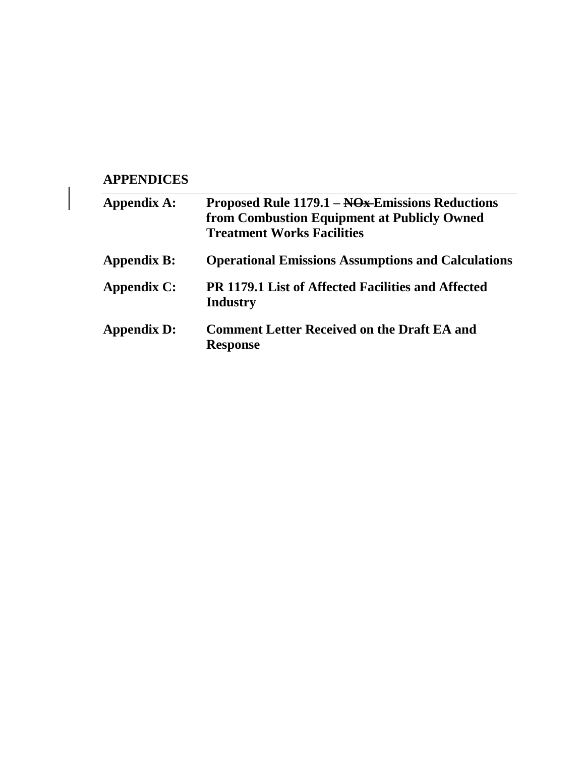# **APPENDICES**

| Appendix A:        | Proposed Rule 1179.1 – NO <sub>x</sub> Emissions Reductions<br>from Combustion Equipment at Publicly Owned<br><b>Treatment Works Facilities</b> |
|--------------------|-------------------------------------------------------------------------------------------------------------------------------------------------|
| <b>Appendix B:</b> | <b>Operational Emissions Assumptions and Calculations</b>                                                                                       |
| Appendix C:        | <b>PR 1179.1 List of Affected Facilities and Affected</b><br>Industry                                                                           |
| <b>Appendix D:</b> | <b>Comment Letter Received on the Draft EA and</b><br><b>Response</b>                                                                           |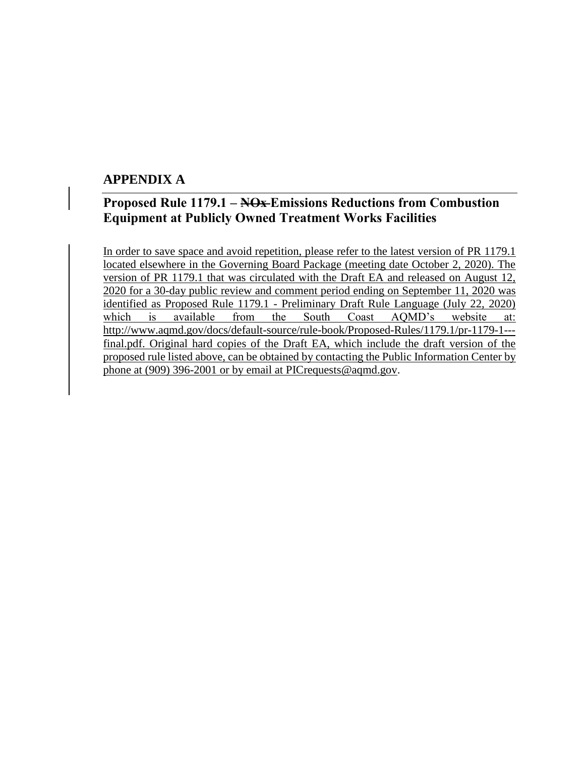## **APPENDIX A**

# **Proposed Rule 1179.1 – NOx Emissions Reductions from Combustion Equipment at Publicly Owned Treatment Works Facilities**

In order to save space and avoid repetition, please refer to the latest version of PR 1179.1 located elsewhere in the Governing Board Package (meeting date October 2, 2020). The version of PR 1179.1 that was circulated with the Draft EA and released on August 12, 2020 for a 30-day public review and comment period ending on September 11, 2020 was identified as Proposed Rule 1179.1 - Preliminary Draft Rule Language (July 22, 2020) which is available from the South Coast AQMD's website at: [http://www.aqmd.gov/docs/default-source/rule-book/Proposed-Rules/1179.1/pr-1179-1--](http://www.aqmd.gov/docs/default-source/rule-book/Proposed-Rules/1179.1/pr-1179-1---final.pdf) [final.pdf.](http://www.aqmd.gov/docs/default-source/rule-book/Proposed-Rules/1179.1/pr-1179-1---final.pdf) Original hard copies of the Draft EA, which include the draft version of the proposed rule listed above, can be obtained by contacting the Public Information Center by phone at (909) 396-2001 or by email at PICrequests@aqmd.gov.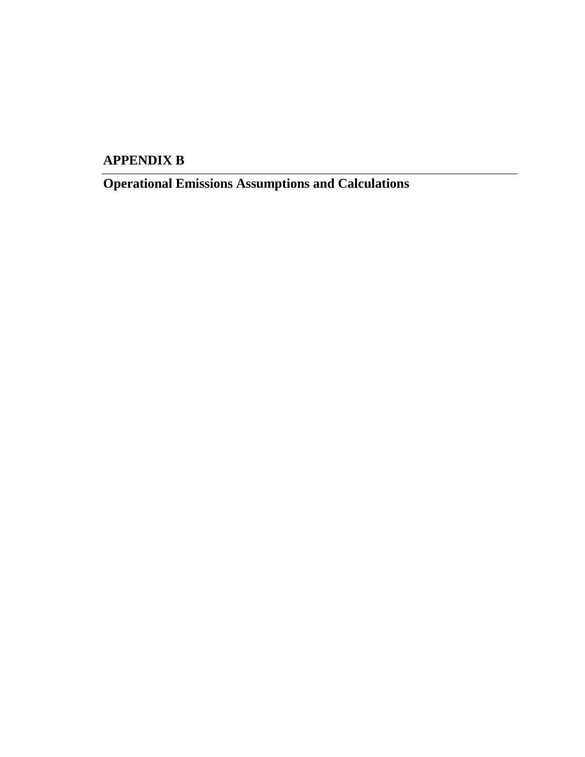# **APPENDIX B**

**Operational Emissions Assumptions and Calculations**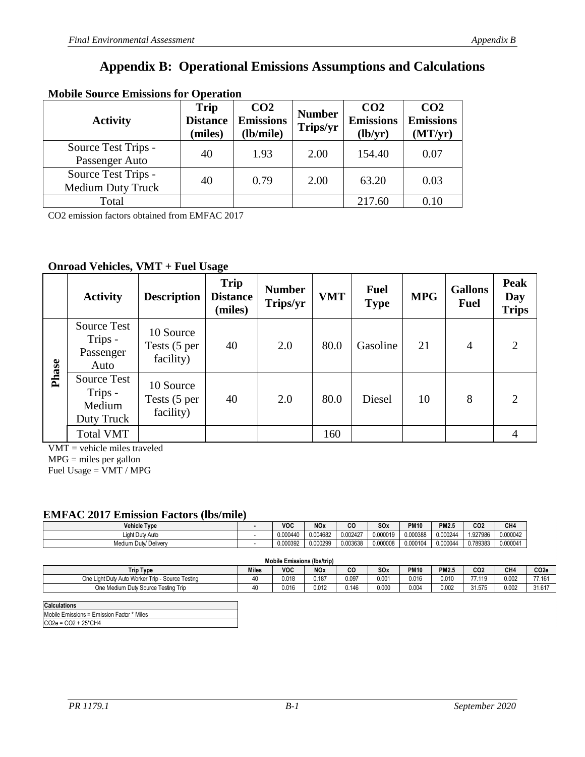# **Appendix B: Operational Emissions Assumptions and Calculations**

| <b>NODIE SOUTCE EMISSIONS TOT OPETATION</b>     |                                           |                                                  |                           |                                                |                                                |  |  |  |  |
|-------------------------------------------------|-------------------------------------------|--------------------------------------------------|---------------------------|------------------------------------------------|------------------------------------------------|--|--|--|--|
| <b>Activity</b>                                 | <b>Trip</b><br><b>Distance</b><br>(miles) | CO <sub>2</sub><br><b>Emissions</b><br>(lb/mile) | <b>Number</b><br>Trips/yr | CO <sub>2</sub><br><b>Emissions</b><br>(lb/yr) | CO <sub>2</sub><br><b>Emissions</b><br>(MT/yr) |  |  |  |  |
| Source Test Trips -<br>Passenger Auto           | 40                                        | 1.93                                             | 2.00                      | 154.40                                         | 0.07                                           |  |  |  |  |
| Source Test Trips -<br><b>Medium Duty Truck</b> | 40                                        | 0.79                                             | 2.00                      | 63.20                                          | 0.03                                           |  |  |  |  |
| Total                                           |                                           |                                                  |                           | 217.60                                         | 0.10                                           |  |  |  |  |

## **Mobile Source Emissions for Operation**

CO2 emission factors obtained from EMFAC 2017

#### **Onroad Vehicles, VMT + Fuel Usage**

|       | <b>Activity</b>                                    | <b>Description</b>                     | <b>Trip</b><br><b>Distance</b><br>(miles) | <b>Number</b><br>Trips/yr | <b>VMT</b> | <b>Fuel</b><br><b>Type</b> | <b>MPG</b> | <b>Gallons</b><br><b>Fuel</b> | <b>Peak</b><br>Day<br><b>Trips</b> |
|-------|----------------------------------------------------|----------------------------------------|-------------------------------------------|---------------------------|------------|----------------------------|------------|-------------------------------|------------------------------------|
| Phase | <b>Source Test</b><br>Trips -<br>Passenger<br>Auto | 10 Source<br>Tests (5 per<br>facility) | 40                                        | 2.0                       | 80.0       | Gasoline                   | 21         | $\overline{4}$                | $\overline{2}$                     |
|       | Source Test<br>Trips -<br>Medium<br>Duty Truck     | 10 Source<br>Tests (5 per<br>facility) | 40                                        | 2.0                       | 80.0       | Diesel                     | 10         | 8                             | $\overline{2}$                     |
|       | <b>Total VMT</b>                                   |                                        |                                           |                           | 160        |                            |            |                               | 4                                  |

VMT = vehicle miles traveled

MPG = miles per gallon

Fuel Usage  $=$  VMT / MPG

#### **EMFAC 2017 Emission Factors (lbs/mile) EMFAC 2017 Emission Factors (lbs/mile)**

| Fuel Usage = $VMT / MPC$                         |              |                                    |            |           |          |             |              |                 |                 |                  |
|--------------------------------------------------|--------------|------------------------------------|------------|-----------|----------|-------------|--------------|-----------------|-----------------|------------------|
|                                                  |              |                                    |            |           |          |             |              |                 |                 |                  |
|                                                  |              |                                    |            |           |          |             |              |                 |                 |                  |
| <b>EMFAC 2017 Emission Factors (lbs/mile)</b>    |              |                                    |            |           |          |             |              |                 |                 |                  |
| <b>Vehicle Type</b>                              |              | <b>VOC</b>                         | <b>NOx</b> | <b>CO</b> | SOx      | <b>PM10</b> | <b>PM2.5</b> | CO <sub>2</sub> | CH4             |                  |
| Light Duty Auto                                  |              | 0.000440                           | 0.004682   | 0.002427  | 0.000019 | 0.000388    | 0.000244     | 1.927986        | 0.000042        |                  |
| Medium Duty/ Delivery                            |              | 0.000392                           | 0.000299   | 0.003638  | 0.000008 | 0.000104    | 0.000044     | 0.789383        | 0.000041        |                  |
|                                                  |              |                                    |            |           |          |             |              |                 |                 |                  |
|                                                  |              | <b>Mobile Emissions (Ibs/trip)</b> |            |           |          |             |              |                 |                 |                  |
| <b>Trip Type</b>                                 | <b>Miles</b> | <b>VOC</b>                         | <b>NOx</b> | <b>CO</b> | SOx      | <b>PM10</b> | <b>PM2.5</b> | CO <sub>2</sub> | CH <sub>4</sub> | CO <sub>2e</sub> |
| One Light Duty Auto Worker Trip - Source Testing | 40           | 0.018                              | 0.187      | 0.097     | 0.001    | 0.016       | 0.010        | 77.119          | 0.002           | 77.161           |
| One Medium Duty Source Testing Trip              | 40           | 0.016                              | 0.012      | 0.146     | 0.000    | 0.004       | 0.002        | 31.575          | 0.002           | 31.617           |

| <b>Calculations</b>                        |
|--------------------------------------------|
| Mobile Emissions = Emission Factor * Miles |
| $CO2e = CO2 + 25^{\circ}CH4$               |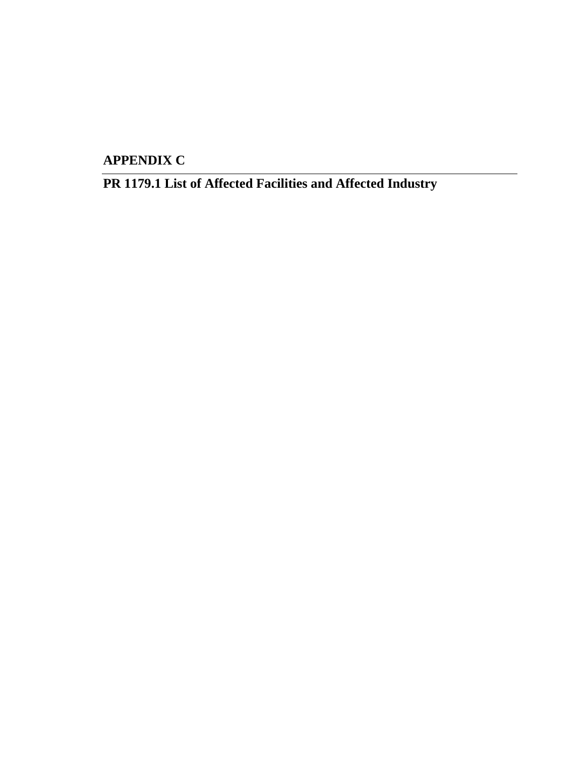**APPENDIX C**

**PR 1179.1 List of Affected Facilities and Affected Industry**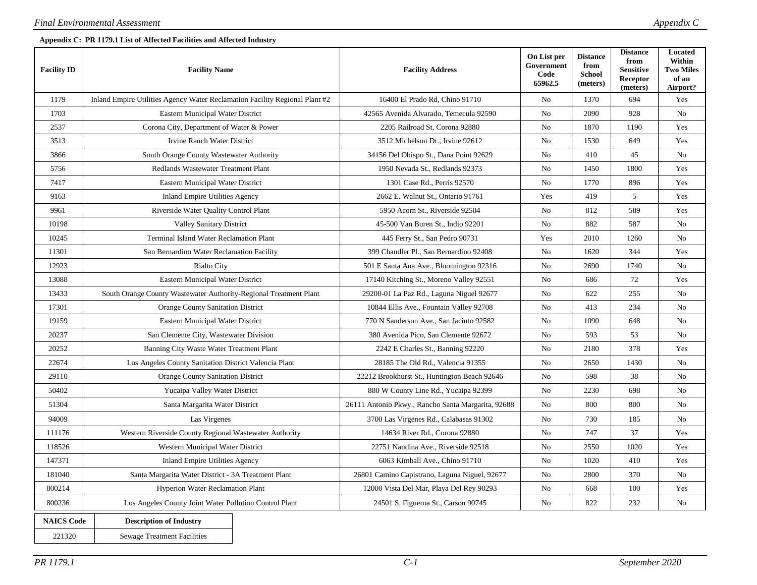#### **Appendix C: PR 1179.1 List of Affected Facilities and Affected Industry**

| <b>Facility ID</b>                                | <b>Facility Name</b>                                                        | <b>Facility Address</b>                            | On List per<br>Government<br>Code<br>65962.5 | <b>Distance</b><br>from<br><b>School</b><br>(meters) | <b>Distance</b><br>from<br><b>Sensitive</b><br>Receptor<br>(meters) | Located<br>Within<br><b>Two Miles</b><br>of an<br>Airport? |
|---------------------------------------------------|-----------------------------------------------------------------------------|----------------------------------------------------|----------------------------------------------|------------------------------------------------------|---------------------------------------------------------------------|------------------------------------------------------------|
| 1179                                              | Inland Empire Utilities Agency Water Reclamation Facility Regional Plant #2 | 16400 El Prado Rd, Chino 91710                     | No                                           | 1370                                                 | 694                                                                 | Yes                                                        |
| 1703                                              | Eastern Municipal Water District                                            | 42565 Avenida Alvarado, Temecula 92590             | No                                           | 2090                                                 | 928                                                                 | No                                                         |
| 2537                                              | Corona City, Department of Water & Power                                    | 2205 Railroad St, Corona 92880                     | No                                           | 1870                                                 | 1190                                                                | Yes                                                        |
| 3513                                              | Irvine Ranch Water District                                                 | 3512 Michelson Dr., Irvine 92612                   | No                                           | 1530                                                 | 649                                                                 | Yes                                                        |
| 3866                                              | South Orange County Wastewater Authority                                    | 34156 Del Obispo St., Dana Point 92629             | No                                           | 410                                                  | 45                                                                  | No                                                         |
| 5756                                              | Redlands Wastewater Treatment Plant                                         | 1950 Nevada St., Redlands 92373                    | No                                           | 1450                                                 | 1800                                                                | Yes                                                        |
| 7417                                              | Eastern Municipal Water District                                            | 1301 Case Rd., Perris 92570                        | No                                           | 1770                                                 | 896                                                                 | Yes                                                        |
| 9163                                              | Inland Empire Utilities Agency                                              | 2662 E. Walnut St., Ontario 91761                  | Yes                                          | 419                                                  | 5                                                                   | Yes                                                        |
| 9961                                              | Riverside Water Quality Control Plant                                       | 5950 Acorn St., Riverside 92504                    | No                                           | 812                                                  | 589                                                                 | Yes                                                        |
| 10198                                             | <b>Valley Sanitary District</b>                                             | 45-500 Van Buren St., Indio 92201                  | No                                           | 882                                                  | 587                                                                 | No                                                         |
| 10245                                             | Terminal Island Water Reclamation Plant                                     | 445 Ferry St., San Pedro 90731                     | Yes                                          | 2010                                                 | 1260                                                                | No                                                         |
| 11301                                             | San Bernardino Water Reclamation Facility                                   | 399 Chandler Pl., San Bernardino 92408             | No                                           | 1620                                                 | 344                                                                 | Yes                                                        |
| 12923                                             | <b>Rialto City</b>                                                          | 501 E Santa Ana Ave., Bloomington 92316            | No                                           | 2690                                                 | 1740                                                                | No                                                         |
| 13088                                             | <b>Eastern Municipal Water District</b>                                     | 17140 Kitching St., Moreno Valley 92551            | N <sub>o</sub>                               | 686                                                  | 72                                                                  | Yes                                                        |
| 13433                                             | South Orange County Wastewater Authority-Regional Treatment Plant           | 29200-01 La Paz Rd., Laguna Niguel 92677           | No                                           | 622                                                  | 255                                                                 | No                                                         |
| 17301                                             | <b>Orange County Sanitation District</b>                                    | 10844 Ellis Ave., Fountain Valley 92708            | No                                           | 413                                                  | 234                                                                 | N <sub>0</sub>                                             |
| 19159                                             | Eastern Municipal Water District                                            | 770 N Sanderson Ave., San Jacinto 92582            | No                                           | 1090                                                 | 648                                                                 | No                                                         |
| 20237                                             | San Clemente City, Wastewater Division                                      | 380 Avenida Pico, San Clemente 92672               | N <sub>o</sub>                               | 593                                                  | 53                                                                  | N <sub>0</sub>                                             |
| 20252                                             | Banning City Waste Water Treatment Plant                                    | 2242 E Charles St., Banning 92220                  | No                                           | 2180                                                 | 378                                                                 | Yes                                                        |
| 22674                                             | Los Angeles County Sanitation District Valencia Plant                       | 28185 The Old Rd., Valencia 91355                  | N <sub>o</sub>                               | 2650                                                 | 1430                                                                | N <sub>0</sub>                                             |
| 29110                                             | <b>Orange County Sanitation District</b>                                    | 22212 Brookhurst St., Huntington Beach 92646       | No                                           | 598                                                  | 38                                                                  | No                                                         |
| 50402                                             | Yucaipa Valley Water District                                               | 880 W County Line Rd., Yucaipa 92399               | N <sub>o</sub>                               | 2230                                                 | 698                                                                 | N <sub>0</sub>                                             |
| 51304                                             | Santa Margarita Water District                                              | 26111 Antonio Pkwy., Rancho Santa Margarita, 92688 | No                                           | 800                                                  | 800                                                                 | No                                                         |
| 94009                                             | Las Virgenes                                                                | 3700 Las Virgenes Rd., Calabasas 91302             | No                                           | 730                                                  | 185                                                                 | No                                                         |
| 111176                                            | Western Riverside County Regional Wastewater Authority                      | 14634 River Rd., Corona 92880                      | No                                           | 747                                                  | 37                                                                  | Yes                                                        |
| 118526                                            | Western Municipal Water District                                            | 22751 Nandina Ave., Riverside 92518                | No                                           | 2550                                                 | 1020                                                                | Yes                                                        |
| 147371                                            | <b>Inland Empire Utilities Agency</b>                                       | 6063 Kimball Ave., Chino 91710                     | No                                           | 1020                                                 | 410                                                                 | Yes                                                        |
| 181040                                            | Santa Margarita Water District - 3A Treatment Plant                         | 26801 Camino Capistrano, Laguna Niguel, 92677      | No                                           | 2800                                                 | 370                                                                 | No                                                         |
| 800214<br><b>Hyperion Water Reclamation Plant</b> |                                                                             | 12000 Vista Del Mar, Playa Del Rey 90293           | No                                           | 668                                                  | 100                                                                 | Yes                                                        |
| 800236                                            | Los Angeles County Joint Water Pollution Control Plant                      | 24501 S. Figueroa St., Carson 90745                | N <sub>0</sub>                               | 822                                                  | 232                                                                 | N <sub>0</sub>                                             |
| <b>NAICS Code</b><br>221320                       | <b>Description of Industry</b><br><b>Sewage Treatment Facilities</b>        |                                                    |                                              |                                                      |                                                                     |                                                            |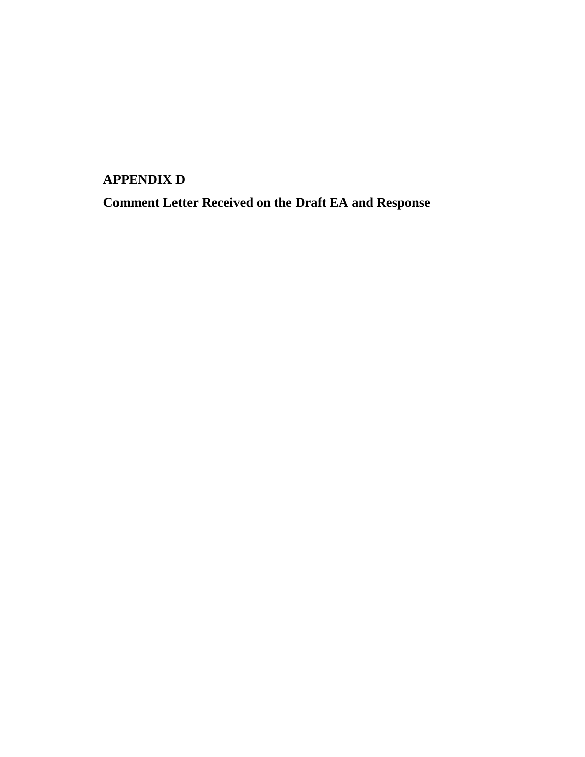**APPENDIX D**

**Comment Letter Received on the Draft EA and Response**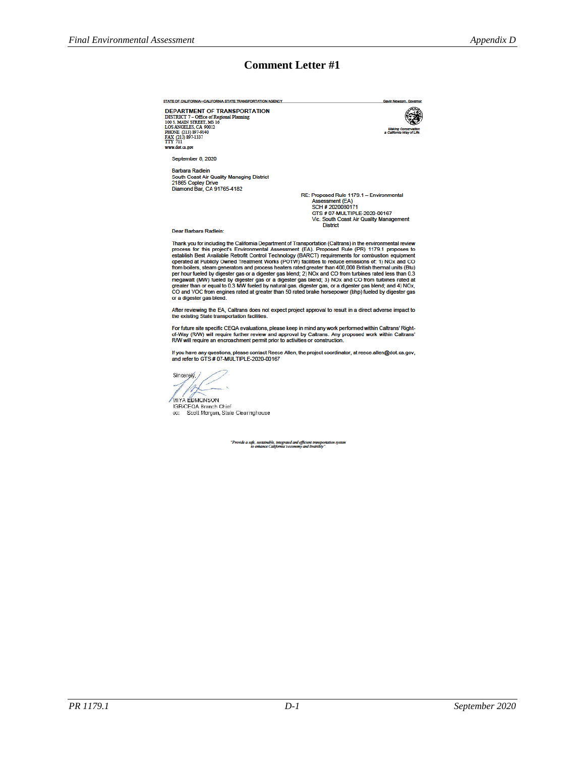#### **Comment Letter #1**